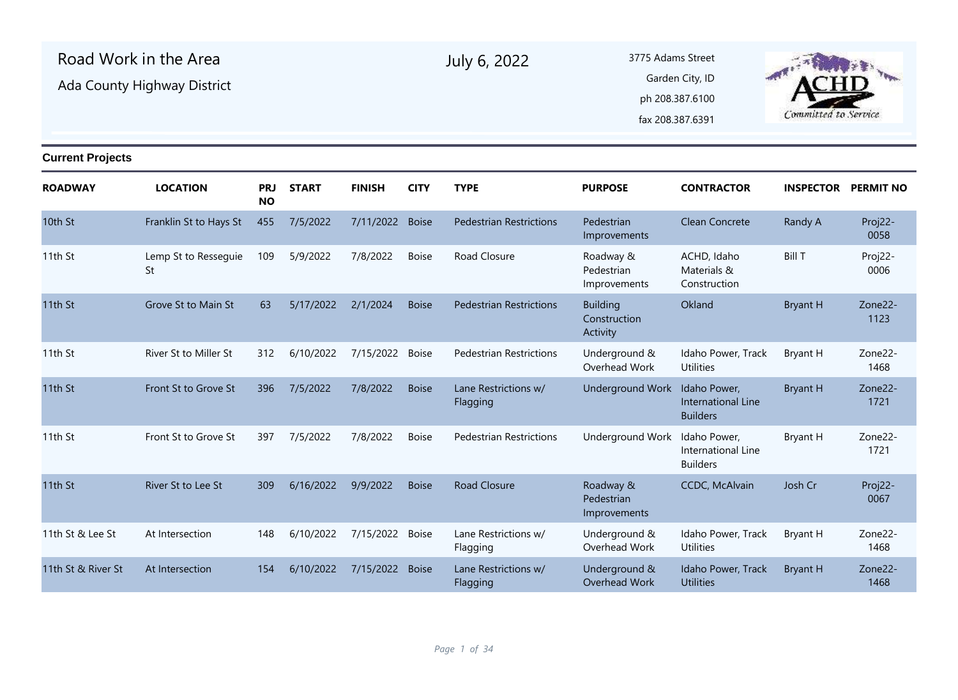| Road Work in the Area<br>Ada County Highway District<br><b>Current Projects</b> |                            |                         |              |                 |              | July 6, 2022                     | 3775 Adams Street                           | Garden City, ID<br>ph 208.387.6100<br>fax 208.387.6391 | Committed to Service       |                 |
|---------------------------------------------------------------------------------|----------------------------|-------------------------|--------------|-----------------|--------------|----------------------------------|---------------------------------------------|--------------------------------------------------------|----------------------------|-----------------|
|                                                                                 |                            |                         |              |                 |              |                                  |                                             |                                                        |                            |                 |
| ROADWAY                                                                         | <b>LOCATION</b>            | <b>PRJ</b><br><b>NO</b> | <b>START</b> | <b>FINISH</b>   | <b>CITY</b>  | <b>TYPE</b>                      | <b>PURPOSE</b>                              | <b>CONTRACTOR</b>                                      | <b>INSPECTOR PERMIT NO</b> |                 |
| 10th St                                                                         | Franklin St to Hays St     | 455                     | 7/5/2022     | 7/11/2022       | <b>Boise</b> | <b>Pedestrian Restrictions</b>   | Pedestrian<br>Improvements                  | Clean Concrete                                         | Randy A                    | Proj22-<br>0058 |
| 11th St                                                                         | Lemp St to Ressequie<br>St | 109                     | 5/9/2022     | 7/8/2022        | <b>Boise</b> | Road Closure                     | Roadway &<br>Pedestrian<br>Improvements     | ACHD, Idaho<br>Materials &<br>Construction             | <b>Bill T</b>              | Proj22-<br>0006 |
| 11th St                                                                         | Grove St to Main St        | 63                      | 5/17/2022    | 2/1/2024        | <b>Boise</b> | <b>Pedestrian Restrictions</b>   | <b>Building</b><br>Construction<br>Activity | Okland                                                 | <b>Bryant H</b>            | Zone22-<br>1123 |
| 11th St                                                                         | River St to Miller St      | 312                     | 6/10/2022    | 7/15/2022       | <b>Boise</b> | <b>Pedestrian Restrictions</b>   | Underground &<br>Overhead Work              | Idaho Power, Track<br><b>Utilities</b>                 | Bryant H                   | Zone22-<br>1468 |
| 11th St                                                                         | Front St to Grove St       | 396                     | 7/5/2022     | 7/8/2022        | <b>Boise</b> | Lane Restrictions w/<br>Flagging | Underground Work                            | Idaho Power,<br>International Line<br><b>Builders</b>  | <b>Bryant H</b>            | Zone22-<br>1721 |
| 11th St                                                                         | Front St to Grove St       | 397                     | 7/5/2022     | 7/8/2022        | <b>Boise</b> | <b>Pedestrian Restrictions</b>   | Underground Work                            | Idaho Power,<br>International Line<br><b>Builders</b>  | Bryant H                   | Zone22-<br>1721 |
| 11th St                                                                         | River St to Lee St         | 309                     | 6/16/2022    | 9/9/2022        | <b>Boise</b> | <b>Road Closure</b>              | Roadway &<br>Pedestrian<br>Improvements     | CCDC, McAlvain                                         | Josh Cr                    | Proj22-<br>0067 |
| 11th St & Lee St                                                                | At Intersection            | 148                     | 6/10/2022    | 7/15/2022       | <b>Boise</b> | Lane Restrictions w/<br>Flagging | Underground &<br>Overhead Work              | Idaho Power, Track<br><b>Utilities</b>                 | Bryant H                   | Zone22-<br>1468 |
| 11th St & River St                                                              | At Intersection            | 154                     | 6/10/2022    | 7/15/2022 Boise |              | Lane Restrictions w/<br>Flagging | Underground &<br>Overhead Work              | Idaho Power, Track<br><b>Utilities</b>                 | <b>Bryant H</b>            | Zone22-<br>1468 |
|                                                                                 |                            |                         |              |                 |              |                                  |                                             |                                                        |                            |                 |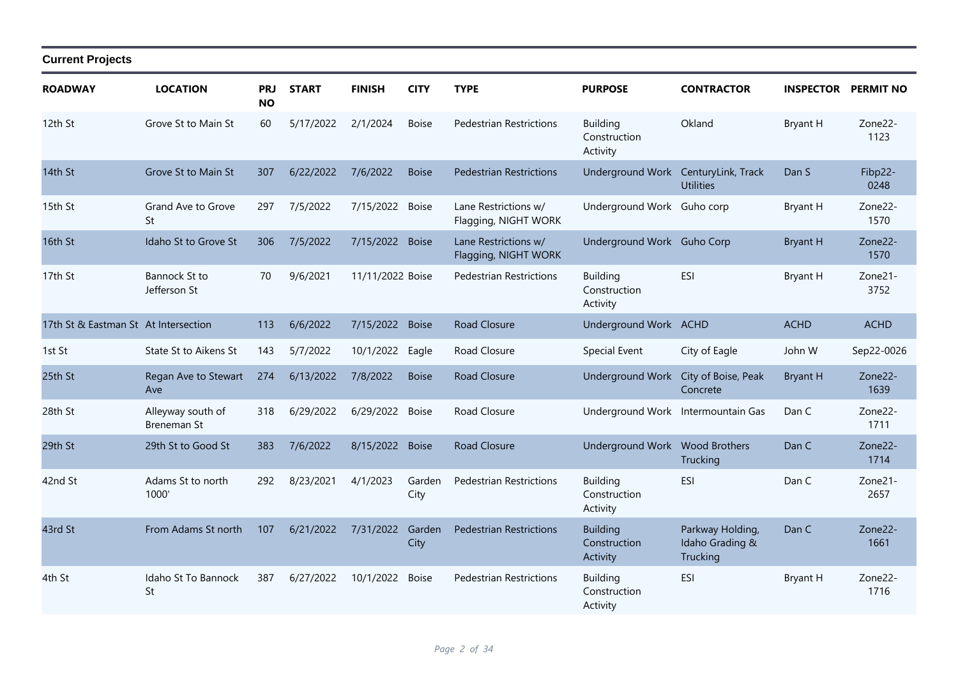| <b>ROADWAY</b>                       | <b>LOCATION</b>                      | <b>PRJ</b><br><b>NO</b> | <b>START</b> | <b>FINISH</b>    | <b>CITY</b>    | <b>TYPE</b>                                  | <b>PURPOSE</b>                              | <b>CONTRACTOR</b>                               | <b>INSPECTOR</b> | <b>PERMIT NO</b> |
|--------------------------------------|--------------------------------------|-------------------------|--------------|------------------|----------------|----------------------------------------------|---------------------------------------------|-------------------------------------------------|------------------|------------------|
| 12th St                              | Grove St to Main St                  | 60                      | 5/17/2022    | 2/1/2024         | <b>Boise</b>   | <b>Pedestrian Restrictions</b>               | <b>Building</b><br>Construction<br>Activity | Okland                                          | <b>Bryant H</b>  | Zone22-<br>1123  |
| 14th St                              | Grove St to Main St                  | 307                     | 6/22/2022    | 7/6/2022         | <b>Boise</b>   | <b>Pedestrian Restrictions</b>               | Underground Work                            | CenturyLink, Track<br><b>Utilities</b>          | Dan S            | Fibp22-<br>0248  |
| 15th St                              | Grand Ave to Grove<br>St             | 297                     | 7/5/2022     | 7/15/2022 Boise  |                | Lane Restrictions w/<br>Flagging, NIGHT WORK | Underground Work Guho corp                  |                                                 | Bryant H         | Zone22-<br>1570  |
| 16th St                              | Idaho St to Grove St                 | 306                     | 7/5/2022     | 7/15/2022        | <b>Boise</b>   | Lane Restrictions w/<br>Flagging, NIGHT WORK | Underground Work Guho Corp                  |                                                 | <b>Bryant H</b>  | Zone22-<br>1570  |
| 17th St                              | <b>Bannock St to</b><br>Jefferson St | 70                      | 9/6/2021     | 11/11/2022 Boise |                | <b>Pedestrian Restrictions</b>               | <b>Building</b><br>Construction<br>Activity | ESI                                             | <b>Bryant H</b>  | Zone21-<br>3752  |
| 17th St & Eastman St At Intersection |                                      | 113                     | 6/6/2022     | 7/15/2022        | <b>Boise</b>   | <b>Road Closure</b>                          | Underground Work ACHD                       |                                                 | <b>ACHD</b>      | <b>ACHD</b>      |
| 1st St                               | State St to Aikens St                | 143                     | 5/7/2022     | 10/1/2022        | Eagle          | Road Closure                                 | Special Event                               | City of Eagle                                   | John W           | Sep22-0026       |
| 25th St                              | Regan Ave to Stewart<br>Ave          | 274                     | 6/13/2022    | 7/8/2022         | <b>Boise</b>   | <b>Road Closure</b>                          | Underground Work                            | City of Boise, Peak<br>Concrete                 | <b>Bryant H</b>  | Zone22-<br>1639  |
| 28th St                              | Alleyway south of<br>Breneman St     | 318                     | 6/29/2022    | 6/29/2022        | <b>Boise</b>   | Road Closure                                 | Underground Work Intermountain Gas          |                                                 | Dan C            | Zone22-<br>1711  |
| 29th St                              | 29th St to Good St                   | 383                     | 7/6/2022     | 8/15/2022        | <b>Boise</b>   | <b>Road Closure</b>                          | Underground Work Wood Brothers              | Trucking                                        | Dan C            | Zone22-<br>1714  |
| 42nd St                              | Adams St to north<br>1000'           | 292                     | 8/23/2021    | 4/1/2023         | Garden<br>City | <b>Pedestrian Restrictions</b>               | <b>Building</b><br>Construction<br>Activity | ESI                                             | Dan C            | Zone21-<br>2657  |
| 43rd St                              | From Adams St north                  | 107                     | 6/21/2022    | 7/31/2022        | Garden<br>City | <b>Pedestrian Restrictions</b>               | <b>Building</b><br>Construction<br>Activity | Parkway Holding,<br>Idaho Grading &<br>Trucking | Dan C            | Zone22-<br>1661  |
| 4th St                               | Idaho St To Bannock<br>St            | 387                     | 6/27/2022    | 10/1/2022        | <b>Boise</b>   | <b>Pedestrian Restrictions</b>               | <b>Building</b><br>Construction<br>Activity | <b>ESI</b>                                      | <b>Bryant H</b>  | Zone22-<br>1716  |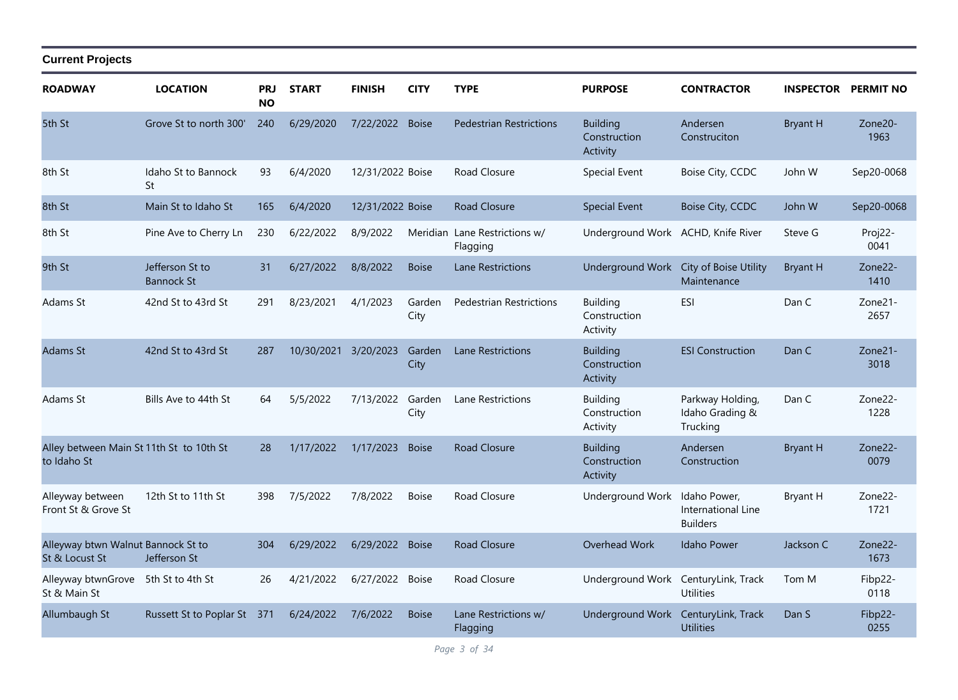| <b>ROADWAY</b>                                          | <b>LOCATION</b>                      | PRJ<br><b>NO</b> | <b>START</b> | <b>FINISH</b>    | <b>CITY</b>    | <b>TYPE</b>                               | <b>PURPOSE</b>                              | <b>CONTRACTOR</b>                                     |                 | <b>INSPECTOR PERMIT NO</b> |
|---------------------------------------------------------|--------------------------------------|------------------|--------------|------------------|----------------|-------------------------------------------|---------------------------------------------|-------------------------------------------------------|-----------------|----------------------------|
| 5th St                                                  | Grove St to north 300'               | 240              | 6/29/2020    | 7/22/2022        | <b>Boise</b>   | <b>Pedestrian Restrictions</b>            | <b>Building</b><br>Construction<br>Activity | Andersen<br>Construciton                              | <b>Bryant H</b> | Zone20-<br>1963            |
| 8th St                                                  | Idaho St to Bannock<br>St            | 93               | 6/4/2020     | 12/31/2022 Boise |                | Road Closure                              | Special Event                               | Boise City, CCDC                                      | John W          | Sep20-0068                 |
| 8th St                                                  | Main St to Idaho St                  | 165              | 6/4/2020     | 12/31/2022 Boise |                | Road Closure                              | <b>Special Event</b>                        | Boise City, CCDC                                      | John W          | Sep20-0068                 |
| 8th St                                                  | Pine Ave to Cherry Ln                | 230              | 6/22/2022    | 8/9/2022         |                | Meridian Lane Restrictions w/<br>Flagging | Underground Work                            | ACHD, Knife River                                     | Steve G         | Proj22-<br>0041            |
| 9th St                                                  | Jefferson St to<br><b>Bannock St</b> | 31               | 6/27/2022    | 8/8/2022         | <b>Boise</b>   | Lane Restrictions                         | Underground Work                            | City of Boise Utility<br>Maintenance                  | <b>Bryant H</b> | Zone22-<br>1410            |
| Adams St                                                | 42nd St to 43rd St                   | 291              | 8/23/2021    | 4/1/2023         | Garden<br>City | <b>Pedestrian Restrictions</b>            | <b>Building</b><br>Construction<br>Activity | <b>ESI</b>                                            | Dan C           | Zone21-<br>2657            |
| <b>Adams St</b>                                         | 42nd St to 43rd St                   | 287              | 10/30/2021   | 3/20/2023        | Garden<br>City | Lane Restrictions                         | <b>Building</b><br>Construction<br>Activity | <b>ESI Construction</b>                               | Dan C           | Zone21-<br>3018            |
| Adams St                                                | Bills Ave to 44th St                 | 64               | 5/5/2022     | 7/13/2022        | Garden<br>City | Lane Restrictions                         | <b>Building</b><br>Construction<br>Activity | Parkway Holding,<br>Idaho Grading &<br>Trucking       | Dan C           | Zone22-<br>1228            |
| Alley between Main St 11th St to 10th St<br>to Idaho St |                                      | 28               | 1/17/2022    | 1/17/2023        | <b>Boise</b>   | <b>Road Closure</b>                       | <b>Building</b><br>Construction<br>Activity | Andersen<br>Construction                              | <b>Bryant H</b> | Zone22-<br>0079            |
| Alleyway between<br>Front St & Grove St                 | 12th St to 11th St                   | 398              | 7/5/2022     | 7/8/2022         | <b>Boise</b>   | Road Closure                              | <b>Underground Work</b>                     | Idaho Power,<br>International Line<br><b>Builders</b> | <b>Bryant H</b> | Zone22-<br>1721            |
| Alleyway btwn Walnut Bannock St to<br>St & Locust St    | Jefferson St                         | 304              | 6/29/2022    | 6/29/2022        | <b>Boise</b>   | <b>Road Closure</b>                       | Overhead Work                               | Idaho Power                                           | Jackson C       | Zone22-<br>1673            |
| Alleyway btwnGrove 5th St to 4th St<br>St & Main St     |                                      | 26               | 4/21/2022    | 6/27/2022 Boise  |                | Road Closure                              | Underground Work CenturyLink, Track         | <b>Utilities</b>                                      | Tom M           | Fibp22-<br>0118            |
| Allumbaugh St                                           | Russett St to Poplar St 371          |                  | 6/24/2022    | 7/6/2022         | <b>Boise</b>   | Lane Restrictions w/<br>Flagging          | Underground Work                            | CenturyLink, Track<br><b>Utilities</b>                | Dan S           | Fibp22-<br>0255            |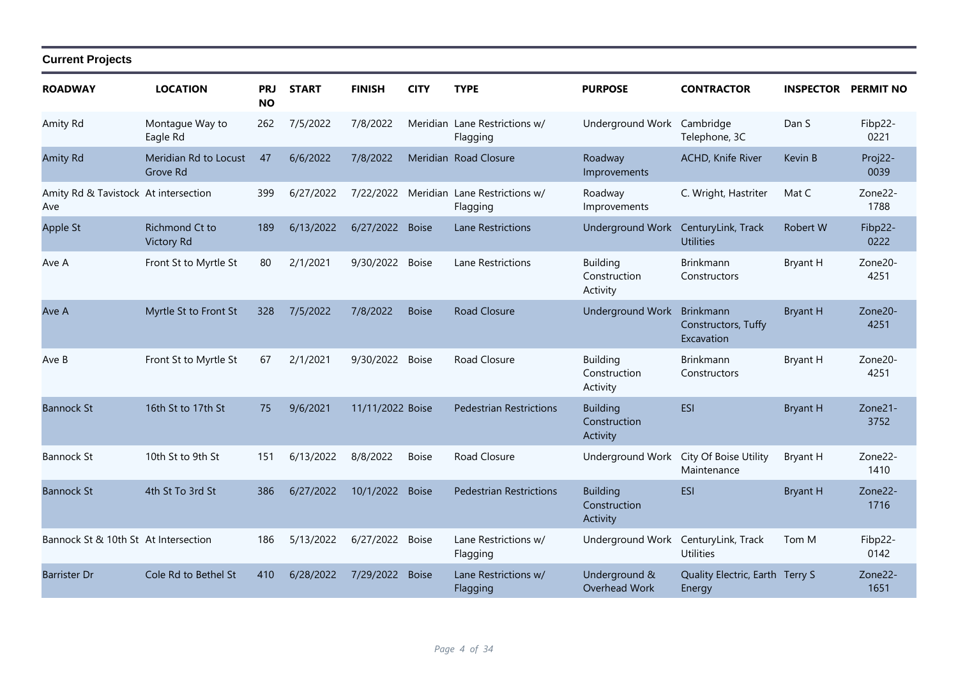#### **ROADWAY LOCATION PRJ NO START FINISH CITY TYPE PURPOSE CONTRACTOR INSPECTOR PERMIT NO Current Projects** Amity Rd Montague Way to 262 7/5/2022 7/8/2022 Meridian Lane Restrictions w/ Flagging Montague Way to 262 7/5/2022 7/8/2022 Meridian Lane Restrictions w/ Underground Work Cambridge Dan S Fibp22-Telephone, 3C Eagle Rd 0221 Amity Rd 6/6/2022 7/8/2022 Meridian Road Closure Roadway Meridian Rd to Locust ACHD, Knife River Kevin B 47 Proj22- Improvements Grove Rd 0039 Amity Rd & Tavistock At intersection Ave At intersection 399 6/27/2022 7/22/2022 Meridian Lane Restrictions w/ Roadway C. Wright, Hastriter Mat C Zone22-**Flagging** Roadway Improvements 1788 Apple St Richmond Ct to 189 6/13/2022 6/27/2022 Boise Lane Restrictions Underground Work CenturyLink, Track Robert W Fibp22-**Utilities** Victory Rd 0222 Ave A Front St to Myrtle St 80 2/1/2021 9/30/2022 Boise Lane Restrictions Building Brinkmann Bryant H Zone20-Construction Activity Brinkmann **Constructors** 4251 Ave A 7/5/2022 7/8/2022 Boise Road Closure Underground Work Brinkmann Myrtle St to Front St 328 Bryant H Zone20- Constructors, Tuffy **Excavation** 4251 Ave B Front St to Myrtle St 67 2/1/2021 9/30/2022 Boise Road Closure Building Brinkmann Bryant H Zone20-Construction Activity Brinkmann **Constructors** 4251 Bannock St 16th St to 17th St 75 9/6/2021 11/11/2022 Boise Pedestrian Restrictions Building ESI Bryant H Zone21-Construction Activity 3752 Bannock St 10th St to 9th St 151 6/13/2022 8/8/2022 Boise Road Closure Underground Work City Of Boise Utility Bryant H Zone22-Maintenance 1410 Bannock St 4th St To 3rd St 386 6/27/2022 10/1/2022 Boise Pedestrian Restrictions Building ESI Bryant H Zone22-**Construction** Activity 1716 Bannock St & 10th St At Intersection 186 5/13/2022 6/27/2022 Boise Lane Restrictions w/ Flagging At Intersection 186 5/13/2022 6/27/2022 Boise Lane Restrictions w/ Underground Work CenturyLink, Track Tom M Fibp22-**Utilities** 0142 Barrister Dr 6/28/2022 7/29/2022 Boise Lane Restrictions w/ Flagging Underground & Overhead Work Cole Rd to Bethel St 410 6/28/2022 7/29/2022 Boise Lane Restrictions w/ Underground & Quality Electric, Earth Terry S Zone22-Energy 1651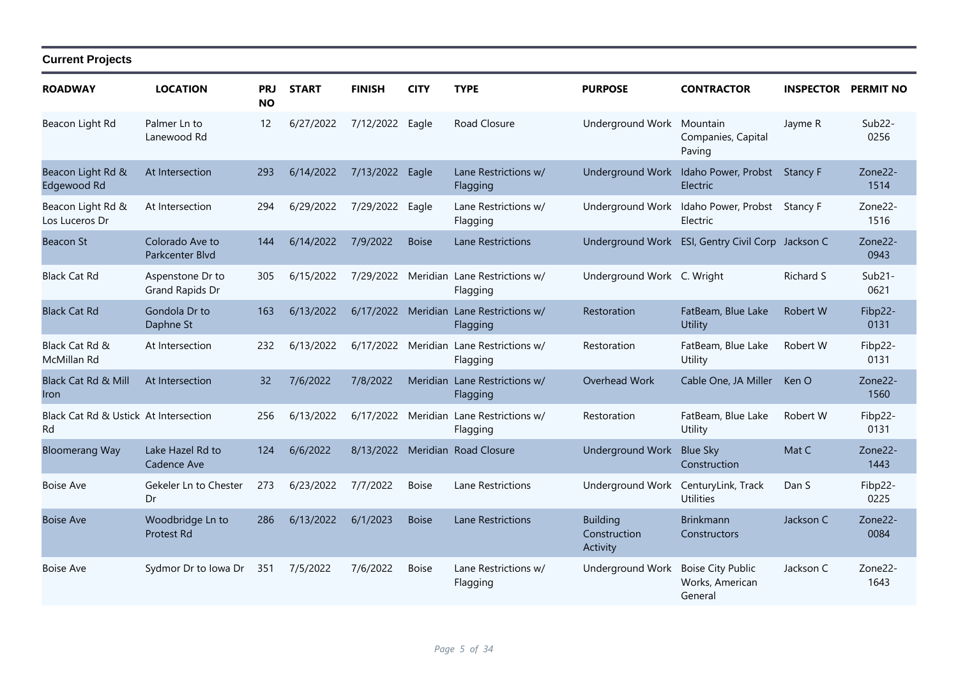| <b>ROADWAY</b>                              | <b>LOCATION</b>                     | <b>PRJ</b><br><b>NO</b> | <b>START</b> | <b>FINISH</b>   | <b>CITY</b>  | <b>TYPE</b>                                         | <b>PURPOSE</b>                              | <b>CONTRACTOR</b>                                         | <b>INSPECTOR PERMIT NO</b> |                             |
|---------------------------------------------|-------------------------------------|-------------------------|--------------|-----------------|--------------|-----------------------------------------------------|---------------------------------------------|-----------------------------------------------------------|----------------------------|-----------------------------|
| Beacon Light Rd                             | Palmer Ln to<br>Lanewood Rd         | 12                      | 6/27/2022    | 7/12/2022 Eagle |              | Road Closure                                        | Underground Work                            | Mountain<br>Companies, Capital<br>Paving                  | Jayme R                    | Sub <sub>22</sub> -<br>0256 |
| Beacon Light Rd &<br>Edgewood Rd            | At Intersection                     | 293                     | 6/14/2022    | 7/13/2022 Eagle |              | Lane Restrictions w/<br>Flagging                    |                                             | Underground Work Idaho Power, Probst Stancy F<br>Electric |                            | Zone22-<br>1514             |
| Beacon Light Rd &<br>Los Luceros Dr         | At Intersection                     | 294                     | 6/29/2022    | 7/29/2022       | Eagle        | Lane Restrictions w/<br>Flagging                    | Underground Work                            | Idaho Power, Probst Stancy F<br>Electric                  |                            | Zone22-<br>1516             |
| Beacon St                                   | Colorado Ave to<br>Parkcenter Blvd  | 144                     | 6/14/2022    | 7/9/2022        | <b>Boise</b> | <b>Lane Restrictions</b>                            |                                             | Underground Work ESI, Gentry Civil Corp Jackson C         |                            | Zone22-<br>0943             |
| <b>Black Cat Rd</b>                         | Aspenstone Dr to<br>Grand Rapids Dr | 305                     | 6/15/2022    | 7/29/2022       |              | Meridian Lane Restrictions w/<br>Flagging           | Underground Work C. Wright                  |                                                           | <b>Richard S</b>           | $Sub21-$<br>0621            |
| <b>Black Cat Rd</b>                         | Gondola Dr to<br>Daphne St          | 163                     | 6/13/2022    |                 |              | 6/17/2022 Meridian Lane Restrictions w/<br>Flagging | Restoration                                 | FatBeam, Blue Lake<br>Utility                             | Robert W                   | Fibp22-<br>0131             |
| Black Cat Rd &<br>McMillan Rd               | At Intersection                     | 232                     | 6/13/2022    |                 |              | 6/17/2022 Meridian Lane Restrictions w/<br>Flagging | Restoration                                 | FatBeam, Blue Lake<br>Utility                             | Robert W                   | Fibp22-<br>0131             |
| Black Cat Rd & Mill<br><b>Iron</b>          | At Intersection                     | 32                      | 7/6/2022     | 7/8/2022        |              | Meridian Lane Restrictions w/<br>Flagging           | Overhead Work                               | Cable One, JA Miller                                      | Ken O                      | Zone22-<br>1560             |
| Black Cat Rd & Ustick At Intersection<br>Rd |                                     | 256                     | 6/13/2022    |                 |              | 6/17/2022 Meridian Lane Restrictions w/<br>Flagging | Restoration                                 | FatBeam, Blue Lake<br>Utility                             | Robert W                   | Fibp22-<br>0131             |
| <b>Bloomerang Way</b>                       | Lake Hazel Rd to<br>Cadence Ave     | 124                     | 6/6/2022     |                 |              | 8/13/2022 Meridian Road Closure                     | <b>Underground Work</b>                     | <b>Blue Sky</b><br>Construction                           | Mat C                      | Zone22-<br>1443             |
| <b>Boise Ave</b>                            | Gekeler Ln to Chester<br>Dr         | 273                     | 6/23/2022    | 7/7/2022        | <b>Boise</b> | Lane Restrictions                                   | Underground Work                            | CenturyLink, Track<br><b>Utilities</b>                    | Dan S                      | Fibp22-<br>0225             |
| <b>Boise Ave</b>                            | Woodbridge Ln to<br>Protest Rd      | 286                     | 6/13/2022    | 6/1/2023        | <b>Boise</b> | <b>Lane Restrictions</b>                            | <b>Building</b><br>Construction<br>Activity | <b>Brinkmann</b><br>Constructors                          | Jackson C                  | Zone22-<br>0084             |
| <b>Boise Ave</b>                            | Sydmor Dr to Iowa Dr                | 351                     | 7/5/2022     | 7/6/2022        | <b>Boise</b> | Lane Restrictions w/<br>Flagging                    | Underground Work                            | <b>Boise City Public</b><br>Works, American<br>General    | Jackson C                  | Zone22-<br>1643             |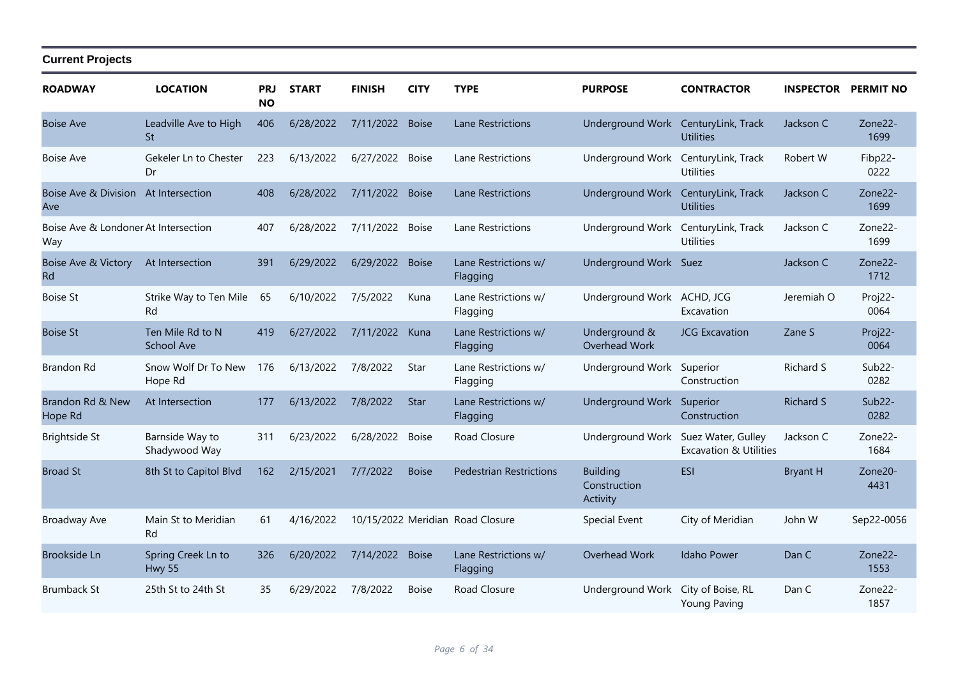| <b>ROADWAY</b>                              | <b>LOCATION</b>                       | PRJ<br><b>NO</b> | <b>START</b> | <b>FINISH</b>   | <b>CITY</b>  | <b>TYPE</b>                      | <b>PURPOSE</b>                              | <b>CONTRACTOR</b>                                       |                  | <b>INSPECTOR PERMIT NO</b>  |
|---------------------------------------------|---------------------------------------|------------------|--------------|-----------------|--------------|----------------------------------|---------------------------------------------|---------------------------------------------------------|------------------|-----------------------------|
| <b>Boise Ave</b>                            | Leadville Ave to High<br>St           | 406              | 6/28/2022    | 7/11/2022       | <b>Boise</b> | <b>Lane Restrictions</b>         | Underground Work                            | CenturyLink, Track<br><b>Utilities</b>                  | Jackson C        | Zone22-<br>1699             |
| <b>Boise Ave</b>                            | Gekeler Ln to Chester<br>Dr           | 223              | 6/13/2022    | 6/27/2022       | <b>Boise</b> | Lane Restrictions                | Underground Work                            | CenturyLink, Track<br><b>Utilities</b>                  | Robert W         | Fibp22-<br>0222             |
| Boise Ave & Division At Intersection<br>Ave |                                       | 408              | 6/28/2022    | 7/11/2022 Boise |              | <b>Lane Restrictions</b>         | Underground Work CenturyLink, Track         | <b>Utilities</b>                                        | Jackson C        | Zone22-<br>1699             |
| Boise Ave & Londoner At Intersection<br>Way |                                       | 407              | 6/28/2022    | 7/11/2022       | <b>Boise</b> | Lane Restrictions                | Underground Work CenturyLink, Track         | <b>Utilities</b>                                        | Jackson C        | Zone22-<br>1699             |
| <b>Boise Ave &amp; Victory</b><br>Rd        | At Intersection                       | 391              | 6/29/2022    | 6/29/2022       | <b>Boise</b> | Lane Restrictions w/<br>Flagging | Underground Work Suez                       |                                                         | Jackson C        | Zone22-<br>1712             |
| <b>Boise St</b>                             | Strike Way to Ten Mile<br>Rd          | 65               | 6/10/2022    | 7/5/2022        | Kuna         | Lane Restrictions w/<br>Flagging | Underground Work ACHD, JCG                  | Excavation                                              | Jeremiah O       | Proj22-<br>0064             |
| <b>Boise St</b>                             | Ten Mile Rd to N<br><b>School Ave</b> | 419              | 6/27/2022    | 7/11/2022       | Kuna         | Lane Restrictions w/<br>Flagging | Underground &<br>Overhead Work              | <b>JCG Excavation</b>                                   | Zane S           | Proj22-<br>0064             |
| <b>Brandon Rd</b>                           | Snow Wolf Dr To New<br>Hope Rd        | 176              | 6/13/2022    | 7/8/2022        | Star         | Lane Restrictions w/<br>Flagging | Underground Work                            | Superior<br>Construction                                | Richard S        | Sub <sub>22</sub> -<br>0282 |
| Brandon Rd & New<br>Hope Rd                 | At Intersection                       | 177              | 6/13/2022    | 7/8/2022        | <b>Star</b>  | Lane Restrictions w/<br>Flagging | Underground Work Superior                   | Construction                                            | <b>Richard S</b> | $Sub22-$<br>0282            |
| <b>Brightside St</b>                        | Barnside Way to<br>Shadywood Way      | 311              | 6/23/2022    | 6/28/2022       | <b>Boise</b> | Road Closure                     | Underground Work                            | Suez Water, Gulley<br><b>Excavation &amp; Utilities</b> | Jackson C        | Zone22-<br>1684             |
| <b>Broad St</b>                             | 8th St to Capitol Blvd                | 162              | 2/15/2021    | 7/7/2022        | <b>Boise</b> | <b>Pedestrian Restrictions</b>   | <b>Building</b><br>Construction<br>Activity | <b>ESI</b>                                              | <b>Bryant H</b>  | Zone20-<br>4431             |
| <b>Broadway Ave</b>                         | Main St to Meridian<br>Rd             | 61               | 4/16/2022    |                 |              | 10/15/2022 Meridian Road Closure | Special Event                               | City of Meridian                                        | John W           | Sep22-0056                  |
| <b>Brookside Ln</b>                         | Spring Creek Ln to<br><b>Hwy 55</b>   | 326              | 6/20/2022    | 7/14/2022 Boise |              | Lane Restrictions w/<br>Flagging | Overhead Work                               | <b>Idaho Power</b>                                      | Dan C            | Zone22-<br>1553             |
| <b>Brumback St</b>                          | 25th St to 24th St                    | 35               | 6/29/2022    | 7/8/2022        | <b>Boise</b> | <b>Road Closure</b>              | Underground Work                            | City of Boise, RL<br><b>Young Paving</b>                | Dan C            | Zone22-<br>1857             |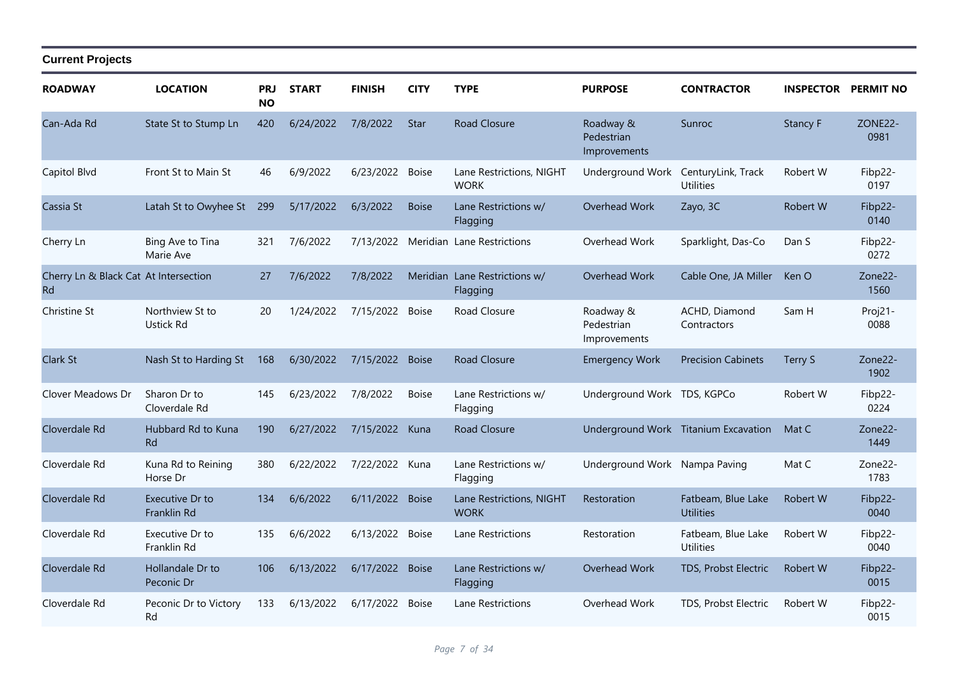| <b>ROADWAY</b>                              | <b>LOCATION</b>                 | <b>PRJ</b><br><b>NO</b> | <b>START</b> | <b>FINISH</b>  | <b>CITY</b>  | <b>TYPE</b>                               | <b>PURPOSE</b>                                 | <b>CONTRACTOR</b>                      | <b>INSPECTOR</b> | <b>PERMIT NO</b> |
|---------------------------------------------|---------------------------------|-------------------------|--------------|----------------|--------------|-------------------------------------------|------------------------------------------------|----------------------------------------|------------------|------------------|
| Can-Ada Rd                                  | State St to Stump Ln            | 420                     | 6/24/2022    | 7/8/2022       | <b>Star</b>  | <b>Road Closure</b>                       | Roadway &<br>Pedestrian<br><i>Improvements</i> | Sunroc                                 | <b>Stancy F</b>  | ZONE22-<br>0981  |
| Capitol Blvd                                | Front St to Main St             | 46                      | 6/9/2022     | 6/23/2022      | <b>Boise</b> | Lane Restrictions, NIGHT<br><b>WORK</b>   | Underground Work                               | CenturyLink, Track<br><b>Utilities</b> | Robert W         | Fibp22-<br>0197  |
| Cassia St                                   | Latah St to Owyhee St           | 299                     | 5/17/2022    | 6/3/2022       | <b>Boise</b> | Lane Restrictions w/<br>Flagging          | Overhead Work                                  | Zayo, 3C                               | Robert W         | Fibp22-<br>0140  |
| Cherry Ln                                   | Bing Ave to Tina<br>Marie Ave   | 321                     | 7/6/2022     | 7/13/2022      |              | Meridian Lane Restrictions                | Overhead Work                                  | Sparklight, Das-Co                     | Dan S            | Fibp22-<br>0272  |
| Cherry Ln & Black Cat At Intersection<br>Rd |                                 | 27                      | 7/6/2022     | 7/8/2022       |              | Meridian Lane Restrictions w/<br>Flagging | Overhead Work                                  | Cable One, JA Miller                   | Ken O            | Zone22-<br>1560  |
| <b>Christine St</b>                         | Northview St to<br>Ustick Rd    | 20                      | 1/24/2022    | 7/15/2022      | <b>Boise</b> | Road Closure                              | Roadway &<br>Pedestrian<br>Improvements        | ACHD, Diamond<br>Contractors           | Sam H            | Proj21-<br>0088  |
| <b>Clark St</b>                             | Nash St to Harding St           | 168                     | 6/30/2022    | 7/15/2022      | <b>Boise</b> | Road Closure                              | <b>Emergency Work</b>                          | <b>Precision Cabinets</b>              | Terry S          | Zone22-<br>1902  |
| Clover Meadows Dr                           | Sharon Dr to<br>Cloverdale Rd   | 145                     | 6/23/2022    | 7/8/2022       | <b>Boise</b> | Lane Restrictions w/<br>Flagging          | Underground Work TDS, KGPCo                    |                                        | Robert W         | Fibp22-<br>0224  |
| Cloverdale Rd                               | Hubbard Rd to Kuna<br><b>Rd</b> | 190                     | 6/27/2022    | 7/15/2022      | Kuna         | Road Closure                              |                                                | Underground Work Titanium Excavation   | Mat C            | Zone22-<br>1449  |
| Cloverdale Rd                               | Kuna Rd to Reining<br>Horse Dr  | 380                     | 6/22/2022    | 7/22/2022 Kuna |              | Lane Restrictions w/<br>Flagging          | Underground Work Nampa Paving                  |                                        | Mat C            | Zone22-<br>1783  |
| Cloverdale Rd                               | Executive Dr to<br>Franklin Rd  | 134                     | 6/6/2022     | 6/11/2022      | <b>Boise</b> | Lane Restrictions, NIGHT<br><b>WORK</b>   | Restoration                                    | Fatbeam, Blue Lake<br><b>Utilities</b> | <b>Robert W</b>  | Fibp22-<br>0040  |
| Cloverdale Rd                               | Executive Dr to<br>Franklin Rd  | 135                     | 6/6/2022     | 6/13/2022      | <b>Boise</b> | Lane Restrictions                         | Restoration                                    | Fatbeam, Blue Lake<br><b>Utilities</b> | Robert W         | Fibp22-<br>0040  |
| Cloverdale Rd                               | Hollandale Dr to<br>Peconic Dr  | 106                     | 6/13/2022    | 6/17/2022      | <b>Boise</b> | Lane Restrictions w/<br>Flagging          | Overhead Work                                  | TDS, Probst Electric                   | <b>Robert W</b>  | Fibp22-<br>0015  |
| Cloverdale Rd                               | Peconic Dr to Victory<br>Rd     | 133                     | 6/13/2022    | 6/17/2022      | <b>Boise</b> | Lane Restrictions                         | Overhead Work                                  | TDS, Probst Electric                   | Robert W         | Fibp22-<br>0015  |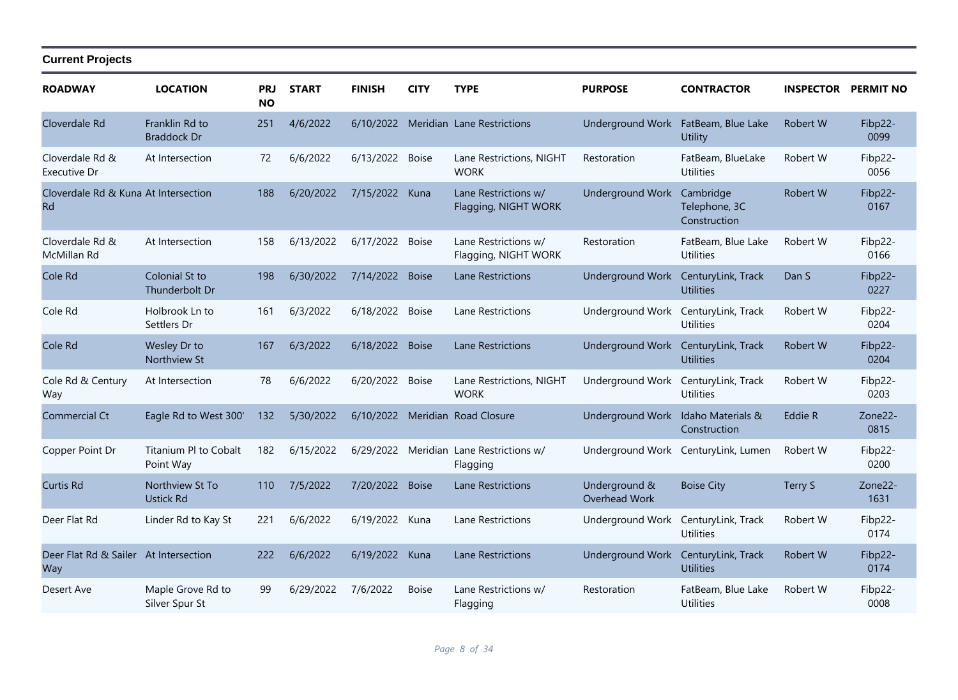| <b>ROADWAY</b>                                      | <b>LOCATION</b>                      | <b>PRJ</b><br><b>NO</b> | <b>START</b> | <b>FINISH</b>  | <b>CITY</b>  | <b>TYPE</b>                                  | <b>PURPOSE</b>                     | <b>CONTRACTOR</b>                          | <b>INSPECTOR PERMIT NO</b> |                 |
|-----------------------------------------------------|--------------------------------------|-------------------------|--------------|----------------|--------------|----------------------------------------------|------------------------------------|--------------------------------------------|----------------------------|-----------------|
| Cloverdale Rd                                       | Franklin Rd to<br><b>Braddock Dr</b> | 251                     | 4/6/2022     | 6/10/2022      |              | Meridian Lane Restrictions                   | <b>Underground Work</b>            | FatBeam, Blue Lake<br>Utility              | Robert W                   | Fibp22-<br>0099 |
| Cloverdale Rd &<br>Executive Dr                     | At Intersection                      | 72                      | 6/6/2022     | 6/13/2022      | <b>Boise</b> | Lane Restrictions, NIGHT<br><b>WORK</b>      | Restoration                        | FatBeam, BlueLake<br><b>Utilities</b>      | Robert W                   | Fibp22-<br>0056 |
| Cloverdale Rd & Kuna At Intersection<br><b>Rd</b>   |                                      | 188                     | 6/20/2022    | 7/15/2022 Kuna |              | Lane Restrictions w/<br>Flagging, NIGHT WORK | <b>Underground Work</b>            | Cambridge<br>Telephone, 3C<br>Construction | Robert W                   | Fibp22-<br>0167 |
| Cloverdale Rd &<br>McMillan Rd                      | At Intersection                      | 158                     | 6/13/2022    | 6/17/2022      | <b>Boise</b> | Lane Restrictions w/<br>Flagging, NIGHT WORK | Restoration                        | FatBeam, Blue Lake<br><b>Utilities</b>     | Robert W                   | Fibp22-<br>0166 |
| Cole Rd                                             | Colonial St to<br>Thunderbolt Dr     | 198                     | 6/30/2022    | 7/14/2022      | <b>Boise</b> | Lane Restrictions                            | Underground Work                   | CenturyLink, Track<br><b>Utilities</b>     | Dan S                      | Fibp22-<br>0227 |
| Cole Rd                                             | Holbrook Ln to<br>Settlers Dr        | 161                     | 6/3/2022     | 6/18/2022      | <b>Boise</b> | Lane Restrictions                            | Underground Work                   | CenturyLink, Track<br><b>Utilities</b>     | Robert W                   | Fibp22-<br>0204 |
| Cole Rd                                             | Wesley Dr to<br>Northview St         | 167                     | 6/3/2022     | 6/18/2022      | <b>Boise</b> | <b>Lane Restrictions</b>                     | <b>Underground Work</b>            | CenturyLink, Track<br><b>Utilities</b>     | Robert W                   | Fibp22-<br>0204 |
| Cole Rd & Century<br>Way                            | At Intersection                      | 78                      | 6/6/2022     | 6/20/2022      | <b>Boise</b> | Lane Restrictions, NIGHT<br><b>WORK</b>      | Underground Work                   | CenturyLink, Track<br><b>Utilities</b>     | Robert W                   | Fibp22-<br>0203 |
| <b>Commercial Ct</b>                                | Eagle Rd to West 300'                | 132                     | 5/30/2022    |                |              | 6/10/2022 Meridian Road Closure              | Underground Work Idaho Materials & | Construction                               | Eddie R                    | Zone22-<br>0815 |
| Copper Point Dr                                     | Titanium PI to Cobalt<br>Point Way   | 182                     | 6/15/2022    | 6/29/2022      |              | Meridian Lane Restrictions w/<br>Flagging    |                                    | Underground Work CenturyLink, Lumen        | Robert W                   | Fibp22-<br>0200 |
| <b>Curtis Rd</b>                                    | Northview St To<br><b>Ustick Rd</b>  | 110                     | 7/5/2022     | 7/20/2022      | <b>Boise</b> | Lane Restrictions                            | Underground &<br>Overhead Work     | <b>Boise City</b>                          | Terry S                    | Zone22-<br>1631 |
| Deer Flat Rd                                        | Linder Rd to Kay St                  | 221                     | 6/6/2022     | 6/19/2022 Kuna |              | Lane Restrictions                            | Underground Work                   | CenturyLink, Track<br><b>Utilities</b>     | Robert W                   | Fibp22-<br>0174 |
| Deer Flat Rd & Sailer At Intersection<br><b>Way</b> |                                      | 222                     | 6/6/2022     | 6/19/2022 Kuna |              | <b>Lane Restrictions</b>                     | <b>Underground Work</b>            | CenturyLink, Track<br><b>Utilities</b>     | Robert W                   | Fibp22-<br>0174 |
| Desert Ave                                          | Maple Grove Rd to<br>Silver Spur St  | 99                      | 6/29/2022    | 7/6/2022       | <b>Boise</b> | Lane Restrictions w/<br>Flagging             | Restoration                        | FatBeam, Blue Lake<br><b>Utilities</b>     | Robert W                   | Fibp22-<br>0008 |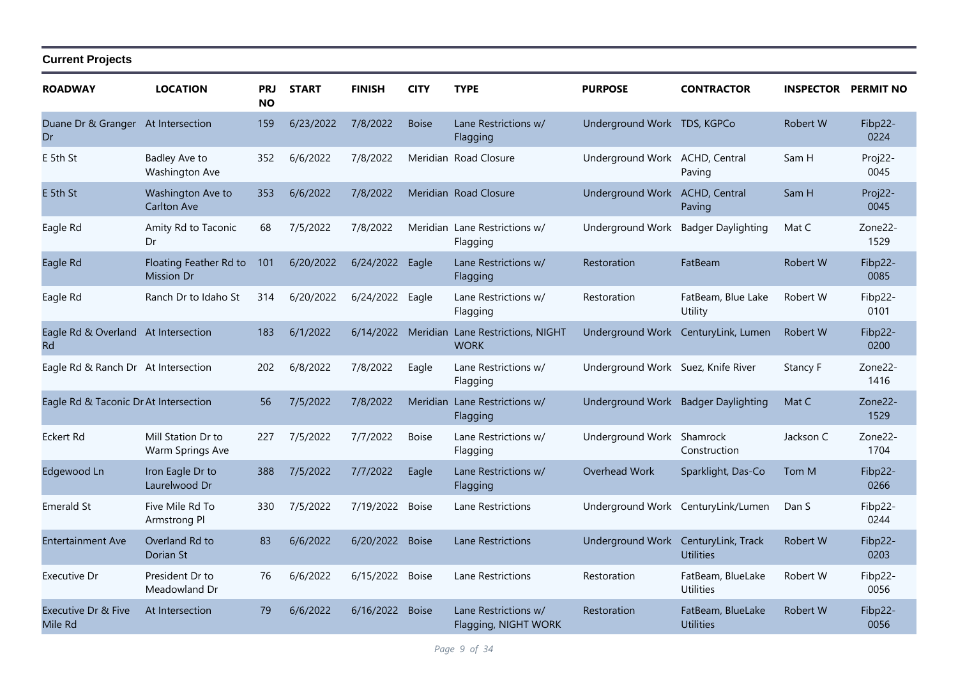| <b>ROADWAY</b>                            | <b>LOCATION</b>                             | <b>PRJ</b><br><b>NO</b> | <b>START</b> | <b>FINISH</b>   | <b>CITY</b>  | <b>TYPE</b>                                  | <b>PURPOSE</b>                     | <b>CONTRACTOR</b>                      | <b>INSPECTOR PERMIT NO</b> |                 |
|-------------------------------------------|---------------------------------------------|-------------------------|--------------|-----------------|--------------|----------------------------------------------|------------------------------------|----------------------------------------|----------------------------|-----------------|
| Duane Dr & Granger At Intersection<br>Dr  |                                             | 159                     | 6/23/2022    | 7/8/2022        | <b>Boise</b> | Lane Restrictions w/<br>Flagging             | Underground Work TDS, KGPCo        |                                        | Robert W                   | Fibp22-<br>0224 |
| E 5th St                                  | Badley Ave to<br>Washington Ave             | 352                     | 6/6/2022     | 7/8/2022        |              | Meridian Road Closure                        | Underground Work ACHD, Central     | Paving                                 | Sam H                      | Proj22-<br>0045 |
| E 5th St                                  | Washington Ave to<br><b>Carlton Ave</b>     | 353                     | 6/6/2022     | 7/8/2022        |              | Meridian Road Closure                        | <b>Underground Work</b>            | <b>ACHD, Central</b><br>Paving         | Sam H                      | Proj22-<br>0045 |
| Eagle Rd                                  | Amity Rd to Taconic<br>Dr                   | 68                      | 7/5/2022     | 7/8/2022        |              | Meridian Lane Restrictions w/<br>Flagging    | Underground Work                   | <b>Badger Daylighting</b>              | Mat C                      | Zone22-<br>1529 |
| Eagle Rd                                  | Floating Feather Rd to<br><b>Mission Dr</b> | 101                     | 6/20/2022    | 6/24/2022 Eagle |              | Lane Restrictions w/<br>Flagging             | Restoration                        | FatBeam                                | Robert W                   | Fibp22-<br>0085 |
| Eagle Rd                                  | Ranch Dr to Idaho St                        | 314                     | 6/20/2022    | 6/24/2022 Eagle |              | Lane Restrictions w/<br>Flagging             | Restoration                        | FatBeam, Blue Lake<br>Utility          | Robert W                   | Fibp22-<br>0101 |
| Eagle Rd & Overland At Intersection<br>Rd |                                             | 183                     | 6/1/2022     | 6/14/2022       | Meridian     | Lane Restrictions, NIGHT<br><b>WORK</b>      |                                    | Underground Work CenturyLink, Lumen    | Robert W                   | Fibp22-<br>0200 |
| Eagle Rd & Ranch Dr At Intersection       |                                             | 202                     | 6/8/2022     | 7/8/2022        | Eagle        | Lane Restrictions w/<br>Flagging             | Underground Work Suez, Knife River |                                        | Stancy F                   | Zone22-<br>1416 |
| Eagle Rd & Taconic Dr At Intersection     |                                             | 56                      | 7/5/2022     | 7/8/2022        |              | Meridian Lane Restrictions w/<br>Flagging    |                                    | Underground Work Badger Daylighting    | Mat C                      | Zone22-<br>1529 |
| <b>Eckert Rd</b>                          | Mill Station Dr to<br>Warm Springs Ave      | 227                     | 7/5/2022     | 7/7/2022        | <b>Boise</b> | Lane Restrictions w/<br>Flagging             | Underground Work                   | Shamrock<br>Construction               | Jackson C                  | Zone22-<br>1704 |
| Edgewood Ln                               | Iron Eagle Dr to<br>Laurelwood Dr           | 388                     | 7/5/2022     | 7/7/2022        | Eagle        | Lane Restrictions w/<br>Flagging             | Overhead Work                      | Sparklight, Das-Co                     | Tom M                      | Fibp22-<br>0266 |
| <b>Emerald St</b>                         | Five Mile Rd To<br>Armstrong Pl             | 330                     | 7/5/2022     | 7/19/2022 Boise |              | Lane Restrictions                            |                                    | Underground Work CenturyLink/Lumen     | Dan S                      | Fibp22-<br>0244 |
| <b>Entertainment Ave</b>                  | Overland Rd to<br>Dorian St                 | 83                      | 6/6/2022     | 6/20/2022       | <b>Boise</b> | Lane Restrictions                            | <b>Underground Work</b>            | CenturyLink, Track<br><b>Utilities</b> | Robert W                   | Fibp22-<br>0203 |
| Executive Dr                              | President Dr to<br>Meadowland Dr            | 76                      | 6/6/2022     | 6/15/2022 Boise |              | Lane Restrictions                            | Restoration                        | FatBeam, BlueLake<br><b>Utilities</b>  | Robert W                   | Fibp22-<br>0056 |
| Executive Dr & Five<br>Mile Rd            | At Intersection                             | 79                      | 6/6/2022     | 6/16/2022 Boise |              | Lane Restrictions w/<br>Flagging, NIGHT WORK | Restoration                        | FatBeam, BlueLake<br><b>Utilities</b>  | Robert W                   | Fibp22-<br>0056 |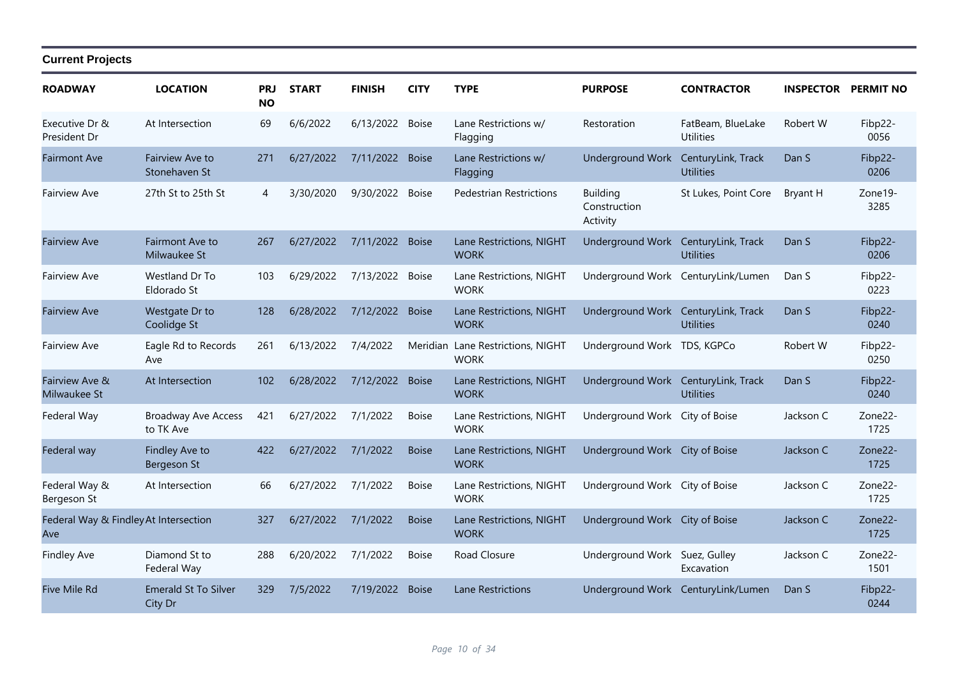| <b>ROADWAY</b>                               | <b>LOCATION</b>                         | <b>PRJ</b><br><b>NO</b> | <b>START</b> | <b>FINISH</b>   | <b>CITY</b>  | <b>TYPE</b>                             | <b>PURPOSE</b>                              | <b>CONTRACTOR</b>                      | <b>INSPECTOR PERMIT NO</b> |                              |
|----------------------------------------------|-----------------------------------------|-------------------------|--------------|-----------------|--------------|-----------------------------------------|---------------------------------------------|----------------------------------------|----------------------------|------------------------------|
| Executive Dr &<br>President Dr               | At Intersection                         | 69                      | 6/6/2022     | 6/13/2022       | Boise        | Lane Restrictions w/<br>Flagging        | Restoration                                 | FatBeam, BlueLake<br><b>Utilities</b>  | Robert W                   | Fibp22-<br>0056              |
| <b>Fairmont Ave</b>                          | <b>Fairview Ave to</b><br>Stonehaven St | 271                     | 6/27/2022    | 7/11/2022 Boise |              | Lane Restrictions w/<br>Flagging        | <b>Underground Work</b>                     | CenturyLink, Track<br><b>Utilities</b> | Dan S                      | Fibp22-<br>0206              |
| <b>Fairview Ave</b>                          | 27th St to 25th St                      | 4                       | 3/30/2020    | 9/30/2022       | <b>Boise</b> | <b>Pedestrian Restrictions</b>          | <b>Building</b><br>Construction<br>Activity | St Lukes, Point Core                   | Bryant H                   | Zone19-<br>3285              |
| <b>Fairview Ave</b>                          | <b>Fairmont Ave to</b><br>Milwaukee St  | 267                     | 6/27/2022    | 7/11/2022 Boise |              | Lane Restrictions, NIGHT<br><b>WORK</b> | Underground Work CenturyLink, Track         | <b>Utilities</b>                       | Dan S                      | Fibp22-<br>0206              |
| <b>Fairview Ave</b>                          | Westland Dr To<br>Eldorado St           | 103                     | 6/29/2022    | 7/13/2022       | <b>Boise</b> | Lane Restrictions, NIGHT<br><b>WORK</b> |                                             | Underground Work CenturyLink/Lumen     | Dan S                      | Fibp22-<br>0223              |
| <b>Fairview Ave</b>                          | Westgate Dr to<br>Coolidge St           | 128                     | 6/28/2022    | 7/12/2022 Boise |              | Lane Restrictions, NIGHT<br><b>WORK</b> | Underground Work CenturyLink, Track         | <b>Utilities</b>                       | Dan S                      | Fibp22-<br>0240              |
| <b>Fairview Ave</b>                          | Eagle Rd to Records<br>Ave              | 261                     | 6/13/2022    | 7/4/2022        | Meridian     | Lane Restrictions, NIGHT<br><b>WORK</b> | Underground Work TDS, KGPCo                 |                                        | Robert W                   | Fibp22-<br>0250              |
| Fairview Ave &<br>Milwaukee St               | At Intersection                         | 102                     | 6/28/2022    | 7/12/2022       | <b>Boise</b> | Lane Restrictions, NIGHT<br><b>WORK</b> | Underground Work CenturyLink, Track         | <b>Utilities</b>                       | Dan S                      | Fibp22-<br>0240              |
| Federal Way                                  | <b>Broadway Ave Access</b><br>to TK Ave | 421                     | 6/27/2022    | 7/1/2022        | <b>Boise</b> | Lane Restrictions, NIGHT<br><b>WORK</b> | Underground Work City of Boise              |                                        | Jackson C                  | Zone22-<br>1725              |
| Federal way                                  | Findley Ave to<br>Bergeson St           | 422                     | 6/27/2022    | 7/1/2022        | <b>Boise</b> | Lane Restrictions, NIGHT<br><b>WORK</b> | Underground Work City of Boise              |                                        | Jackson C                  | Zone22-<br>1725              |
| Federal Way &<br>Bergeson St                 | At Intersection                         | 66                      | 6/27/2022    | 7/1/2022        | <b>Boise</b> | Lane Restrictions, NIGHT<br><b>WORK</b> | Underground Work City of Boise              |                                        | Jackson C                  | Zone <sub>22</sub> -<br>1725 |
| Federal Way & Findley At Intersection<br>Ave |                                         | 327                     | 6/27/2022    | 7/1/2022        | <b>Boise</b> | Lane Restrictions, NIGHT<br><b>WORK</b> | Underground Work City of Boise              |                                        | Jackson C                  | Zone22-<br>1725              |
| <b>Findley Ave</b>                           | Diamond St to<br>Federal Way            | 288                     | 6/20/2022    | 7/1/2022        | <b>Boise</b> | Road Closure                            | Underground Work Suez, Gulley               | Excavation                             | Jackson C                  | Zone22-<br>1501              |
| <b>Five Mile Rd</b>                          | <b>Emerald St To Silver</b><br>City Dr  | 329                     | 7/5/2022     | 7/19/2022       | <b>Boise</b> | <b>Lane Restrictions</b>                |                                             | Underground Work CenturyLink/Lumen     | Dan S                      | Fibp22-<br>0244              |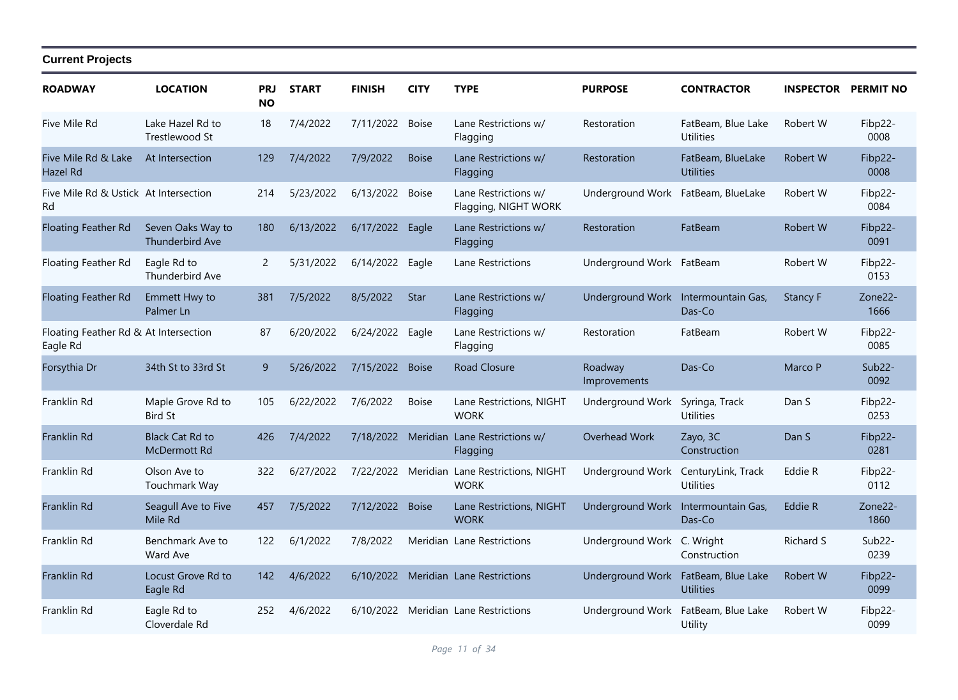| <b>ROADWAY</b>                                    | <b>LOCATION</b>                               | PRJ<br><b>NO</b> | <b>START</b> | <b>FINISH</b>   | <b>CITY</b>  | <b>TYPE</b>                                                | <b>PURPOSE</b>                      | <b>CONTRACTOR</b>                                       | <b>INSPECTOR PERMIT NO</b> |                  |
|---------------------------------------------------|-----------------------------------------------|------------------|--------------|-----------------|--------------|------------------------------------------------------------|-------------------------------------|---------------------------------------------------------|----------------------------|------------------|
| Five Mile Rd                                      | Lake Hazel Rd to<br>Trestlewood St            | 18               | 7/4/2022     | 7/11/2022 Boise |              | Lane Restrictions w/<br>Flagging                           | Restoration                         | FatBeam, Blue Lake<br><b>Utilities</b>                  | Robert W                   | Fibp22-<br>0008  |
| Five Mile Rd & Lake<br>Hazel Rd                   | At Intersection                               | 129              | 7/4/2022     | 7/9/2022        | <b>Boise</b> | Lane Restrictions w/<br>Flagging                           | Restoration                         | FatBeam, BlueLake<br><b>Utilities</b>                   | Robert W                   | Fibp22-<br>0008  |
| Five Mile Rd & Ustick At Intersection<br>Rd       |                                               | 214              | 5/23/2022    | 6/13/2022       | <b>Boise</b> | Lane Restrictions w/<br>Flagging, NIGHT WORK               | Underground Work                    | FatBeam, BlueLake                                       | Robert W                   | Fibp22-<br>0084  |
| Floating Feather Rd                               | Seven Oaks Way to<br><b>Thunderbird Ave</b>   | 180              | 6/13/2022    | 6/17/2022       | Eagle        | Lane Restrictions w/<br>Flagging                           | Restoration                         | FatBeam                                                 | Robert W                   | Fibp22-<br>0091  |
| Floating Feather Rd                               | Eagle Rd to<br><b>Thunderbird Ave</b>         | $\mathbf{2}$     | 5/31/2022    | 6/14/2022 Eagle |              | Lane Restrictions                                          | Underground Work FatBeam            |                                                         | Robert W                   | Fibp22-<br>0153  |
| <b>Floating Feather Rd</b>                        | Emmett Hwy to<br>Palmer Ln                    | 381              | 7/5/2022     | 8/5/2022        | Star         | Lane Restrictions w/<br>Flagging                           | Underground Work Intermountain Gas, | Das-Co                                                  | <b>Stancy F</b>            | Zone22-<br>1666  |
| Floating Feather Rd & At Intersection<br>Eagle Rd |                                               | 87               | 6/20/2022    | 6/24/2022       | Eagle        | Lane Restrictions w/<br>Flagging                           | Restoration                         | FatBeam                                                 | Robert W                   | Fibp22-<br>0085  |
| Forsythia Dr                                      | 34th St to 33rd St                            | 9                | 5/26/2022    | 7/15/2022 Boise |              | <b>Road Closure</b>                                        | Roadway<br>Improvements             | Das-Co                                                  | Marco P                    | $Sub22-$<br>0092 |
| Franklin Rd                                       | Maple Grove Rd to<br><b>Bird St</b>           | 105              | 6/22/2022    | 7/6/2022        | <b>Boise</b> | Lane Restrictions, NIGHT<br><b>WORK</b>                    | <b>Underground Work</b>             | Syringa, Track<br><b>Utilities</b>                      | Dan S                      | Fibp22-<br>0253  |
| Franklin Rd                                       | <b>Black Cat Rd to</b><br><b>McDermott Rd</b> | 426              | 7/4/2022     | 7/18/2022       |              | Meridian Lane Restrictions w/<br>Flagging                  | Overhead Work                       | Zayo, 3C<br>Construction                                | Dan S                      | Fibp22-<br>0281  |
| Franklin Rd                                       | Olson Ave to<br>Touchmark Way                 | 322              | 6/27/2022    |                 |              | 7/22/2022 Meridian Lane Restrictions, NIGHT<br><b>WORK</b> | Underground Work                    | CenturyLink, Track<br><b>Utilities</b>                  | Eddie R                    | Fibp22-<br>0112  |
| <b>Franklin Rd</b>                                | Seagull Ave to Five<br>Mile Rd                | 457              | 7/5/2022     | 7/12/2022 Boise |              | Lane Restrictions, NIGHT<br><b>WORK</b>                    | Underground Work Intermountain Gas, | Das-Co                                                  | Eddie R                    | Zone22-<br>1860  |
| Franklin Rd                                       | Benchmark Ave to<br>Ward Ave                  | 122              | 6/1/2022     | 7/8/2022        |              | Meridian Lane Restrictions                                 | Underground Work C. Wright          | Construction                                            | <b>Richard S</b>           | Sub22-<br>0239   |
| Franklin Rd                                       | Locust Grove Rd to<br>Eagle Rd                | 142              | 4/6/2022     |                 |              | 6/10/2022 Meridian Lane Restrictions                       |                                     | Underground Work FatBeam, Blue Lake<br><b>Utilities</b> | Robert W                   | Fibp22-<br>0099  |
| Franklin Rd                                       | Eagle Rd to<br>Cloverdale Rd                  | 252              | 4/6/2022     |                 |              | 6/10/2022 Meridian Lane Restrictions                       | Underground Work                    | FatBeam, Blue Lake<br>Utility                           | Robert W                   | Fibp22-<br>0099  |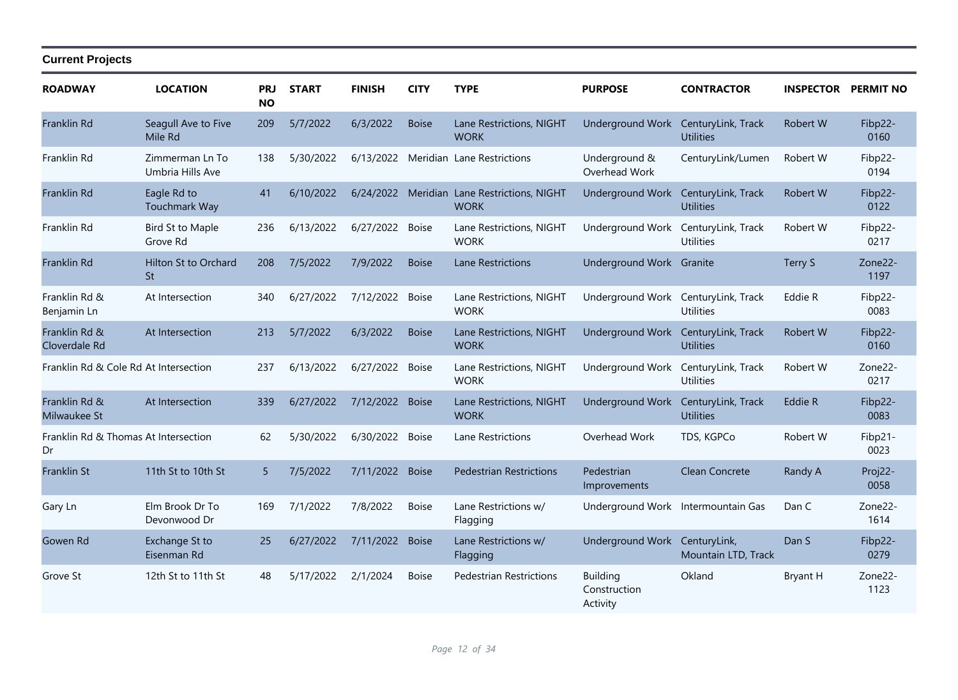| <b>ROADWAY</b>                             | <b>LOCATION</b>                     | <b>PRJ</b><br><b>NO</b> | <b>START</b> | <b>FINISH</b>   | <b>CITY</b>  | <b>TYPE</b>                                                | <b>PURPOSE</b>                              | <b>CONTRACTOR</b>                      | <b>INSPECTOR</b> | <b>PERMIT NO</b> |
|--------------------------------------------|-------------------------------------|-------------------------|--------------|-----------------|--------------|------------------------------------------------------------|---------------------------------------------|----------------------------------------|------------------|------------------|
| Franklin Rd                                | Seagull Ave to Five<br>Mile Rd      | 209                     | 5/7/2022     | 6/3/2022        | <b>Boise</b> | Lane Restrictions, NIGHT<br><b>WORK</b>                    | <b>Underground Work</b>                     | CenturyLink, Track<br><b>Utilities</b> | Robert W         | Fibp22-<br>0160  |
| Franklin Rd                                | Zimmerman Ln To<br>Umbria Hills Ave | 138                     | 5/30/2022    |                 |              | 6/13/2022 Meridian Lane Restrictions                       | Underground &<br>Overhead Work              | CenturyLink/Lumen                      | Robert W         | Fibp22-<br>0194  |
| Franklin Rd                                | Eagle Rd to<br>Touchmark Way        | 41                      | 6/10/2022    |                 |              | 6/24/2022 Meridian Lane Restrictions, NIGHT<br><b>WORK</b> | <b>Underground Work</b>                     | CenturyLink, Track<br><b>Utilities</b> | Robert W         | Fibp22-<br>0122  |
| Franklin Rd                                | <b>Bird St to Maple</b><br>Grove Rd | 236                     | 6/13/2022    | 6/27/2022 Boise |              | Lane Restrictions, NIGHT<br><b>WORK</b>                    | Underground Work                            | CenturyLink, Track<br><b>Utilities</b> | Robert W         | Fibp22-<br>0217  |
| Franklin Rd                                | Hilton St to Orchard<br><b>St</b>   | 208                     | 7/5/2022     | 7/9/2022        | <b>Boise</b> | Lane Restrictions                                          | Underground Work Granite                    |                                        | Terry S          | Zone22-<br>1197  |
| Franklin Rd &<br>Benjamin Ln               | At Intersection                     | 340                     | 6/27/2022    | 7/12/2022       | <b>Boise</b> | Lane Restrictions, NIGHT<br><b>WORK</b>                    | Underground Work                            | CenturyLink, Track<br><b>Utilities</b> | Eddie R          | Fibp22-<br>0083  |
| Franklin Rd &<br>Cloverdale Rd             | At Intersection                     | 213                     | 5/7/2022     | 6/3/2022        | <b>Boise</b> | Lane Restrictions, NIGHT<br><b>WORK</b>                    | Underground Work CenturyLink, Track         | <b>Utilities</b>                       | Robert W         | Fibp22-<br>0160  |
| Franklin Rd & Cole Rd At Intersection      |                                     | 237                     | 6/13/2022    | 6/27/2022 Boise |              | Lane Restrictions, NIGHT<br><b>WORK</b>                    | Underground Work                            | CenturyLink, Track<br><b>Utilities</b> | Robert W         | Zone22-<br>0217  |
| Franklin Rd &<br>Milwaukee St              | At Intersection                     | 339                     | 6/27/2022    | 7/12/2022       | <b>Boise</b> | Lane Restrictions, NIGHT<br><b>WORK</b>                    | Underground Work CenturyLink, Track         | <b>Utilities</b>                       | Eddie R          | Fibp22-<br>0083  |
| Franklin Rd & Thomas At Intersection<br>Dr |                                     | 62                      | 5/30/2022    | 6/30/2022       | <b>Boise</b> | Lane Restrictions                                          | Overhead Work                               | TDS, KGPCo                             | Robert W         | Fibp21-<br>0023  |
| <b>Franklin St</b>                         | 11th St to 10th St                  | 5 <sup>5</sup>          | 7/5/2022     | 7/11/2022       | <b>Boise</b> | <b>Pedestrian Restrictions</b>                             | Pedestrian<br>Improvements                  | Clean Concrete                         | Randy A          | Proj22-<br>0058  |
| Gary Ln                                    | Elm Brook Dr To<br>Devonwood Dr     | 169                     | 7/1/2022     | 7/8/2022        | <b>Boise</b> | Lane Restrictions w/<br>Flagging                           | Underground Work Intermountain Gas          |                                        | Dan C            | Zone22-<br>1614  |
| Gowen Rd                                   | Exchange St to<br>Eisenman Rd       | 25                      | 6/27/2022    | 7/11/2022       | <b>Boise</b> | Lane Restrictions w/<br>Flagging                           | Underground Work CenturyLink,               | Mountain LTD, Track                    | Dan S            | Fibp22-<br>0279  |
| Grove St                                   | 12th St to 11th St                  | 48                      | 5/17/2022    | 2/1/2024        | <b>Boise</b> | Pedestrian Restrictions                                    | <b>Building</b><br>Construction<br>Activity | Okland                                 | <b>Bryant H</b>  | Zone22-<br>1123  |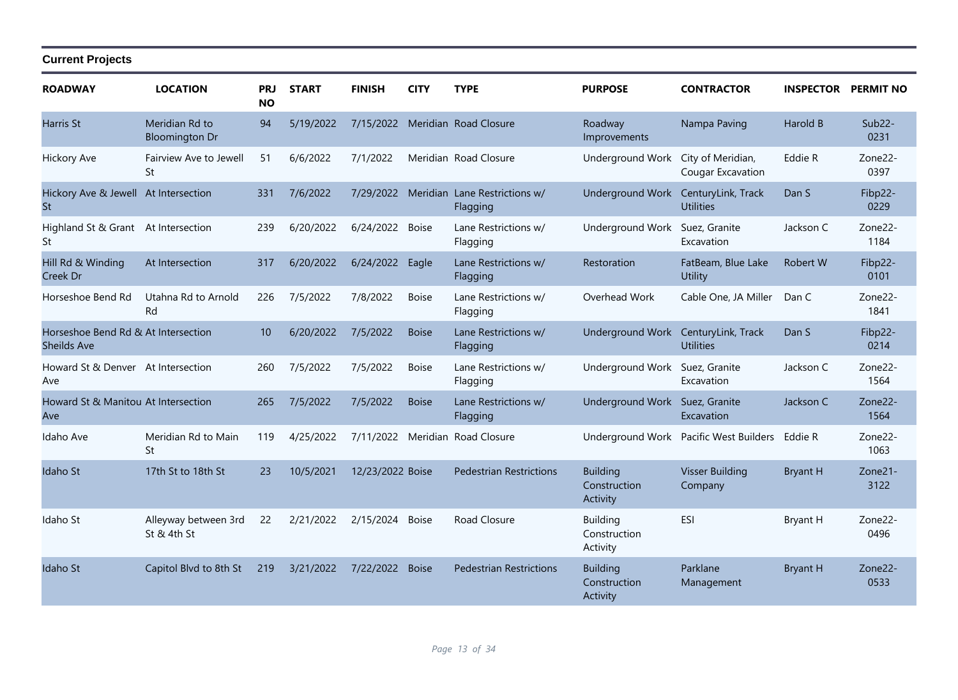| <b>ROADWAY</b>                                     | <b>LOCATION</b>                         | <b>PRJ</b><br><b>NO</b> | <b>START</b> | <b>FINISH</b>    | <b>CITY</b>  | <b>TYPE</b>                      | <b>PURPOSE</b>                              | <b>CONTRACTOR</b>                             | <b>INSPECTOR PERMIT NO</b> |                              |
|----------------------------------------------------|-----------------------------------------|-------------------------|--------------|------------------|--------------|----------------------------------|---------------------------------------------|-----------------------------------------------|----------------------------|------------------------------|
| <b>Harris St</b>                                   | Meridian Rd to<br><b>Bloomington Dr</b> | 94                      | 5/19/2022    | 7/15/2022        |              | Meridian Road Closure            | Roadway<br>Improvements                     | Nampa Paving                                  | Harold B                   | $Sub22-$<br>0231             |
| <b>Hickory Ave</b>                                 | Fairview Ave to Jewell<br>St            | 51                      | 6/6/2022     | 7/1/2022         |              | Meridian Road Closure            | Underground Work                            | City of Meridian,<br><b>Cougar Excavation</b> | Eddie R                    | Zone <sub>22</sub> -<br>0397 |
| Hickory Ave & Jewell At Intersection<br><b>St</b>  |                                         | 331                     | 7/6/2022     | 7/29/2022        | Meridian     | Lane Restrictions w/<br>Flagging | <b>Underground Work</b>                     | CenturyLink, Track<br><b>Utilities</b>        | Dan S                      | Fibp22-<br>0229              |
| Highland St & Grant At Intersection<br>St          |                                         | 239                     | 6/20/2022    | 6/24/2022        | <b>Boise</b> | Lane Restrictions w/<br>Flagging | Underground Work                            | Suez, Granite<br>Excavation                   | Jackson C                  | Zone22-<br>1184              |
| Hill Rd & Winding<br>Creek Dr                      | At Intersection                         | 317                     | 6/20/2022    | 6/24/2022        | Eagle        | Lane Restrictions w/<br>Flagging | Restoration                                 | FatBeam, Blue Lake<br><b>Utility</b>          | Robert W                   | Fibp22-<br>0101              |
| Horseshoe Bend Rd                                  | Utahna Rd to Arnold<br>Rd               | 226                     | 7/5/2022     | 7/8/2022         | <b>Boise</b> | Lane Restrictions w/<br>Flagging | Overhead Work                               | Cable One, JA Miller                          | Dan C                      | Zone22-<br>1841              |
| Horseshoe Bend Rd & At Intersection<br>Sheilds Ave |                                         | 10                      | 6/20/2022    | 7/5/2022         | <b>Boise</b> | Lane Restrictions w/<br>Flagging | Underground Work                            | CenturyLink, Track<br><b>Utilities</b>        | Dan S                      | Fibp22-<br>0214              |
| Howard St & Denver At Intersection<br>Ave          |                                         | 260                     | 7/5/2022     | 7/5/2022         | <b>Boise</b> | Lane Restrictions w/<br>Flagging | Underground Work Suez, Granite              | Excavation                                    | Jackson C                  | Zone22-<br>1564              |
| Howard St & Manitou At Intersection<br>Ave         |                                         | 265                     | 7/5/2022     | 7/5/2022         | <b>Boise</b> | Lane Restrictions w/<br>Flagging | Underground Work Suez, Granite              | Excavation                                    | Jackson C                  | Zone22-<br>1564              |
| Idaho Ave                                          | Meridian Rd to Main<br>St               | 119                     | 4/25/2022    | 7/11/2022        |              | Meridian Road Closure            |                                             | Underground Work Pacific West Builders        | Eddie R                    | Zone22-<br>1063              |
| Idaho St                                           | 17th St to 18th St                      | 23                      | 10/5/2021    | 12/23/2022 Boise |              | <b>Pedestrian Restrictions</b>   | <b>Building</b><br>Construction<br>Activity | <b>Visser Building</b><br>Company             | <b>Bryant H</b>            | Zone21-<br>3122              |
| Idaho St                                           | Alleyway between 3rd<br>St & 4th St     | 22                      | 2/21/2022    | 2/15/2024        | <b>Boise</b> | Road Closure                     | <b>Building</b><br>Construction<br>Activity | ESI                                           | <b>Bryant H</b>            | Zone22-<br>0496              |
| Idaho St                                           | Capitol Blvd to 8th St                  | 219                     | 3/21/2022    | 7/22/2022        | <b>Boise</b> | <b>Pedestrian Restrictions</b>   | <b>Building</b><br>Construction<br>Activity | Parklane<br>Management                        | <b>Bryant H</b>            | Zone22-<br>0533              |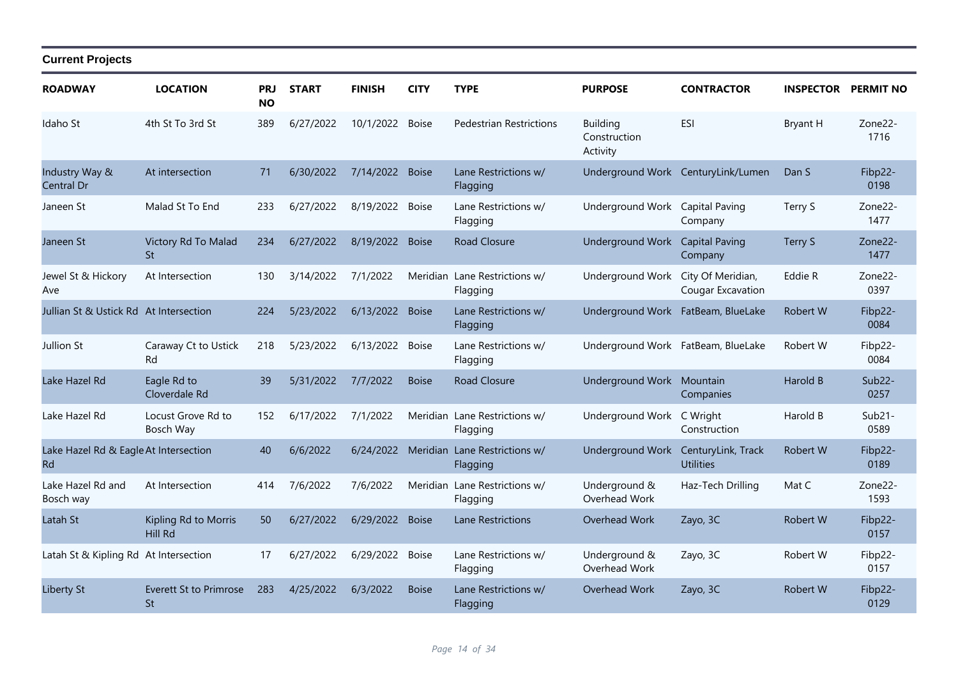| <b>ROADWAY</b>                                     | <b>LOCATION</b>                     | PRJ<br><b>NO</b> | <b>START</b> | <b>FINISH</b>   | <b>CITY</b>  | <b>TYPE</b>                               | <b>PURPOSE</b>                              | <b>CONTRACTOR</b>                  | <b>INSPECTOR</b> | <b>PERMIT NO</b>             |
|----------------------------------------------------|-------------------------------------|------------------|--------------|-----------------|--------------|-------------------------------------------|---------------------------------------------|------------------------------------|------------------|------------------------------|
| Idaho St                                           | 4th St To 3rd St                    | 389              | 6/27/2022    | 10/1/2022       | <b>Boise</b> | <b>Pedestrian Restrictions</b>            | <b>Building</b><br>Construction<br>Activity | <b>ESI</b>                         | Bryant H         | Zone <sub>22</sub> -<br>1716 |
| Industry Way &<br>Central Dr                       | At intersection                     | 71               | 6/30/2022    | 7/14/2022 Boise |              | Lane Restrictions w/<br>Flagging          |                                             | Underground Work CenturyLink/Lumen | Dan S            | Fibp22-<br>0198              |
| Janeen St                                          | Malad St To End                     | 233              | 6/27/2022    | 8/19/2022       | <b>Boise</b> | Lane Restrictions w/<br>Flagging          | Underground Work Capital Paving             | Company                            | Terry S          | Zone22-<br>1477              |
| Janeen St                                          | Victory Rd To Malad<br><b>St</b>    | 234              | 6/27/2022    | 8/19/2022       | <b>Boise</b> | <b>Road Closure</b>                       | Underground Work                            | <b>Capital Paving</b><br>Company   | Terry S          | Zone22-<br>1477              |
| Jewel St & Hickory<br>Ave                          | At Intersection                     | 130              | 3/14/2022    | 7/1/2022        |              | Meridian Lane Restrictions w/<br>Flagging | Underground Work City Of Meridian,          | Cougar Excavation                  | Eddie R          | Zone <sub>22</sub> -<br>0397 |
| Jullian St & Ustick Rd At Intersection             |                                     | 224              | 5/23/2022    | 6/13/2022 Boise |              | Lane Restrictions w/<br>Flagging          | Underground Work FatBeam, BlueLake          |                                    | Robert W         | Fibp22-<br>0084              |
| Jullion St                                         | Caraway Ct to Ustick<br>Rd          | 218              | 5/23/2022    | 6/13/2022       | <b>Boise</b> | Lane Restrictions w/<br>Flagging          | Underground Work FatBeam, BlueLake          |                                    | Robert W         | Fibp22-<br>0084              |
| Lake Hazel Rd                                      | Eagle Rd to<br>Cloverdale Rd        | 39               | 5/31/2022    | 7/7/2022        | <b>Boise</b> | Road Closure                              | Underground Work Mountain                   | Companies                          | Harold B         | Sub <sub>22</sub> -<br>0257  |
| Lake Hazel Rd                                      | Locust Grove Rd to<br>Bosch Way     | 152              | 6/17/2022    | 7/1/2022        |              | Meridian Lane Restrictions w/<br>Flagging | Underground Work                            | C Wright<br>Construction           | Harold B         | $Sub21-$<br>0589             |
| Lake Hazel Rd & Eagle At Intersection<br><b>Rd</b> |                                     | 40               | 6/6/2022     | 6/24/2022       |              | Meridian Lane Restrictions w/<br>Flagging | Underground Work CenturyLink, Track         | <b>Utilities</b>                   | <b>Robert W</b>  | Fibp22-<br>0189              |
| Lake Hazel Rd and<br>Bosch way                     | At Intersection                     | 414              | 7/6/2022     | 7/6/2022        |              | Meridian Lane Restrictions w/<br>Flagging | Underground &<br>Overhead Work              | Haz-Tech Drilling                  | Mat C            | Zone22-<br>1593              |
| Latah St                                           | Kipling Rd to Morris<br>Hill Rd     | 50               | 6/27/2022    | 6/29/2022       | <b>Boise</b> | Lane Restrictions                         | Overhead Work                               | Zayo, 3C                           | Robert W         | Fibp22-<br>0157              |
| Latah St & Kipling Rd At Intersection              |                                     | 17               | 6/27/2022    | 6/29/2022       | <b>Boise</b> | Lane Restrictions w/<br>Flagging          | Underground &<br>Overhead Work              | Zayo, 3C                           | Robert W         | Fibp22-<br>0157              |
| <b>Liberty St</b>                                  | <b>Everett St to Primrose</b><br>St | 283              | 4/25/2022    | 6/3/2022        | <b>Boise</b> | Lane Restrictions w/<br>Flagging          | Overhead Work                               | Zayo, 3C                           | <b>Robert W</b>  | Fibp22-<br>0129              |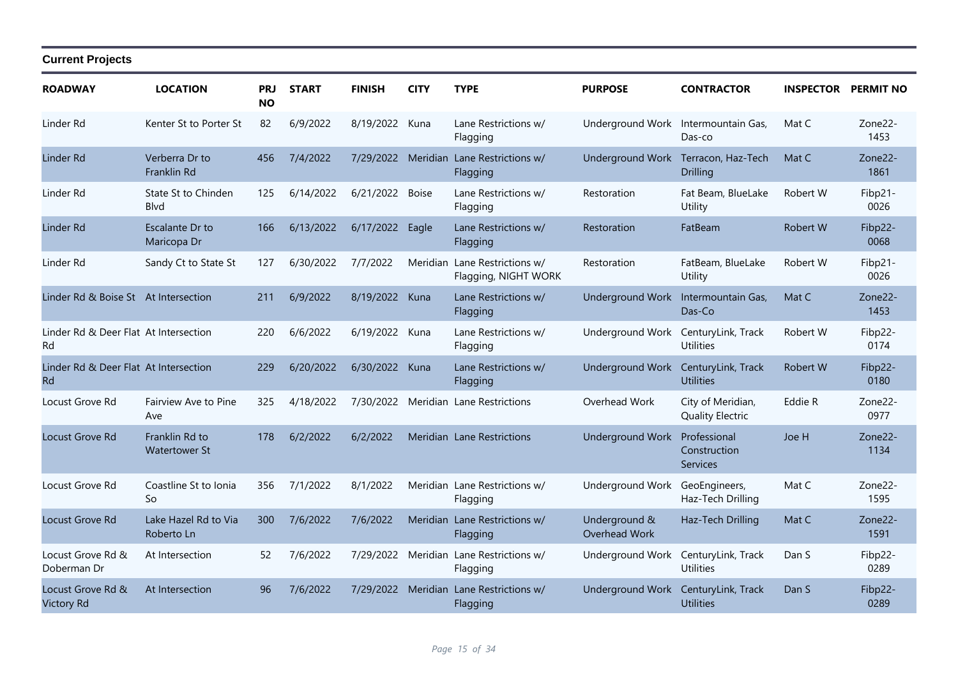| <b>ROADWAY</b>                              | <b>LOCATION</b>                        | <b>PRJ</b><br><b>NO</b> | <b>START</b> | <b>FINISH</b>   | <b>CITY</b> | <b>TYPE</b>                                         | <b>PURPOSE</b>                      | <b>CONTRACTOR</b>                               | <b>INSPECTOR PERMIT NO</b> |                              |
|---------------------------------------------|----------------------------------------|-------------------------|--------------|-----------------|-------------|-----------------------------------------------------|-------------------------------------|-------------------------------------------------|----------------------------|------------------------------|
| Linder Rd                                   | Kenter St to Porter St                 | 82                      | 6/9/2022     | 8/19/2022       | Kuna        | Lane Restrictions w/<br>Flagging                    | Underground Work                    | Intermountain Gas,<br>Das-co                    | Mat C                      | Zone22-<br>1453              |
| Linder Rd                                   | Verberra Dr to<br>Franklin Rd          | 456                     | 7/4/2022     |                 |             | 7/29/2022 Meridian Lane Restrictions w/<br>Flagging |                                     | Underground Work Terracon, Haz-Tech<br>Drilling | Mat C                      | Zone <sub>22</sub> -<br>1861 |
| Linder Rd                                   | State St to Chinden<br><b>B</b> lvd    | 125                     | 6/14/2022    | 6/21/2022 Boise |             | Lane Restrictions w/<br>Flagging                    | Restoration                         | Fat Beam, BlueLake<br>Utility                   | Robert W                   | Fibp21-<br>0026              |
| Linder Rd                                   | Escalante Dr to<br>Maricopa Dr         | 166                     | 6/13/2022    | 6/17/2022       | Eagle       | Lane Restrictions w/<br>Flagging                    | Restoration                         | FatBeam                                         | Robert W                   | Fibp22-<br>0068              |
| Linder Rd                                   | Sandy Ct to State St                   | 127                     | 6/30/2022    | 7/7/2022        | Meridian    | Lane Restrictions w/<br>Flagging, NIGHT WORK        | Restoration                         | FatBeam, BlueLake<br>Utility                    | Robert W                   | Fibp21-<br>0026              |
| Linder Rd & Boise St At Intersection        |                                        | 211                     | 6/9/2022     | 8/19/2022 Kuna  |             | Lane Restrictions w/<br>Flagging                    | Underground Work Intermountain Gas, | Das-Co                                          | Mat C                      | Zone22-<br>1453              |
| Linder Rd & Deer Flat At Intersection<br>Rd |                                        | 220                     | 6/6/2022     | 6/19/2022 Kuna  |             | Lane Restrictions w/<br>Flagging                    | Underground Work                    | CenturyLink, Track<br><b>Utilities</b>          | Robert W                   | Fibp22-<br>0174              |
| Linder Rd & Deer Flat At Intersection<br>Rd |                                        | 229                     | 6/20/2022    | 6/30/2022 Kuna  |             | Lane Restrictions w/<br>Flagging                    | <b>Underground Work</b>             | CenturyLink, Track<br><b>Utilities</b>          | Robert W                   | Fibp22-<br>0180              |
| Locust Grove Rd                             | Fairview Ave to Pine<br>Ave            | 325                     | 4/18/2022    |                 |             | 7/30/2022 Meridian Lane Restrictions                | Overhead Work                       | City of Meridian,<br><b>Quality Electric</b>    | Eddie R                    | Zone22-<br>0977              |
| Locust Grove Rd                             | Franklin Rd to<br><b>Watertower St</b> | 178                     | 6/2/2022     | 6/2/2022        |             | Meridian Lane Restrictions                          | <b>Underground Work</b>             | Professional<br>Construction<br>Services        | Joe H                      | Zone22-<br>1134              |
| Locust Grove Rd                             | Coastline St to Ionia<br>So            | 356                     | 7/1/2022     | 8/1/2022        |             | Meridian Lane Restrictions w/<br>Flagging           | Underground Work                    | GeoEngineers,<br>Haz-Tech Drilling              | Mat C                      | Zone <sub>22</sub> -<br>1595 |
| Locust Grove Rd                             | Lake Hazel Rd to Via<br>Roberto Ln     | 300                     | 7/6/2022     | 7/6/2022        |             | Meridian Lane Restrictions w/<br>Flagging           | Underground &<br>Overhead Work      | Haz-Tech Drilling                               | Mat C                      | Zone22-<br>1591              |
| Locust Grove Rd &<br>Doberman Dr            | At Intersection                        | 52                      | 7/6/2022     | 7/29/2022       |             | Meridian Lane Restrictions w/<br>Flagging           | Underground Work                    | CenturyLink, Track<br><b>Utilities</b>          | Dan S                      | Fibp22-<br>0289              |
| Locust Grove Rd &<br><b>Victory Rd</b>      | At Intersection                        | 96                      | 7/6/2022     |                 |             | 7/29/2022 Meridian Lane Restrictions w/<br>Flagging | Underground Work                    | CenturyLink, Track<br><b>Utilities</b>          | Dan S                      | Fibp22-<br>0289              |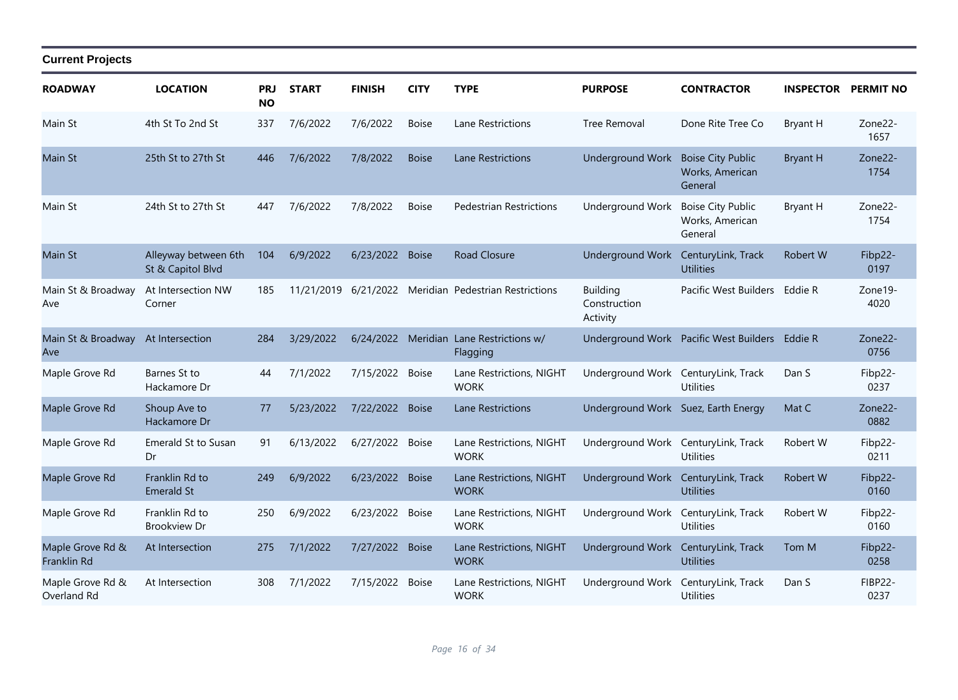| <b>ROADWAY</b>                  | <b>LOCATION</b>                           | PRJ<br><b>NO</b> | <b>START</b> | <b>FINISH</b>   | <b>CITY</b>  | <b>TYPE</b>                                         | <b>PURPOSE</b>                              | <b>CONTRACTOR</b>                                      | <b>INSPECTOR PERMIT NO</b> |                        |
|---------------------------------|-------------------------------------------|------------------|--------------|-----------------|--------------|-----------------------------------------------------|---------------------------------------------|--------------------------------------------------------|----------------------------|------------------------|
| Main St                         | 4th St To 2nd St                          | 337              | 7/6/2022     | 7/6/2022        | <b>Boise</b> | Lane Restrictions                                   | <b>Tree Removal</b>                         | Done Rite Tree Co                                      | <b>Bryant H</b>            | Zone22-<br>1657        |
| Main St                         | 25th St to 27th St                        | 446              | 7/6/2022     | 7/8/2022        | <b>Boise</b> | <b>Lane Restrictions</b>                            | <b>Underground Work</b>                     | <b>Boise City Public</b><br>Works, American<br>General | <b>Bryant H</b>            | Zone22-<br>1754        |
| Main St                         | 24th St to 27th St                        | 447              | 7/6/2022     | 7/8/2022        | <b>Boise</b> | <b>Pedestrian Restrictions</b>                      | <b>Underground Work</b>                     | <b>Boise City Public</b><br>Works, American<br>General | Bryant H                   | Zone22-<br>1754        |
| Main St                         | Alleyway between 6th<br>St & Capitol Blvd | 104              | 6/9/2022     | 6/23/2022 Boise |              | <b>Road Closure</b>                                 | <b>Underground Work</b>                     | CenturyLink, Track<br><b>Utilities</b>                 | Robert W                   | Fibp22-<br>0197        |
| Main St & Broadway<br>Ave       | At Intersection NW<br>Corner              | 185              | 11/21/2019   | 6/21/2022       |              | Meridian Pedestrian Restrictions                    | <b>Building</b><br>Construction<br>Activity | Pacific West Builders                                  | Eddie R                    | Zone19-<br>4020        |
| Main St & Broadway<br>Ave       | At Intersection                           | 284              | 3/29/2022    |                 |              | 6/24/2022 Meridian Lane Restrictions w/<br>Flagging |                                             | Underground Work Pacific West Builders Eddie R         |                            | Zone22-<br>0756        |
| Maple Grove Rd                  | Barnes St to<br>Hackamore Dr              | 44               | 7/1/2022     | 7/15/2022       | <b>Boise</b> | Lane Restrictions, NIGHT<br><b>WORK</b>             | Underground Work CenturyLink, Track         | <b>Utilities</b>                                       | Dan S                      | Fibp22-<br>0237        |
| Maple Grove Rd                  | Shoup Ave to<br>Hackamore Dr              | 77               | 5/23/2022    | 7/22/2022       | <b>Boise</b> | Lane Restrictions                                   | Underground Work Suez, Earth Energy         |                                                        | Mat C                      | Zone22-<br>0882        |
| Maple Grove Rd                  | Emerald St to Susan<br>Dr                 | 91               | 6/13/2022    | 6/27/2022       | <b>Boise</b> | Lane Restrictions, NIGHT<br><b>WORK</b>             | Underground Work                            | CenturyLink, Track<br><b>Utilities</b>                 | Robert W                   | Fibp22-<br>0211        |
| Maple Grove Rd                  | Franklin Rd to<br><b>Emerald St</b>       | 249              | 6/9/2022     | 6/23/2022 Boise |              | Lane Restrictions, NIGHT<br><b>WORK</b>             | Underground Work                            | CenturyLink, Track<br><b>Utilities</b>                 | Robert W                   | Fibp22-<br>0160        |
| Maple Grove Rd                  | Franklin Rd to<br><b>Brookview Dr</b>     | 250              | 6/9/2022     | 6/23/2022       | <b>Boise</b> | Lane Restrictions, NIGHT<br><b>WORK</b>             | Underground Work                            | CenturyLink, Track<br><b>Utilities</b>                 | Robert W                   | Fibp22-<br>0160        |
| Maple Grove Rd &<br>Franklin Rd | At Intersection                           | 275              | 7/1/2022     | 7/27/2022 Boise |              | Lane Restrictions, NIGHT<br><b>WORK</b>             | Underground Work                            | CenturyLink, Track<br><b>Utilities</b>                 | Tom M                      | Fibp22-<br>0258        |
| Maple Grove Rd &<br>Overland Rd | At Intersection                           | 308              | 7/1/2022     | 7/15/2022       | <b>Boise</b> | Lane Restrictions, NIGHT<br><b>WORK</b>             | Underground Work                            | CenturyLink, Track<br><b>Utilities</b>                 | Dan S                      | <b>FIBP22-</b><br>0237 |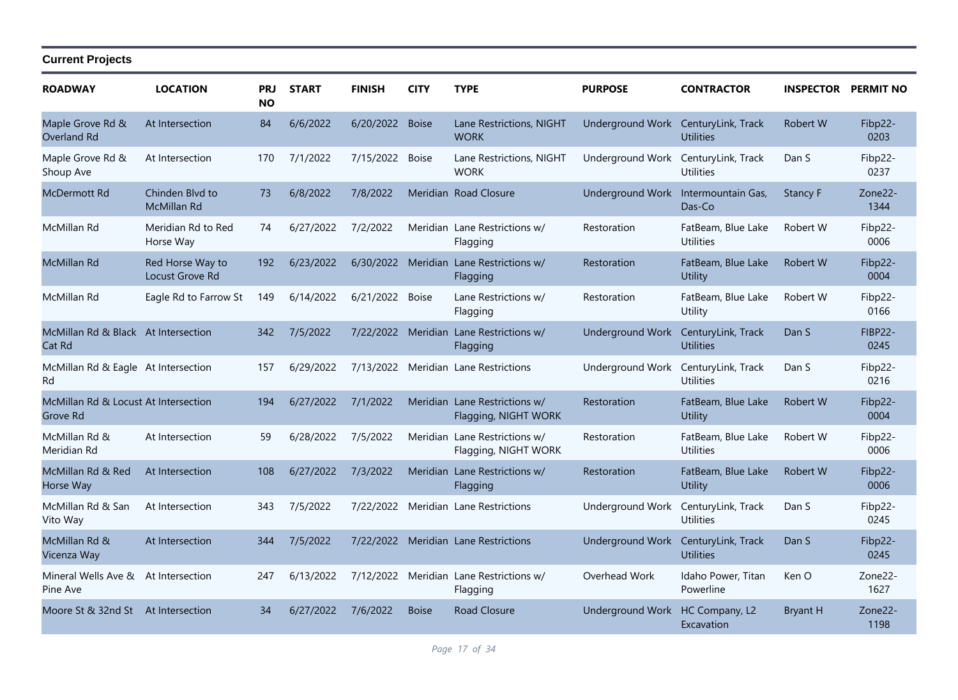| <b>ROADWAY</b>                                   | <b>LOCATION</b>                     | <b>PRJ</b><br><b>NO</b> | <b>START</b> | <b>FINISH</b>   | <b>CITY</b>  | <b>TYPE</b>                                           | <b>PURPOSE</b>                      | <b>CONTRACTOR</b>                      | <b>INSPECTOR</b> | <b>PERMIT NO</b>       |
|--------------------------------------------------|-------------------------------------|-------------------------|--------------|-----------------|--------------|-------------------------------------------------------|-------------------------------------|----------------------------------------|------------------|------------------------|
| Maple Grove Rd &<br>Overland Rd                  | At Intersection                     | 84                      | 6/6/2022     | 6/20/2022 Boise |              | Lane Restrictions, NIGHT<br><b>WORK</b>               | Underground Work CenturyLink, Track | <b>Utilities</b>                       | Robert W         | Fibp22-<br>0203        |
| Maple Grove Rd &<br>Shoup Ave                    | At Intersection                     | 170                     | 7/1/2022     | 7/15/2022       | Boise        | Lane Restrictions, NIGHT<br><b>WORK</b>               | Underground Work                    | CenturyLink, Track<br><b>Utilities</b> | Dan S            | Fibp22-<br>0237        |
| <b>McDermott Rd</b>                              | Chinden Blvd to<br>McMillan Rd      | 73                      | 6/8/2022     | 7/8/2022        |              | Meridian Road Closure                                 | Underground Work                    | Intermountain Gas,<br>Das-Co           | <b>Stancy F</b>  | Zone22-<br>1344        |
| McMillan Rd                                      | Meridian Rd to Red<br>Horse Way     | 74                      | 6/27/2022    | 7/2/2022        |              | Meridian Lane Restrictions w/<br>Flagging             | Restoration                         | FatBeam, Blue Lake<br><b>Utilities</b> | Robert W         | Fibp22-<br>0006        |
| McMillan Rd                                      | Red Horse Way to<br>Locust Grove Rd | 192                     | 6/23/2022    |                 |              | 6/30/2022 Meridian Lane Restrictions w/<br>Flagging   | Restoration                         | FatBeam, Blue Lake<br>Utility          | Robert W         | Fibp22-<br>0004        |
| McMillan Rd                                      | Eagle Rd to Farrow St               | 149                     | 6/14/2022    | 6/21/2022       | <b>Boise</b> | Lane Restrictions w/<br>Flagging                      | Restoration                         | FatBeam, Blue Lake<br>Utility          | Robert W         | Fibp22-<br>0166        |
| McMillan Rd & Black At Intersection<br>Cat Rd    |                                     | 342                     | 7/5/2022     |                 |              | 7/22/2022 Meridian Lane Restrictions w/<br>Flagging   | Underground Work                    | CenturyLink, Track<br><b>Utilities</b> | Dan S            | <b>FIBP22-</b><br>0245 |
| McMillan Rd & Eagle At Intersection<br>Rd        |                                     | 157                     | 6/29/2022    | 7/13/2022       |              | Meridian Lane Restrictions                            | Underground Work                    | CenturyLink, Track<br><b>Utilities</b> | Dan S            | Fibp22-<br>0216        |
| McMillan Rd & Locust At Intersection<br>Grove Rd |                                     | 194                     | 6/27/2022    | 7/1/2022        |              | Meridian Lane Restrictions w/<br>Flagging, NIGHT WORK | Restoration                         | FatBeam, Blue Lake<br><b>Utility</b>   | Robert W         | Fibp22-<br>0004        |
| McMillan Rd &<br>Meridian Rd                     | At Intersection                     | 59                      | 6/28/2022    | 7/5/2022        |              | Meridian Lane Restrictions w/<br>Flagging, NIGHT WORK | Restoration                         | FatBeam, Blue Lake<br><b>Utilities</b> | Robert W         | Fibp22-<br>0006        |
| McMillan Rd & Red<br>Horse Way                   | At Intersection                     | 108                     | 6/27/2022    | 7/3/2022        |              | Meridian Lane Restrictions w/<br>Flagging             | Restoration                         | FatBeam, Blue Lake<br><b>Utility</b>   | Robert W         | Fibp22-<br>0006        |
| McMillan Rd & San<br>Vito Way                    | At Intersection                     | 343                     | 7/5/2022     | 7/22/2022       |              | Meridian Lane Restrictions                            | Underground Work                    | CenturyLink, Track<br><b>Utilities</b> | Dan S            | Fibp22-<br>0245        |
| McMillan Rd &<br>Vicenza Way                     | At Intersection                     | 344                     | 7/5/2022     |                 |              | 7/22/2022 Meridian Lane Restrictions                  | Underground Work                    | CenturyLink, Track<br><b>Utilities</b> | Dan S            | Fibp22-<br>0245        |
| Mineral Wells Ave & At Intersection<br>Pine Ave  |                                     | 247                     | 6/13/2022    | 7/12/2022       |              | Meridian Lane Restrictions w/<br>Flagging             | Overhead Work                       | Idaho Power, Titan<br>Powerline        | Ken O            | Zone22-<br>1627        |
| Moore St & 32nd St At Intersection               |                                     | 34                      | 6/27/2022    | 7/6/2022        | <b>Boise</b> | <b>Road Closure</b>                                   | Underground Work                    | HC Company, L2<br>Excavation           | <b>Bryant H</b>  | Zone22-<br>1198        |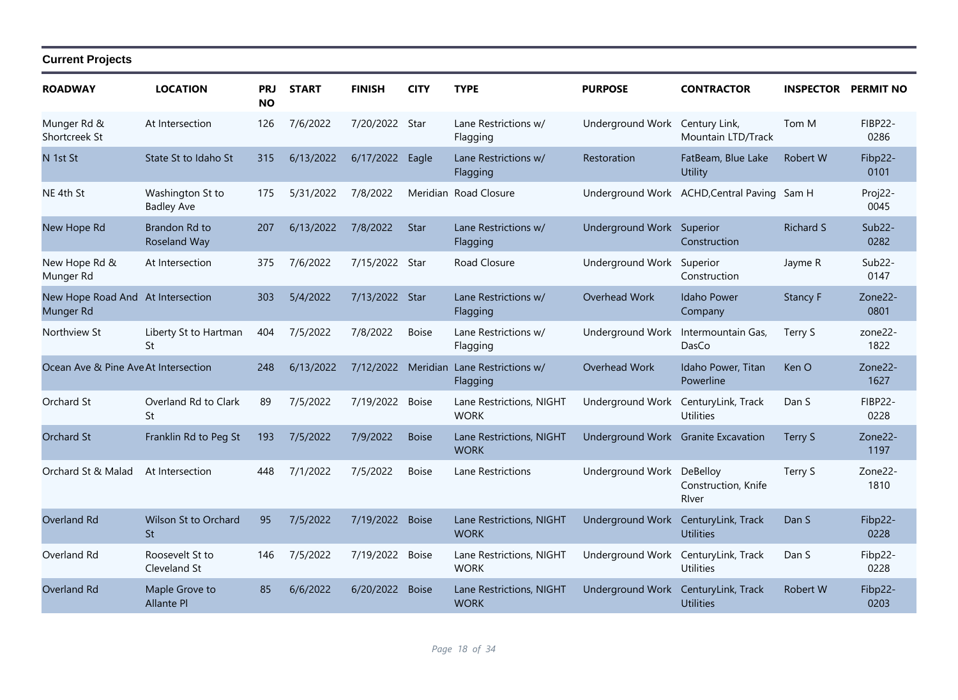| <b>ROADWAY</b>                                 | <b>LOCATION</b>                       | <b>PRJ</b><br><b>NO</b> | <b>START</b> | <b>FINISH</b>      | <b>CITY</b>  | <b>TYPE</b>                             | <b>PURPOSE</b>                      | <b>CONTRACTOR</b>                           | <b>INSPECTOR</b> | <b>PERMIT NO</b>            |
|------------------------------------------------|---------------------------------------|-------------------------|--------------|--------------------|--------------|-----------------------------------------|-------------------------------------|---------------------------------------------|------------------|-----------------------------|
| Munger Rd &<br>Shortcreek St                   | At Intersection                       | 126                     | 7/6/2022     | 7/20/2022          | Star         | Lane Restrictions w/<br>Flagging        | Underground Work                    | Century Link,<br>Mountain LTD/Track         | Tom M            | <b>FIBP22-</b><br>0286      |
| N 1st St                                       | State St to Idaho St                  | 315                     | 6/13/2022    | 6/17/2022          | Eagle        | Lane Restrictions w/<br>Flagging        | Restoration                         | FatBeam, Blue Lake<br>Utility               | Robert W         | Fibp22-<br>0101             |
| NE 4th St                                      | Washington St to<br><b>Badley Ave</b> | 175                     | 5/31/2022    | 7/8/2022           |              | Meridian Road Closure                   |                                     | Underground Work ACHD, Central Paving Sam H |                  | Proj22-<br>0045             |
| New Hope Rd                                    | Brandon Rd to<br>Roseland Way         | 207                     | 6/13/2022    | 7/8/2022           | <b>Star</b>  | Lane Restrictions w/<br>Flagging        | Underground Work Superior           | Construction                                | <b>Richard S</b> | $Sub22-$<br>0282            |
| New Hope Rd &<br>Munger Rd                     | At Intersection                       | 375                     | 7/6/2022     | 7/15/2022 Star     |              | Road Closure                            | Underground Work Superior           | Construction                                | Jayme R          | Sub <sub>22</sub> -<br>0147 |
| New Hope Road And At Intersection<br>Munger Rd |                                       | 303                     | 5/4/2022     | 7/13/2022 Star     |              | Lane Restrictions w/<br>Flagging        | Overhead Work                       | <b>Idaho Power</b><br>Company               | <b>Stancy F</b>  | Zone22-<br>0801             |
| Northview St                                   | Liberty St to Hartman<br>St           | 404                     | 7/5/2022     | 7/8/2022           | <b>Boise</b> | Lane Restrictions w/<br>Flagging        | Underground Work                    | Intermountain Gas,<br>DasCo                 | Terry S          | zone22-<br>1822             |
| Ocean Ave & Pine Ave At Intersection           |                                       | 248                     | 6/13/2022    | 7/12/2022 Meridian |              | Lane Restrictions w/<br>Flagging        | Overhead Work                       | Idaho Power, Titan<br>Powerline             | Ken O            | Zone22-<br>1627             |
| Orchard St                                     | Overland Rd to Clark<br>St            | 89                      | 7/5/2022     | 7/19/2022 Boise    |              | Lane Restrictions, NIGHT<br><b>WORK</b> | Underground Work                    | CenturyLink, Track<br><b>Utilities</b>      | Dan S            | <b>FIBP22-</b><br>0228      |
| <b>Orchard St</b>                              | Franklin Rd to Peg St                 | 193                     | 7/5/2022     | 7/9/2022           | <b>Boise</b> | Lane Restrictions, NIGHT<br><b>WORK</b> | Underground Work Granite Excavation |                                             | Terry S          | Zone22-<br>1197             |
| Orchard St & Malad                             | At Intersection                       | 448                     | 7/1/2022     | 7/5/2022           | <b>Boise</b> | Lane Restrictions                       | Underground Work                    | DeBelloy<br>Construction, Knife<br>River    | Terry S          | Zone22-<br>1810             |
| Overland Rd                                    | Wilson St to Orchard<br><b>St</b>     | 95                      | 7/5/2022     | 7/19/2022          | <b>Boise</b> | Lane Restrictions, NIGHT<br><b>WORK</b> | Underground Work CenturyLink, Track | <b>Utilities</b>                            | Dan S            | Fibp22-<br>0228             |
| Overland Rd                                    | Roosevelt St to<br>Cleveland St       | 146                     | 7/5/2022     | 7/19/2022          | Boise        | Lane Restrictions, NIGHT<br><b>WORK</b> | Underground Work                    | CenturyLink, Track<br><b>Utilities</b>      | Dan S            | Fibp22-<br>0228             |
| <b>Overland Rd</b>                             | Maple Grove to<br><b>Allante Pl</b>   | 85                      | 6/6/2022     | 6/20/2022 Boise    |              | Lane Restrictions, NIGHT<br><b>WORK</b> | Underground Work                    | CenturyLink, Track<br><b>Utilities</b>      | <b>Robert W</b>  | Fibp22-<br>0203             |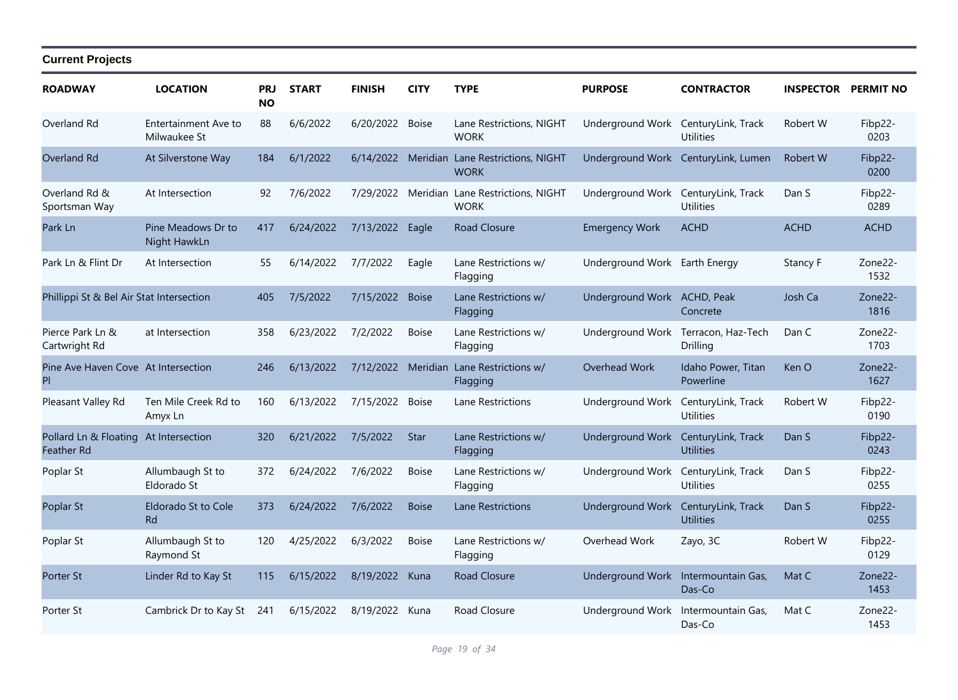| <b>ROADWAY</b>                                             | <b>LOCATION</b>                      | <b>PRJ</b><br><b>NO</b> | <b>START</b> | <b>FINISH</b>  | <b>CITY</b>  | <b>TYPE</b>                                                | <b>PURPOSE</b>                      | <b>CONTRACTOR</b>                      | <b>INSPECTOR PERMIT NO</b> |                 |
|------------------------------------------------------------|--------------------------------------|-------------------------|--------------|----------------|--------------|------------------------------------------------------------|-------------------------------------|----------------------------------------|----------------------------|-----------------|
| Overland Rd                                                | Entertainment Ave to<br>Milwaukee St | 88                      | 6/6/2022     | 6/20/2022      | <b>Boise</b> | Lane Restrictions, NIGHT<br><b>WORK</b>                    | Underground Work                    | CenturyLink, Track<br><b>Utilities</b> | Robert W                   | Fibp22-<br>0203 |
| Overland Rd                                                | At Silverstone Way                   | 184                     | 6/1/2022     |                |              | 6/14/2022 Meridian Lane Restrictions, NIGHT<br><b>WORK</b> |                                     | Underground Work CenturyLink, Lumen    | Robert W                   | Fibp22-<br>0200 |
| Overland Rd &<br>Sportsman Way                             | At Intersection                      | 92                      | 7/6/2022     |                |              | 7/29/2022 Meridian Lane Restrictions, NIGHT<br><b>WORK</b> | Underground Work CenturyLink, Track | <b>Utilities</b>                       | Dan S                      | Fibp22-<br>0289 |
| Park Ln                                                    | Pine Meadows Dr to<br>Night HawkLn   | 417                     | 6/24/2022    | 7/13/2022      | Eagle        | Road Closure                                               | <b>Emergency Work</b>               | <b>ACHD</b>                            | <b>ACHD</b>                | <b>ACHD</b>     |
| Park Ln & Flint Dr                                         | At Intersection                      | 55                      | 6/14/2022    | 7/7/2022       | Eagle        | Lane Restrictions w/<br>Flagging                           | Underground Work Earth Energy       |                                        | Stancy F                   | Zone22-<br>1532 |
| Phillippi St & Bel Air Stat Intersection                   |                                      | 405                     | 7/5/2022     | 7/15/2022      | <b>Boise</b> | Lane Restrictions w/<br>Flagging                           | Underground Work ACHD, Peak         | Concrete                               | Josh Ca                    | Zone22-<br>1816 |
| Pierce Park Ln &<br>Cartwright Rd                          | at Intersection                      | 358                     | 6/23/2022    | 7/2/2022       | <b>Boise</b> | Lane Restrictions w/<br>Flagging                           | Underground Work                    | Terracon, Haz-Tech<br>Drilling         | Dan C                      | Zone22-<br>1703 |
| Pine Ave Haven Cove At Intersection<br>PI                  |                                      | 246                     | 6/13/2022    |                |              | 7/12/2022 Meridian Lane Restrictions w/<br>Flagging        | Overhead Work                       | Idaho Power, Titan<br>Powerline        | Ken O                      | Zone22-<br>1627 |
| Pleasant Valley Rd                                         | Ten Mile Creek Rd to<br>Amyx Ln      | 160                     | 6/13/2022    | 7/15/2022      | <b>Boise</b> | Lane Restrictions                                          | Underground Work                    | CenturyLink, Track<br><b>Utilities</b> | Robert W                   | Fibp22-<br>0190 |
| Pollard Ln & Floating At Intersection<br><b>Feather Rd</b> |                                      | 320                     | 6/21/2022    | 7/5/2022       | <b>Star</b>  | Lane Restrictions w/<br>Flagging                           | <b>Underground Work</b>             | CenturyLink, Track<br><b>Utilities</b> | Dan S                      | Fibp22-<br>0243 |
| Poplar St                                                  | Allumbaugh St to<br>Eldorado St      | 372                     | 6/24/2022    | 7/6/2022       | <b>Boise</b> | Lane Restrictions w/<br>Flagging                           | Underground Work                    | CenturyLink, Track<br><b>Utilities</b> | Dan S                      | Fibp22-<br>0255 |
| Poplar St                                                  | Eldorado St to Cole<br><b>Rd</b>     | 373                     | 6/24/2022    | 7/6/2022       | <b>Boise</b> | <b>Lane Restrictions</b>                                   | Underground Work                    | CenturyLink, Track<br><b>Utilities</b> | Dan S                      | Fibp22-<br>0255 |
| Poplar St                                                  | Allumbaugh St to<br>Raymond St       | 120                     | 4/25/2022    | 6/3/2022       | <b>Boise</b> | Lane Restrictions w/<br>Flagging                           | Overhead Work                       | Zayo, 3C                               | Robert W                   | Fibp22-<br>0129 |
| Porter St                                                  | Linder Rd to Kay St                  | 115                     | 6/15/2022    | 8/19/2022 Kuna |              | Road Closure                                               | Underground Work Intermountain Gas, | Das-Co                                 | Mat C                      | Zone22-<br>1453 |
| Porter St                                                  | Cambrick Dr to Kay St                | 241                     | 6/15/2022    | 8/19/2022      | Kuna         | Road Closure                                               | Underground Work                    | Intermountain Gas,<br>Das-Co           | Mat C                      | Zone22-<br>1453 |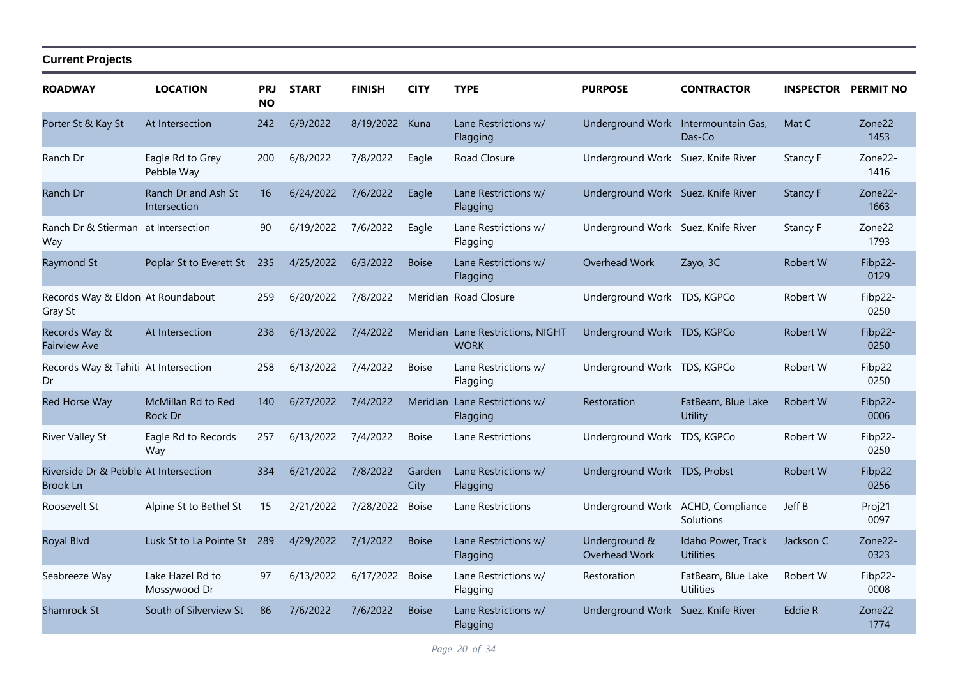| <b>ROADWAY</b>                                    | <b>LOCATION</b>                     | PRJ<br><b>NO</b> | <b>START</b> | <b>FINISH</b>  | <b>CITY</b>    | <b>TYPE</b>                                      | <b>PURPOSE</b>                      | <b>CONTRACTOR</b>                      | <b>INSPECTOR PERMIT NO</b> |                 |
|---------------------------------------------------|-------------------------------------|------------------|--------------|----------------|----------------|--------------------------------------------------|-------------------------------------|----------------------------------------|----------------------------|-----------------|
| Porter St & Kay St                                | At Intersection                     | 242              | 6/9/2022     | 8/19/2022 Kuna |                | Lane Restrictions w/<br>Flagging                 | Underground Work Intermountain Gas, | Das-Co                                 | Mat C                      | Zone22-<br>1453 |
| Ranch Dr                                          | Eagle Rd to Grey<br>Pebble Way      | 200              | 6/8/2022     | 7/8/2022       | Eagle          | Road Closure                                     | Underground Work Suez, Knife River  |                                        | Stancy F                   | Zone22-<br>1416 |
| Ranch Dr                                          | Ranch Dr and Ash St<br>Intersection | 16               | 6/24/2022    | 7/6/2022       | Eagle          | Lane Restrictions w/<br>Flagging                 | Underground Work Suez, Knife River  |                                        | Stancy F                   | Zone22-<br>1663 |
| Ranch Dr & Stierman at Intersection<br>Way        |                                     | 90               | 6/19/2022    | 7/6/2022       | Eagle          | Lane Restrictions w/<br>Flagging                 | Underground Work Suez, Knife River  |                                        | Stancy F                   | Zone22-<br>1793 |
| Raymond St                                        | Poplar St to Everett St             | 235              | 4/25/2022    | 6/3/2022       | <b>Boise</b>   | Lane Restrictions w/<br>Flagging                 | Overhead Work                       | Zayo, 3C                               | Robert W                   | Fibp22-<br>0129 |
| Records Way & Eldon At Roundabout<br>Gray St      |                                     | 259              | 6/20/2022    | 7/8/2022       |                | Meridian Road Closure                            | Underground Work TDS, KGPCo         |                                        | Robert W                   | Fibp22-<br>0250 |
| Records Way &<br><b>Fairview Ave</b>              | At Intersection                     | 238              | 6/13/2022    | 7/4/2022       |                | Meridian Lane Restrictions, NIGHT<br><b>WORK</b> | Underground Work TDS, KGPCo         |                                        | Robert W                   | Fibp22-<br>0250 |
| Records Way & Tahiti At Intersection<br>Dr        |                                     | 258              | 6/13/2022    | 7/4/2022       | <b>Boise</b>   | Lane Restrictions w/<br>Flagging                 | Underground Work TDS, KGPCo         |                                        | Robert W                   | Fibp22-<br>0250 |
| Red Horse Way                                     | McMillan Rd to Red<br>Rock Dr       | 140              | 6/27/2022    | 7/4/2022       | Meridian       | Lane Restrictions w/<br>Flagging                 | Restoration                         | FatBeam, Blue Lake<br>Utility          | <b>Robert W</b>            | Fibp22-<br>0006 |
| <b>River Valley St</b>                            | Eagle Rd to Records<br>Way          | 257              | 6/13/2022    | 7/4/2022       | <b>Boise</b>   | Lane Restrictions                                | Underground Work TDS, KGPCo         |                                        | Robert W                   | Fibp22-<br>0250 |
| Riverside Dr & Pebble At Intersection<br>Brook Ln |                                     | 334              | 6/21/2022    | 7/8/2022       | Garden<br>City | Lane Restrictions w/<br>Flagging                 | Underground Work TDS, Probst        |                                        | Robert W                   | Fibp22-<br>0256 |
| Roosevelt St                                      | Alpine St to Bethel St              | 15               | 2/21/2022    | 7/28/2022      | <b>Boise</b>   | Lane Restrictions                                | Underground Work ACHD, Compliance   | Solutions                              | Jeff B                     | Proj21-<br>0097 |
| Royal Blvd                                        | Lusk St to La Pointe St             | 289              | 4/29/2022    | 7/1/2022       | <b>Boise</b>   | Lane Restrictions w/<br>Flagging                 | Underground &<br>Overhead Work      | Idaho Power, Track<br><b>Utilities</b> | Jackson C                  | Zone22-<br>0323 |
| Seabreeze Way                                     | Lake Hazel Rd to<br>Mossywood Dr    | 97               | 6/13/2022    | 6/17/2022      | <b>Boise</b>   | Lane Restrictions w/<br>Flagging                 | Restoration                         | FatBeam, Blue Lake<br><b>Utilities</b> | Robert W                   | Fibp22-<br>0008 |
| Shamrock St                                       | South of Silverview St              | 86               | 7/6/2022     | 7/6/2022       | <b>Boise</b>   | Lane Restrictions w/<br>Flagging                 | Underground Work Suez, Knife River  |                                        | Eddie R                    | Zone22-<br>1774 |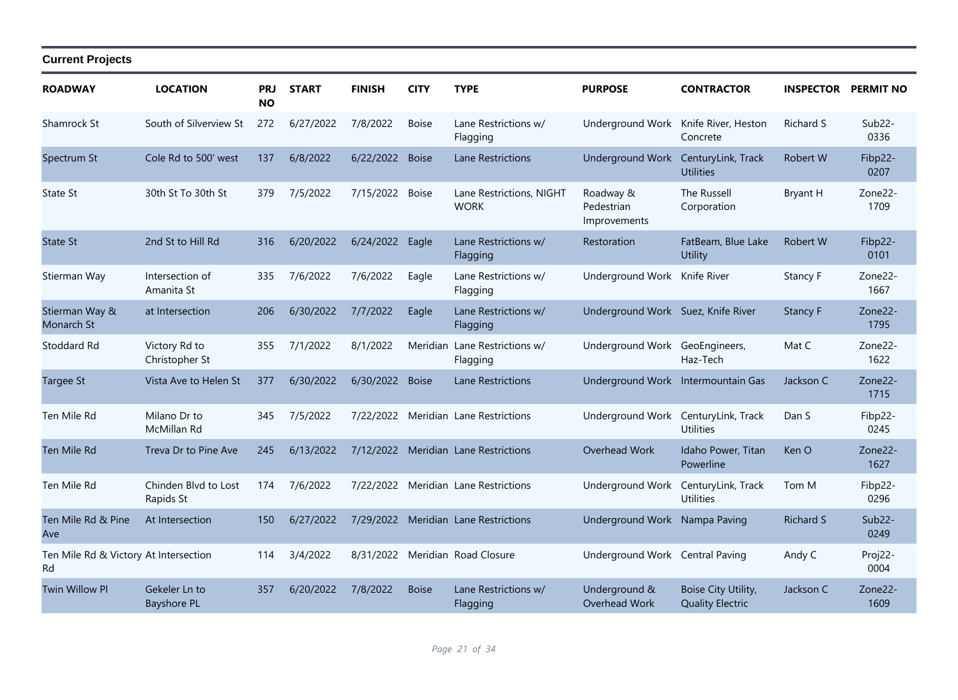| <b>ROADWAY</b>                              | <b>LOCATION</b>                     | <b>PRJ</b><br><b>NO</b> | <b>START</b> | <b>FINISH</b> | <b>CITY</b>  | <b>TYPE</b>                             | <b>PURPOSE</b>                          | <b>CONTRACTOR</b>                              | <b>INSPECTOR</b> | <b>PERMIT NO</b>            |
|---------------------------------------------|-------------------------------------|-------------------------|--------------|---------------|--------------|-----------------------------------------|-----------------------------------------|------------------------------------------------|------------------|-----------------------------|
| Shamrock St                                 | South of Silverview St              | 272                     | 6/27/2022    | 7/8/2022      | <b>Boise</b> | Lane Restrictions w/<br>Flagging        | Underground Work Knife River, Heston    | Concrete                                       | Richard S        | $Sub22-$<br>0336            |
| Spectrum St                                 | Cole Rd to 500' west                | 137                     | 6/8/2022     | 6/22/2022     | <b>Boise</b> | Lane Restrictions                       | Underground Work                        | CenturyLink, Track<br><b>Utilities</b>         | <b>Robert W</b>  | Fibp22-<br>0207             |
| <b>State St</b>                             | 30th St To 30th St                  | 379                     | 7/5/2022     | 7/15/2022     | <b>Boise</b> | Lane Restrictions, NIGHT<br><b>WORK</b> | Roadway &<br>Pedestrian<br>Improvements | <b>The Russell</b><br>Corporation              | Bryant H         | Zone22-<br>1709             |
| <b>State St</b>                             | 2nd St to Hill Rd                   | 316                     | 6/20/2022    | 6/24/2022     | Eagle        | Lane Restrictions w/<br>Flagging        | Restoration                             | FatBeam, Blue Lake<br>Utility                  | <b>Robert W</b>  | Fibp22-<br>0101             |
| Stierman Way                                | Intersection of<br>Amanita St       | 335                     | 7/6/2022     | 7/6/2022      | Eagle        | Lane Restrictions w/<br>Flagging        | Underground Work Knife River            |                                                | Stancy F         | Zone22-<br>1667             |
| Stierman Way &<br>Monarch St                | at Intersection                     | 206                     | 6/30/2022    | 7/7/2022      | Eagle        | Lane Restrictions w/<br>Flagging        | Underground Work Suez, Knife River      |                                                | Stancy F         | Zone22-<br>1795             |
| Stoddard Rd                                 | Victory Rd to<br>Christopher St     | 355                     | 7/1/2022     | 8/1/2022      | Meridian     | Lane Restrictions w/<br>Flagging        | Underground Work GeoEngineers,          | Haz-Tech                                       | Mat C            | Zone22-<br>1622             |
| <b>Targee St</b>                            | Vista Ave to Helen St               | 377                     | 6/30/2022    | 6/30/2022     | <b>Boise</b> | <b>Lane Restrictions</b>                | Underground Work Intermountain Gas      |                                                | Jackson C        | Zone22-<br>1715             |
| Ten Mile Rd                                 | Milano Dr to<br>McMillan Rd         | 345                     | 7/5/2022     |               |              | 7/22/2022 Meridian Lane Restrictions    | Underground Work                        | CenturyLink, Track<br><b>Utilities</b>         | Dan S            | Fibp22-<br>0245             |
| Ten Mile Rd                                 | Treva Dr to Pine Ave                | 245                     | 6/13/2022    |               |              | 7/12/2022 Meridian Lane Restrictions    | Overhead Work                           | Idaho Power, Titan<br>Powerline                | Ken O            | Zone22-<br>1627             |
| Ten Mile Rd                                 | Chinden Blyd to Lost<br>Rapids St   | 174                     | 7/6/2022     |               |              | 7/22/2022 Meridian Lane Restrictions    | Underground Work                        | CenturyLink, Track<br><b>Utilities</b>         | Tom M            | Fibp22-<br>0296             |
| Ten Mile Rd & Pine<br>Ave                   | At Intersection                     | 150                     | 6/27/2022    |               |              | 7/29/2022 Meridian Lane Restrictions    | Underground Work Nampa Paving           |                                                | <b>Richard S</b> | Sub <sub>22</sub> -<br>0249 |
| Ten Mile Rd & Victory At Intersection<br>Rd |                                     | 114                     | 3/4/2022     | 8/31/2022     |              | Meridian Road Closure                   | Underground Work Central Paving         |                                                | Andy C           | Proj22-<br>0004             |
| <b>Twin Willow Pl</b>                       | Gekeler Ln to<br><b>Bayshore PL</b> | 357                     | 6/20/2022    | 7/8/2022      | <b>Boise</b> | Lane Restrictions w/<br>Flagging        | Underground &<br>Overhead Work          | Boise City Utility,<br><b>Quality Electric</b> | Jackson C        | Zone22-<br>1609             |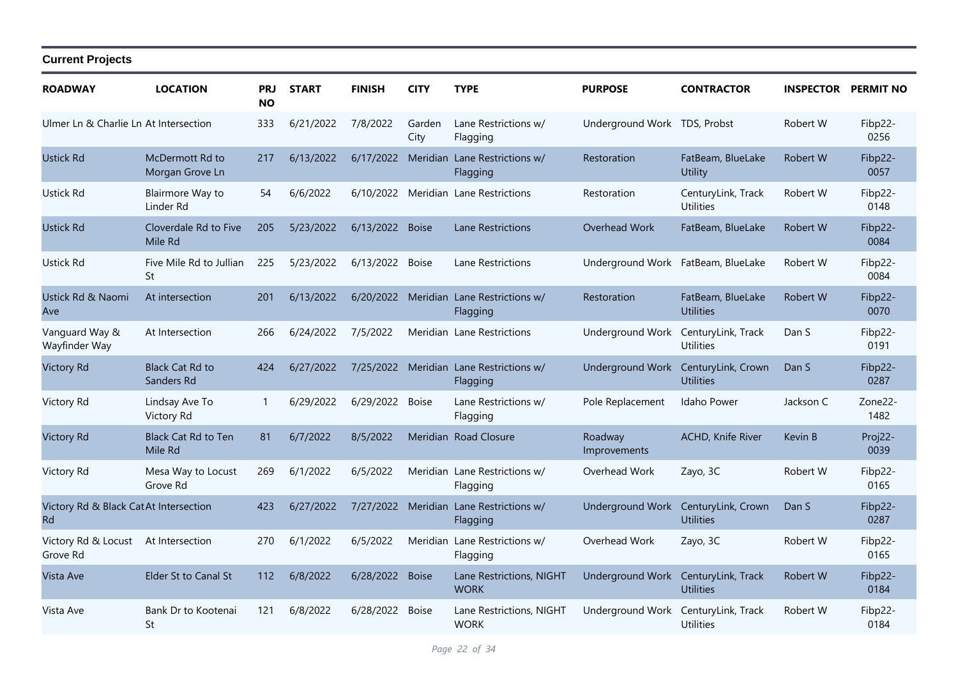| <b>ROADWAY</b>                                      | <b>LOCATION</b>                       | <b>PRJ</b><br><b>NO</b> | <b>START</b> | <b>FINISH</b>   | <b>CITY</b>    | <b>TYPE</b>                                         | <b>PURPOSE</b>                     | <b>CONTRACTOR</b>                      | <b>INSPECTOR</b> | <b>PERMIT NO</b> |
|-----------------------------------------------------|---------------------------------------|-------------------------|--------------|-----------------|----------------|-----------------------------------------------------|------------------------------------|----------------------------------------|------------------|------------------|
| Ulmer Ln & Charlie Ln At Intersection               |                                       | 333                     | 6/21/2022    | 7/8/2022        | Garden<br>City | Lane Restrictions w/<br>Flagging                    | Underground Work TDS, Probst       |                                        | Robert W         | Fibp22-<br>0256  |
| <b>Ustick Rd</b>                                    | McDermott Rd to<br>Morgan Grove Ln    | 217                     | 6/13/2022    |                 |                | 6/17/2022 Meridian Lane Restrictions w/<br>Flagging | Restoration                        | FatBeam, BlueLake<br>Utility           | Robert W         | Fibp22-<br>0057  |
| Ustick Rd                                           | Blairmore Way to<br>Linder Rd         | 54                      | 6/6/2022     |                 |                | 6/10/2022 Meridian Lane Restrictions                | Restoration                        | CenturyLink, Track<br><b>Utilities</b> | Robert W         | Fibp22-<br>0148  |
| <b>Ustick Rd</b>                                    | Cloverdale Rd to Five<br>Mile Rd      | 205                     | 5/23/2022    | 6/13/2022 Boise |                | Lane Restrictions                                   | Overhead Work                      | FatBeam, BlueLake                      | Robert W         | Fibp22-<br>0084  |
| Ustick Rd                                           | Five Mile Rd to Jullian<br>St         | 225                     | 5/23/2022    | 6/13/2022       | <b>Boise</b>   | Lane Restrictions                                   | Underground Work FatBeam, BlueLake |                                        | Robert W         | Fibp22-<br>0084  |
| Ustick Rd & Naomi<br>Ave                            | At intersection                       | 201                     | 6/13/2022    |                 |                | 6/20/2022 Meridian Lane Restrictions w/<br>Flagging | Restoration                        | FatBeam, BlueLake<br><b>Utilities</b>  | Robert W         | Fibp22-<br>0070  |
| Vanguard Way &<br>Wayfinder Way                     | At Intersection                       | 266                     | 6/24/2022    | 7/5/2022        |                | Meridian Lane Restrictions                          | Underground Work                   | CenturyLink, Track<br><b>Utilities</b> | Dan S            | Fibp22-<br>0191  |
| <b>Victory Rd</b>                                   | <b>Black Cat Rd to</b><br>Sanders Rd  | 424                     | 6/27/2022    |                 |                | 7/25/2022 Meridian Lane Restrictions w/<br>Flagging | <b>Underground Work</b>            | CenturyLink, Crown<br><b>Utilities</b> | Dan S            | Fibp22-<br>0287  |
| Victory Rd                                          | Lindsay Ave To<br>Victory Rd          | $\mathbf{1}$            | 6/29/2022    | 6/29/2022       | <b>Boise</b>   | Lane Restrictions w/<br>Flagging                    | Pole Replacement                   | Idaho Power                            | Jackson C        | Zone22-<br>1482  |
| <b>Victory Rd</b>                                   | <b>Black Cat Rd to Ten</b><br>Mile Rd | 81                      | 6/7/2022     | 8/5/2022        |                | Meridian Road Closure                               | Roadway<br>Improvements            | ACHD, Knife River                      | Kevin B          | Proj22-<br>0039  |
| Victory Rd                                          | Mesa Way to Locust<br>Grove Rd        | 269                     | 6/1/2022     | 6/5/2022        |                | Meridian Lane Restrictions w/<br>Flagging           | Overhead Work                      | Zayo, 3C                               | Robert W         | Fibp22-<br>0165  |
| Victory Rd & Black Cat At Intersection<br><b>Rd</b> |                                       | 423                     | 6/27/2022    | 7/27/2022       | Meridian       | Lane Restrictions w/<br>Flagging                    | Underground Work                   | CenturyLink, Crown<br><b>Utilities</b> | Dan S            | Fibp22-<br>0287  |
| Victory Rd & Locust<br>Grove Rd                     | At Intersection                       | 270                     | 6/1/2022     | 6/5/2022        | Meridian       | Lane Restrictions w/<br>Flagging                    | Overhead Work                      | Zayo, 3C                               | Robert W         | Fibp22-<br>0165  |
| Vista Ave                                           | Elder St to Canal St                  | 112                     | 6/8/2022     | 6/28/2022       | <b>Boise</b>   | Lane Restrictions, NIGHT<br><b>WORK</b>             | Underground Work                   | CenturyLink, Track<br><b>Utilities</b> | Robert W         | Fibp22-<br>0184  |
| Vista Ave                                           | Bank Dr to Kootenai<br>St             | 121                     | 6/8/2022     | 6/28/2022       | <b>Boise</b>   | Lane Restrictions, NIGHT<br><b>WORK</b>             | Underground Work                   | CenturyLink, Track<br><b>Utilities</b> | Robert W         | Fibp22-<br>0184  |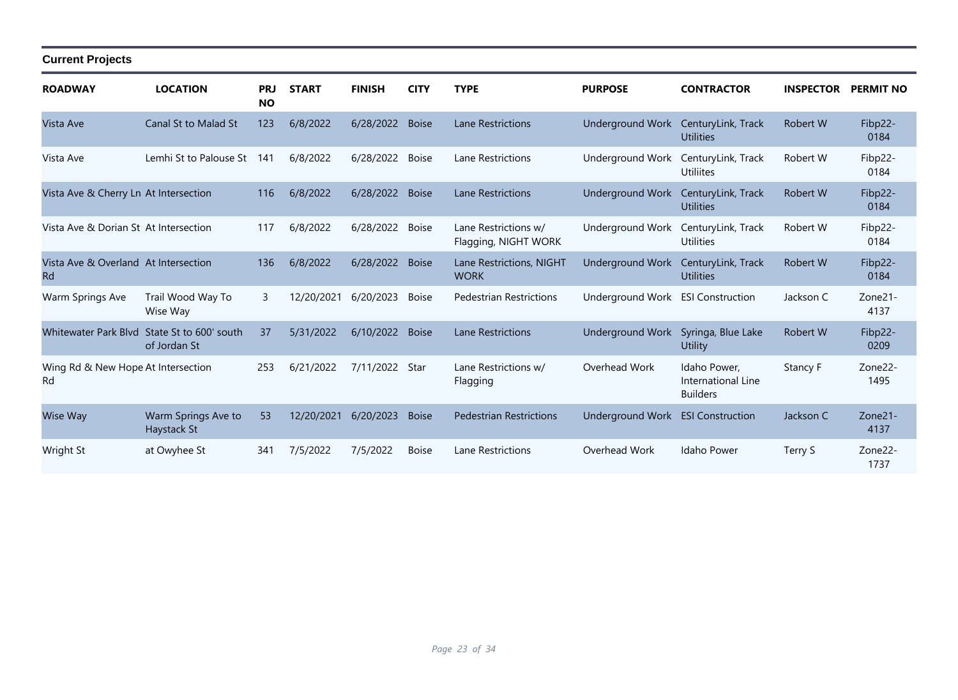| <b>ROADWAY</b>                                    | <b>LOCATION</b>                        | <b>PRJ</b><br><b>NO</b> | <b>START</b> | <b>FINISH</b> | <b>CITY</b>  | <b>TYPE</b>                                  | <b>PURPOSE</b>          | <b>CONTRACTOR</b>                                     | <b>INSPECTOR</b> | <b>PERMIT NO</b> |
|---------------------------------------------------|----------------------------------------|-------------------------|--------------|---------------|--------------|----------------------------------------------|-------------------------|-------------------------------------------------------|------------------|------------------|
| Vista Ave                                         | <b>Canal St to Malad St</b>            | 123                     | 6/8/2022     | 6/28/2022     | <b>Boise</b> | Lane Restrictions                            | Underground Work        | CenturyLink, Track<br><b>Utilities</b>                | Robert W         | Fibp22-<br>0184  |
| Vista Ave                                         | Lemhi St to Palouse St                 | 141                     | 6/8/2022     | 6/28/2022     | <b>Boise</b> | Lane Restrictions                            | Underground Work        | CenturyLink, Track<br><b>Utiliites</b>                | Robert W         | Fibp22-<br>0184  |
| Vista Ave & Cherry Ln At Intersection             |                                        | 116                     | 6/8/2022     | 6/28/2022     | <b>Boise</b> | Lane Restrictions                            | Underground Work        | CenturyLink, Track<br><b>Utilities</b>                | Robert W         | Fibp22-<br>0184  |
| Vista Ave & Dorian St At Intersection             |                                        | 117                     | 6/8/2022     | 6/28/2022     | <b>Boise</b> | Lane Restrictions w/<br>Flagging, NIGHT WORK | Underground Work        | CenturyLink, Track<br><b>Utilities</b>                | Robert W         | Fibp22-<br>0184  |
| Vista Ave & Overland At Intersection<br><b>Rd</b> |                                        | 136                     | 6/8/2022     | 6/28/2022     | <b>Boise</b> | Lane Restrictions, NIGHT<br><b>WORK</b>      | <b>Underground Work</b> | CenturyLink, Track<br><b>Utilities</b>                | <b>Robert W</b>  | Fibp22-<br>0184  |
| Warm Springs Ave                                  | Trail Wood Way To<br>Wise Way          | 3                       | 12/20/2021   | 6/20/2023     | <b>Boise</b> | <b>Pedestrian Restrictions</b>               | Underground Work        | <b>ESI Construction</b>                               | Jackson C        | Zone21-<br>4137  |
| <b>Whitewater Park Blyd</b>                       | State St to 600' south<br>of Jordan St | 37                      | 5/31/2022    | 6/10/2022     | <b>Boise</b> | Lane Restrictions                            | <b>Underground Work</b> | Syringa, Blue Lake<br>Utility                         | <b>Robert W</b>  | Fibp22-<br>0209  |
| Wing Rd & New Hope At Intersection<br>Rd          |                                        | 253                     | 6/21/2022    | 7/11/2022     | Star         | Lane Restrictions w/<br>Flagging             | Overhead Work           | Idaho Power,<br>International Line<br><b>Builders</b> | Stancy F         | Zone22-<br>1495  |
| Wise Way                                          | Warm Springs Ave to<br>Haystack St     | 53                      | 12/20/2021   | 6/20/2023     | <b>Boise</b> | <b>Pedestrian Restrictions</b>               | Underground Work        | <b>ESI Construction</b>                               | Jackson C        | Zone21-<br>4137  |
| Wright St                                         | at Owyhee St                           | 341                     | 7/5/2022     | 7/5/2022      | <b>Boise</b> | Lane Restrictions                            | Overhead Work           | Idaho Power                                           | Terry S          | Zone22-<br>1737  |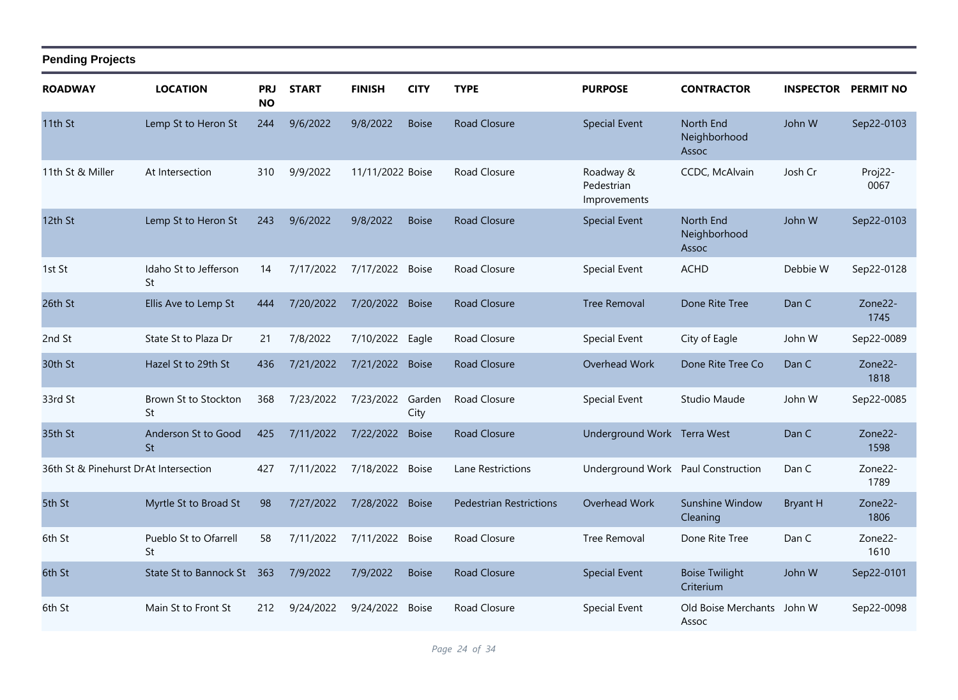| <b>ROADWAY</b>                        | <b>LOCATION</b>                  | <b>PRJ</b><br><b>NO</b> | <b>START</b> | <b>FINISH</b>    | <b>CITY</b>    | <b>TYPE</b>                    | <b>PURPOSE</b>                          | <b>CONTRACTOR</b>                  | <b>INSPECTOR</b> | <b>PERMIT NO</b> |
|---------------------------------------|----------------------------------|-------------------------|--------------|------------------|----------------|--------------------------------|-----------------------------------------|------------------------------------|------------------|------------------|
| 11th St                               | Lemp St to Heron St              | 244                     | 9/6/2022     | 9/8/2022         | <b>Boise</b>   | <b>Road Closure</b>            | <b>Special Event</b>                    | North End<br>Neighborhood<br>Assoc | John W           | Sep22-0103       |
| 11th St & Miller                      | At Intersection                  | 310                     | 9/9/2022     | 11/11/2022 Boise |                | Road Closure                   | Roadway &<br>Pedestrian<br>Improvements | CCDC, McAlvain                     | Josh Cr          | Proj22-<br>0067  |
| 12th St                               | Lemp St to Heron St              | 243                     | 9/6/2022     | 9/8/2022         | <b>Boise</b>   | <b>Road Closure</b>            | <b>Special Event</b>                    | North End<br>Neighborhood<br>Assoc | John W           | Sep22-0103       |
| 1st St                                | Idaho St to Jefferson<br>St      | 14                      | 7/17/2022    | 7/17/2022 Boise  |                | Road Closure                   | <b>Special Event</b>                    | <b>ACHD</b>                        | Debbie W         | Sep22-0128       |
| 26th St                               | Ellis Ave to Lemp St             | 444                     | 7/20/2022    | 7/20/2022 Boise  |                | <b>Road Closure</b>            | <b>Tree Removal</b>                     | Done Rite Tree                     | Dan C            | Zone22-<br>1745  |
| 2nd St                                | State St to Plaza Dr             | 21                      | 7/8/2022     | 7/10/2022 Eagle  |                | Road Closure                   | Special Event                           | City of Eagle                      | John W           | Sep22-0089       |
| 30th St                               | Hazel St to 29th St              | 436                     | 7/21/2022    | 7/21/2022 Boise  |                | <b>Road Closure</b>            | Overhead Work                           | Done Rite Tree Co                  | Dan C            | Zone22-<br>1818  |
| 33rd St                               | Brown St to Stockton<br>St       | 368                     | 7/23/2022    | 7/23/2022        | Garden<br>City | Road Closure                   | Special Event                           | Studio Maude                       | John W           | Sep22-0085       |
| 35th St                               | Anderson St to Good<br><b>St</b> | 425                     | 7/11/2022    | 7/22/2022        | <b>Boise</b>   | <b>Road Closure</b>            | Underground Work Terra West             |                                    | Dan C            | Zone22-<br>1598  |
| 36th St & Pinehurst DrAt Intersection |                                  | 427                     | 7/11/2022    | 7/18/2022 Boise  |                | Lane Restrictions              | Underground Work Paul Construction      |                                    | Dan C            | Zone22-<br>1789  |
| 5th St                                | Myrtle St to Broad St            | 98                      | 7/27/2022    | 7/28/2022        | <b>Boise</b>   | <b>Pedestrian Restrictions</b> | Overhead Work                           | Sunshine Window<br>Cleaning        | <b>Bryant H</b>  | Zone22-<br>1806  |
| 6th St                                | Pueblo St to Ofarrell<br>St      | 58                      | 7/11/2022    | 7/11/2022 Boise  |                | Road Closure                   | <b>Tree Removal</b>                     | Done Rite Tree                     | Dan C            | Zone22-<br>1610  |
| 6th St                                | State St to Bannock St           | 363                     | 7/9/2022     | 7/9/2022         | <b>Boise</b>   | <b>Road Closure</b>            | <b>Special Event</b>                    | <b>Boise Twilight</b><br>Criterium | John W           | Sep22-0101       |
| 6th St                                | Main St to Front St              | 212                     | 9/24/2022    | 9/24/2022        | <b>Boise</b>   | Road Closure                   | Special Event                           | Old Boise Merchants<br>Assoc       | John W           | Sep22-0098       |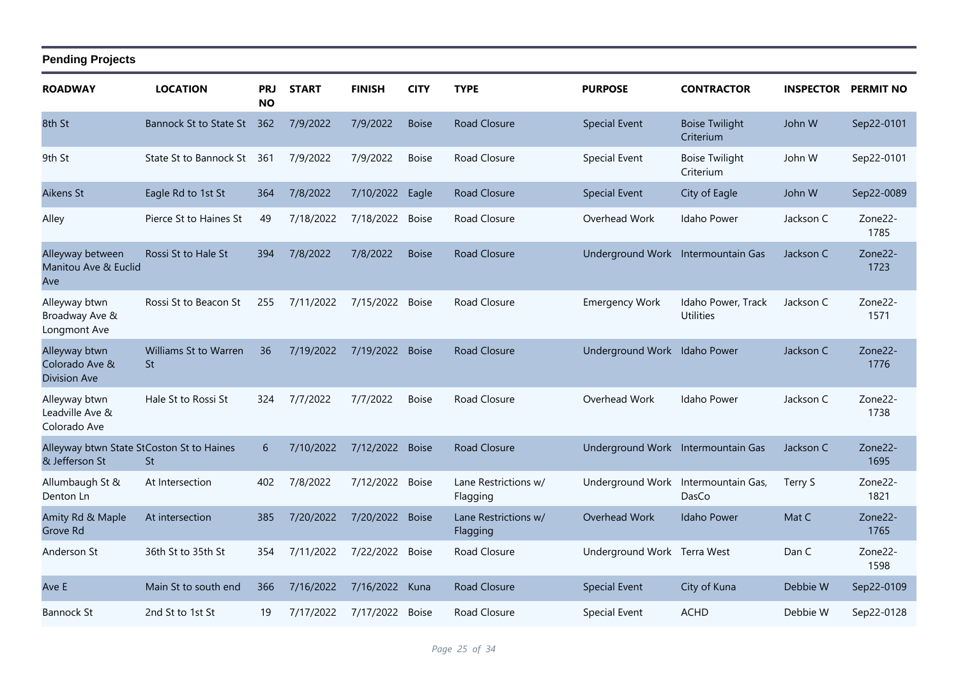| <b>ROADWAY</b>                                              | <b>LOCATION</b>                    | <b>PRJ</b><br><b>NO</b> | <b>START</b> | <b>FINISH</b>   | <b>CITY</b>  | <b>TYPE</b>                      | <b>PURPOSE</b>                     | <b>CONTRACTOR</b>                      | <b>INSPECTOR PERMIT NO</b> |                 |
|-------------------------------------------------------------|------------------------------------|-------------------------|--------------|-----------------|--------------|----------------------------------|------------------------------------|----------------------------------------|----------------------------|-----------------|
| 8th St                                                      | Bannock St to State St             | 362                     | 7/9/2022     | 7/9/2022        | <b>Boise</b> | <b>Road Closure</b>              | <b>Special Event</b>               | <b>Boise Twilight</b><br>Criterium     | John W                     | Sep22-0101      |
| 9th St                                                      | State St to Bannock St             | 361                     | 7/9/2022     | 7/9/2022        | <b>Boise</b> | Road Closure                     | <b>Special Event</b>               | <b>Boise Twilight</b><br>Criterium     | John W                     | Sep22-0101      |
| Aikens St                                                   | Eagle Rd to 1st St                 | 364                     | 7/8/2022     | 7/10/2022       | Eagle        | <b>Road Closure</b>              | <b>Special Event</b>               | City of Eagle                          | John W                     | Sep22-0089      |
| Alley                                                       | Pierce St to Haines St             | 49                      | 7/18/2022    | 7/18/2022 Boise |              | Road Closure                     | Overhead Work                      | Idaho Power                            | Jackson C                  | Zone22-<br>1785 |
| Alleyway between<br>Manitou Ave & Euclid<br>Ave             | Rossi St to Hale St                | 394                     | 7/8/2022     | 7/8/2022        | <b>Boise</b> | <b>Road Closure</b>              | Underground Work Intermountain Gas |                                        | Jackson C                  | Zone22-<br>1723 |
| Alleyway btwn<br>Broadway Ave &<br>Longmont Ave             | Rossi St to Beacon St              | 255                     | 7/11/2022    | 7/15/2022 Boise |              | Road Closure                     | <b>Emergency Work</b>              | Idaho Power, Track<br><b>Utilities</b> | Jackson C                  | Zone22-<br>1571 |
| Alleyway btwn<br>Colorado Ave &<br><b>Division Ave</b>      | Williams St to Warren<br><b>St</b> | 36                      | 7/19/2022    | 7/19/2022 Boise |              | <b>Road Closure</b>              | Underground Work Idaho Power       |                                        | Jackson C                  | Zone22-<br>1776 |
| Alleyway btwn<br>Leadville Ave &<br>Colorado Ave            | Hale St to Rossi St                | 324                     | 7/7/2022     | 7/7/2022        | <b>Boise</b> | Road Closure                     | Overhead Work                      | Idaho Power                            | Jackson C                  | Zone22-<br>1738 |
| Alleyway btwn State StCoston St to Haines<br>& Jefferson St | <b>St</b>                          | 6                       | 7/10/2022    | 7/12/2022 Boise |              | <b>Road Closure</b>              | Underground Work Intermountain Gas |                                        | Jackson C                  | Zone22-<br>1695 |
| Allumbaugh St &<br>Denton Ln                                | At Intersection                    | 402                     | 7/8/2022     | 7/12/2022 Boise |              | Lane Restrictions w/<br>Flagging | Underground Work                   | Intermountain Gas,<br>DasCo            | Terry S                    | Zone22-<br>1821 |
| Amity Rd & Maple<br>Grove Rd                                | At intersection                    | 385                     | 7/20/2022    | 7/20/2022 Boise |              | Lane Restrictions w/<br>Flagging | Overhead Work                      | <b>Idaho Power</b>                     | Mat C                      | Zone22-<br>1765 |
| Anderson St                                                 | 36th St to 35th St                 | 354                     | 7/11/2022    | 7/22/2022 Boise |              | Road Closure                     | Underground Work Terra West        |                                        | Dan C                      | Zone22-<br>1598 |
| Ave E                                                       | Main St to south end               | 366                     | 7/16/2022    | 7/16/2022 Kuna  |              | Road Closure                     | <b>Special Event</b>               | City of Kuna                           | Debbie W                   | Sep22-0109      |
| <b>Bannock St</b>                                           | 2nd St to 1st St                   | 19                      | 7/17/2022    | 7/17/2022 Boise |              | Road Closure                     | Special Event                      | <b>ACHD</b>                            | Debbie W                   | Sep22-0128      |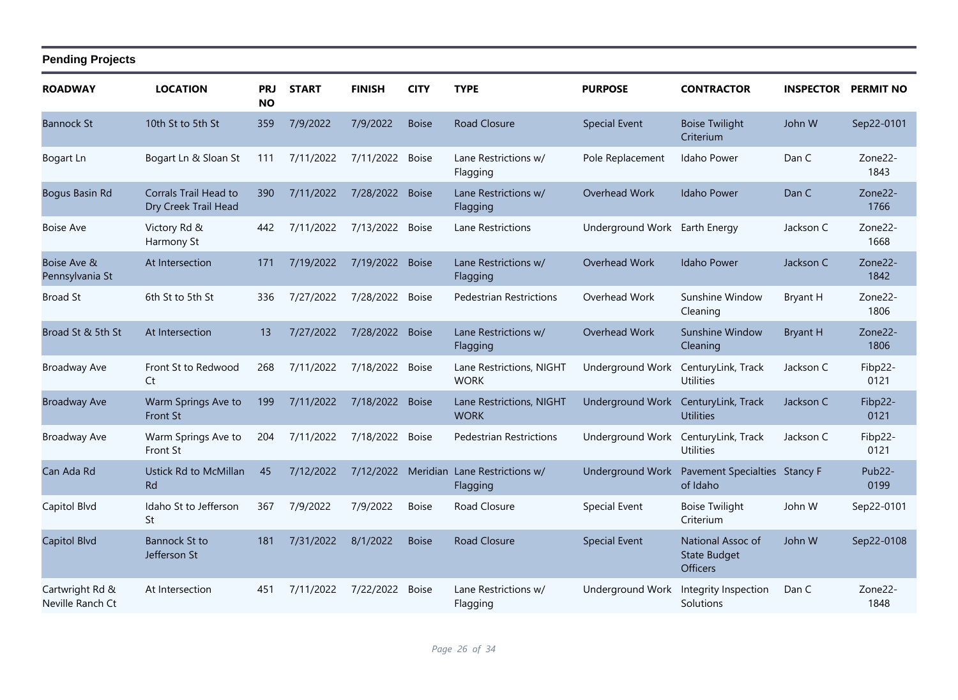| <b>ROADWAY</b>                      | <b>LOCATION</b>                               | PRJ<br><b>NO</b> | <b>START</b> | <b>FINISH</b>      | <b>CITY</b>  | <b>TYPE</b>                             | <b>PURPOSE</b>                | <b>CONTRACTOR</b>                                           | <b>INSPECTOR</b> | <b>PERMIT NO</b>            |
|-------------------------------------|-----------------------------------------------|------------------|--------------|--------------------|--------------|-----------------------------------------|-------------------------------|-------------------------------------------------------------|------------------|-----------------------------|
| <b>Bannock St</b>                   | 10th St to 5th St                             | 359              | 7/9/2022     | 7/9/2022           | <b>Boise</b> | <b>Road Closure</b>                     | <b>Special Event</b>          | <b>Boise Twilight</b><br>Criterium                          | John W           | Sep22-0101                  |
| Bogart Ln                           | Bogart Ln & Sloan St                          | 111              | 7/11/2022    | 7/11/2022          | <b>Boise</b> | Lane Restrictions w/<br>Flagging        | Pole Replacement              | Idaho Power                                                 | Dan C            | Zone22-<br>1843             |
| Bogus Basin Rd                      | Corrals Trail Head to<br>Dry Creek Trail Head | 390              | 7/11/2022    | 7/28/2022          | <b>Boise</b> | Lane Restrictions w/<br>Flagging        | Overhead Work                 | <b>Idaho Power</b>                                          | Dan C            | Zone22-<br>1766             |
| <b>Boise Ave</b>                    | Victory Rd &<br>Harmony St                    | 442              | 7/11/2022    | 7/13/2022          | <b>Boise</b> | Lane Restrictions                       | Underground Work Earth Energy |                                                             | Jackson C        | Zone22-<br>1668             |
| Boise Ave &<br>Pennsylvania St      | At Intersection                               | 171              | 7/19/2022    | 7/19/2022          | <b>Boise</b> | Lane Restrictions w/<br>Flagging        | Overhead Work                 | <b>Idaho Power</b>                                          | Jackson C        | Zone22-<br>1842             |
| <b>Broad St</b>                     | 6th St to 5th St                              | 336              | 7/27/2022    | 7/28/2022          | <b>Boise</b> | <b>Pedestrian Restrictions</b>          | Overhead Work                 | Sunshine Window<br>Cleaning                                 | <b>Bryant H</b>  | Zone22-<br>1806             |
| Broad St & 5th St                   | At Intersection                               | 13               | 7/27/2022    | 7/28/2022          | <b>Boise</b> | Lane Restrictions w/<br>Flagging        | Overhead Work                 | Sunshine Window<br>Cleaning                                 | <b>Bryant H</b>  | Zone22-<br>1806             |
| Broadway Ave                        | Front St to Redwood<br>Ct                     | 268              | 7/11/2022    | 7/18/2022          | <b>Boise</b> | Lane Restrictions, NIGHT<br><b>WORK</b> | Underground Work              | CenturyLink, Track<br><b>Utilities</b>                      | Jackson C        | Fibp22-<br>0121             |
| <b>Broadway Ave</b>                 | Warm Springs Ave to<br><b>Front St</b>        | 199              | 7/11/2022    | 7/18/2022 Boise    |              | Lane Restrictions, NIGHT<br><b>WORK</b> | <b>Underground Work</b>       | CenturyLink, Track<br><b>Utilities</b>                      | Jackson C        | Fibp22-<br>0121             |
| <b>Broadway Ave</b>                 | Warm Springs Ave to<br>Front St               | 204              | 7/11/2022    | 7/18/2022          | <b>Boise</b> | Pedestrian Restrictions                 | Underground Work              | CenturyLink, Track<br><b>Utilities</b>                      | Jackson C        | Fibp22-<br>0121             |
| Can Ada Rd                          | Ustick Rd to McMillan<br><b>Rd</b>            | 45               | 7/12/2022    | 7/12/2022 Meridian |              | Lane Restrictions w/<br>Flagging        | Underground Work              | Pavement Specialties Stancy F<br>of Idaho                   |                  | Pub <sub>22</sub> -<br>0199 |
| Capitol Blvd                        | Idaho St to Jefferson<br>St                   | 367              | 7/9/2022     | 7/9/2022           | <b>Boise</b> | Road Closure                            | Special Event                 | <b>Boise Twilight</b><br>Criterium                          | John W           | Sep22-0101                  |
| Capitol Blvd                        | <b>Bannock St to</b><br>Jefferson St          | 181              | 7/31/2022    | 8/1/2022           | <b>Boise</b> | <b>Road Closure</b>                     | <b>Special Event</b>          | National Assoc of<br><b>State Budget</b><br><b>Officers</b> | John W           | Sep22-0108                  |
| Cartwright Rd &<br>Neville Ranch Ct | At Intersection                               | 451              | 7/11/2022    | 7/22/2022          | <b>Boise</b> | Lane Restrictions w/<br>Flagging        | <b>Underground Work</b>       | Integrity Inspection<br>Solutions                           | Dan C            | Zone22-<br>1848             |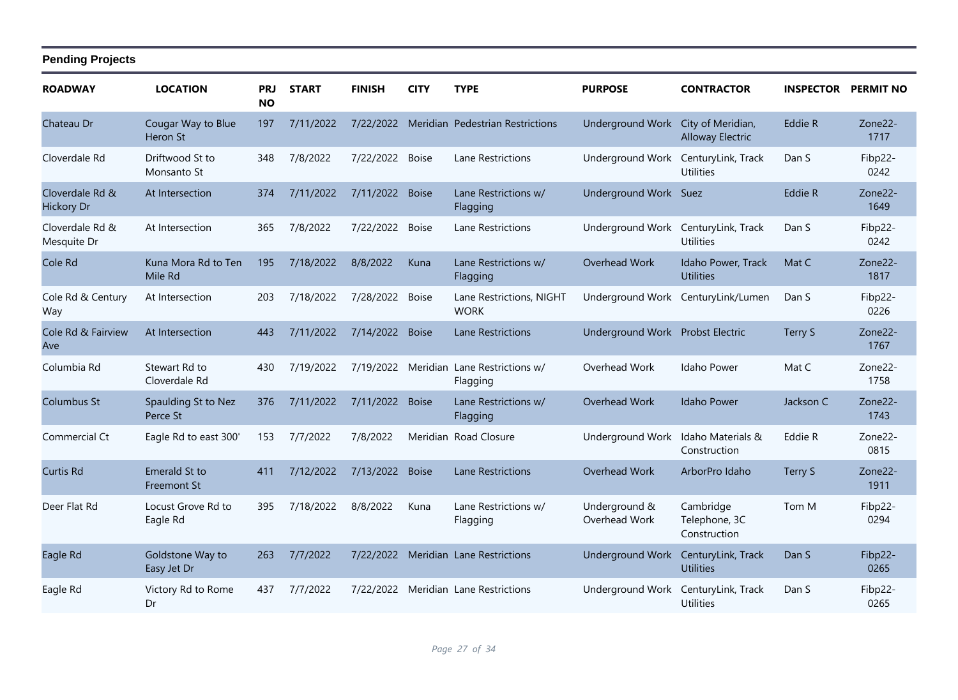| <b>ROADWAY</b>                       | <b>LOCATION</b>                     | <b>PRJ</b><br><b>NO</b> | <b>START</b> | <b>FINISH</b>   | <b>CITY</b>  | <b>TYPE</b>                             | <b>PURPOSE</b>                     | <b>CONTRACTOR</b>                          | <b>INSPECTOR</b> | <b>PERMIT NO</b>  |
|--------------------------------------|-------------------------------------|-------------------------|--------------|-----------------|--------------|-----------------------------------------|------------------------------------|--------------------------------------------|------------------|-------------------|
| Chateau Dr                           | Cougar Way to Blue<br>Heron St      | 197                     | 7/11/2022    | 7/22/2022       |              | Meridian Pedestrian Restrictions        | Underground Work City of Meridian, | <b>Alloway Electric</b>                    | Eddie R          | Zone22-<br>1717   |
| Cloverdale Rd                        | Driftwood St to<br>Monsanto St      | 348                     | 7/8/2022     | 7/22/2022 Boise |              | Lane Restrictions                       | Underground Work                   | CenturyLink, Track<br><b>Utilities</b>     | Dan S            | Fibp22-<br>0242   |
| Cloverdale Rd &<br><b>Hickory Dr</b> | At Intersection                     | 374                     | 7/11/2022    | 7/11/2022       | <b>Boise</b> | Lane Restrictions w/<br>Flagging        | Underground Work Suez              |                                            | Eddie R          | Zone22-<br>1649   |
| Cloverdale Rd &<br>Mesquite Dr       | At Intersection                     | 365                     | 7/8/2022     | 7/22/2022       | <b>Boise</b> | Lane Restrictions                       | Underground Work                   | CenturyLink, Track<br><b>Utilities</b>     | Dan S            | Fibp22-<br>0242   |
| Cole Rd                              | Kuna Mora Rd to Ten<br>Mile Rd      | 195                     | 7/18/2022    | 8/8/2022        | Kuna         | Lane Restrictions w/<br>Flagging        | Overhead Work                      | Idaho Power, Track<br><b>Utilities</b>     | Mat C            | $Zone22-$<br>1817 |
| Cole Rd & Century<br>Way             | At Intersection                     | 203                     | 7/18/2022    | 7/28/2022       | <b>Boise</b> | Lane Restrictions, NIGHT<br><b>WORK</b> |                                    | Underground Work CenturyLink/Lumen         | Dan S            | Fibp22-<br>0226   |
| Cole Rd & Fairview<br>Ave            | At Intersection                     | 443                     | 7/11/2022    | 7/14/2022       | <b>Boise</b> | Lane Restrictions                       | Underground Work Probst Electric   |                                            | Terry S          | Zone22-<br>1767   |
| Columbia Rd                          | Stewart Rd to<br>Cloverdale Rd      | 430                     | 7/19/2022    | 7/19/2022       | Meridian     | Lane Restrictions w/<br>Flagging        | Overhead Work                      | Idaho Power                                | Mat C            | Zone22-<br>1758   |
| <b>Columbus St</b>                   | Spaulding St to Nez<br>Perce St     | 376                     | 7/11/2022    | 7/11/2022       | <b>Boise</b> | Lane Restrictions w/<br>Flagging        | Overhead Work                      | <b>Idaho Power</b>                         | Jackson C        | Zone22-<br>1743   |
| Commercial Ct                        | Eagle Rd to east 300'               | 153                     | 7/7/2022     | 7/8/2022        |              | Meridian Road Closure                   | Underground Work                   | Idaho Materials &<br>Construction          | Eddie R          | Zone22-<br>0815   |
| <b>Curtis Rd</b>                     | Emerald St to<br><b>Freemont St</b> | 411                     | 7/12/2022    | 7/13/2022       | <b>Boise</b> | <b>Lane Restrictions</b>                | Overhead Work                      | ArborPro Idaho                             | Terry S          | Zone22-<br>1911   |
| Deer Flat Rd                         | Locust Grove Rd to<br>Eagle Rd      | 395                     | 7/18/2022    | 8/8/2022        | Kuna         | Lane Restrictions w/<br>Flagging        | Underground &<br>Overhead Work     | Cambridge<br>Telephone, 3C<br>Construction | Tom M            | Fibp22-<br>0294   |
| Eagle Rd                             | Goldstone Way to<br>Easy Jet Dr     | 263                     | 7/7/2022     | 7/22/2022       |              | Meridian Lane Restrictions              | <b>Underground Work</b>            | CenturyLink, Track<br><b>Utilities</b>     | Dan S            | Fibp22-<br>0265   |
| Eagle Rd                             | Victory Rd to Rome<br>Dr            | 437                     | 7/7/2022     | 7/22/2022       |              | Meridian Lane Restrictions              | Underground Work                   | CenturyLink, Track<br>Utilities            | Dan S            | Fibp22-<br>0265   |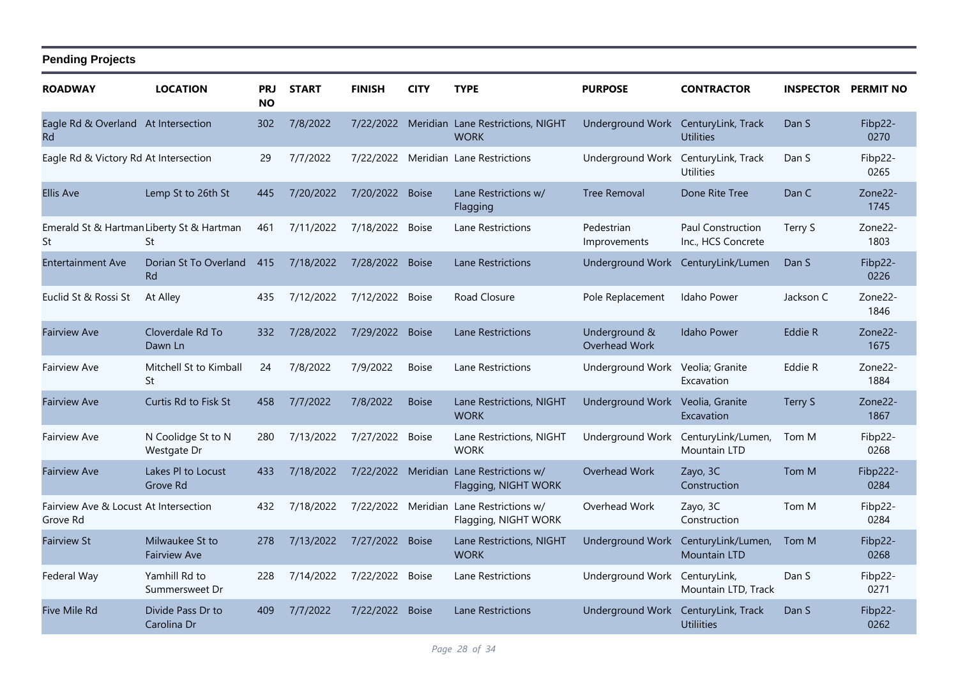| <b>ROADWAY</b>                                    | <b>LOCATION</b>                                 | <b>PRJ</b><br><b>NO</b> | <b>START</b> | <b>FINISH</b>   | <b>CITY</b>  | <b>TYPE</b>                                                     | <b>PURPOSE</b>                      | <b>CONTRACTOR</b>                       |           | <b>INSPECTOR PERMIT NO</b> |
|---------------------------------------------------|-------------------------------------------------|-------------------------|--------------|-----------------|--------------|-----------------------------------------------------------------|-------------------------------------|-----------------------------------------|-----------|----------------------------|
| Eagle Rd & Overland At Intersection<br><b>Rd</b>  |                                                 | 302                     | 7/8/2022     |                 |              | 7/22/2022 Meridian Lane Restrictions, NIGHT<br><b>WORK</b>      | Underground Work CenturyLink, Track | <b>Utilities</b>                        | Dan S     | Fibp22-<br>0270            |
| Eagle Rd & Victory Rd At Intersection             |                                                 | 29                      | 7/7/2022     |                 |              | 7/22/2022 Meridian Lane Restrictions                            | Underground Work                    | CenturyLink, Track<br><b>Utilities</b>  | Dan S     | Fibp22-<br>0265            |
| <b>Ellis Ave</b>                                  | Lemp St to 26th St                              | 445                     | 7/20/2022    | 7/20/2022 Boise |              | Lane Restrictions w/<br>Flagging                                | <b>Tree Removal</b>                 | Done Rite Tree                          | Dan C     | Zone22-<br>1745            |
| St                                                | Emerald St & Hartman Liberty St & Hartman<br>St | 461                     | 7/11/2022    | 7/18/2022 Boise |              | Lane Restrictions                                               | Pedestrian<br>Improvements          | Paul Construction<br>Inc., HCS Concrete | Terry S   | Zone22-<br>1803            |
| <b>Entertainment Ave</b>                          | Dorian St To Overland<br><b>Rd</b>              | 415                     | 7/18/2022    | 7/28/2022 Boise |              | Lane Restrictions                                               | Underground Work                    | CenturyLink/Lumen                       | Dan S     | Fibp22-<br>0226            |
| Euclid St & Rossi St                              | At Alley                                        | 435                     | 7/12/2022    | 7/12/2022       | <b>Boise</b> | Road Closure                                                    | Pole Replacement                    | Idaho Power                             | Jackson C | Zone22-<br>1846            |
| <b>Fairview Ave</b>                               | Cloverdale Rd To<br>Dawn Ln                     | 332                     | 7/28/2022    | 7/29/2022 Boise |              | Lane Restrictions                                               | Underground &<br>Overhead Work      | <b>Idaho Power</b>                      | Eddie R   | Zone22-<br>1675            |
| <b>Fairview Ave</b>                               | Mitchell St to Kimball<br>St                    | 24                      | 7/8/2022     | 7/9/2022        | <b>Boise</b> | Lane Restrictions                                               | Underground Work Veolia; Granite    | Excavation                              | Eddie R   | Zone22-<br>1884            |
| <b>Fairview Ave</b>                               | Curtis Rd to Fisk St                            | 458                     | 7/7/2022     | 7/8/2022        | <b>Boise</b> | Lane Restrictions, NIGHT<br><b>WORK</b>                         | <b>Underground Work</b>             | Veolia, Granite<br>Excavation           | Terry S   | Zone22-<br>1867            |
| <b>Fairview Ave</b>                               | N Coolidge St to N<br>Westgate Dr               | 280                     | 7/13/2022    | 7/27/2022       | <b>Boise</b> | Lane Restrictions, NIGHT<br><b>WORK</b>                         | Underground Work                    | CenturyLink/Lumen,<br>Mountain LTD      | Tom M     | Fibp22-<br>0268            |
| <b>Fairview Ave</b>                               | Lakes PI to Locust<br>Grove Rd                  | 433                     | 7/18/2022    |                 |              | 7/22/2022 Meridian Lane Restrictions w/<br>Flagging, NIGHT WORK | Overhead Work                       | Zayo, 3C<br>Construction                | Tom M     | Fibp222-<br>0284           |
| Fairview Ave & Locust At Intersection<br>Grove Rd |                                                 | 432                     | 7/18/2022    |                 |              | 7/22/2022 Meridian Lane Restrictions w/<br>Flagging, NIGHT WORK | Overhead Work                       | Zayo, 3C<br>Construction                | Tom M     | Fibp22-<br>0284            |
| <b>Fairview St</b>                                | Milwaukee St to<br><b>Fairview Ave</b>          | 278                     | 7/13/2022    | 7/27/2022       | <b>Boise</b> | Lane Restrictions, NIGHT<br><b>WORK</b>                         | <b>Underground Work</b>             | CenturyLink/Lumen,<br>Mountain LTD      | Tom M     | Fibp22-<br>0268            |
| Federal Way                                       | Yamhill Rd to<br>Summersweet Dr                 | 228                     | 7/14/2022    | 7/22/2022 Boise |              | Lane Restrictions                                               | Underground Work CenturyLink,       | Mountain LTD, Track                     | Dan S     | Fibp22-<br>0271            |
| Five Mile Rd                                      | Divide Pass Dr to<br>Carolina Dr                | 409                     | 7/7/2022     | 7/22/2022       | <b>Boise</b> | Lane Restrictions                                               | Underground Work                    | CenturyLink, Track<br><b>Utiliities</b> | Dan S     | Fibp22-<br>0262            |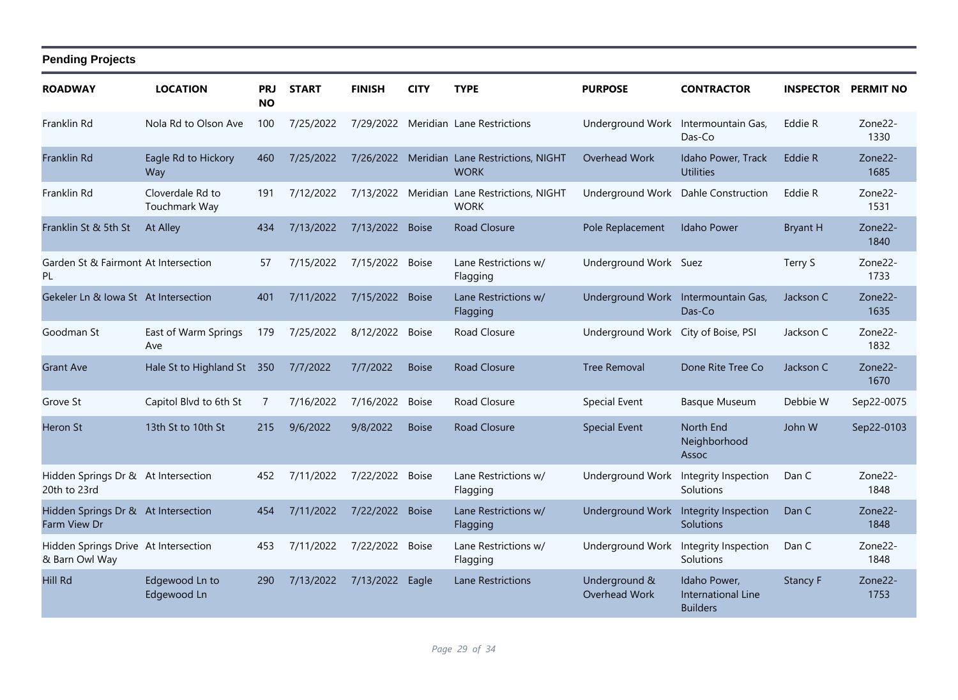| <b>ROADWAY</b>                                         | <b>LOCATION</b>                   | <b>PRJ</b><br><b>NO</b> | <b>START</b> | <b>FINISH</b>   | <b>CITY</b>  | <b>TYPE</b>                                                | <b>PURPOSE</b>                      | <b>CONTRACTOR</b>                                     |                 | <b>INSPECTOR PERMIT NO</b> |
|--------------------------------------------------------|-----------------------------------|-------------------------|--------------|-----------------|--------------|------------------------------------------------------------|-------------------------------------|-------------------------------------------------------|-----------------|----------------------------|
| Franklin Rd                                            | Nola Rd to Olson Ave              | 100                     | 7/25/2022    |                 |              | 7/29/2022 Meridian Lane Restrictions                       | Underground Work                    | Intermountain Gas,<br>Das-Co                          | Eddie R         | Zone22-<br>1330            |
| Franklin Rd                                            | Eagle Rd to Hickory<br>Way        | 460                     | 7/25/2022    |                 |              | 7/26/2022 Meridian Lane Restrictions, NIGHT<br><b>WORK</b> | Overhead Work                       | Idaho Power, Track<br><b>Utilities</b>                | Eddie R         | Zone22-<br>1685            |
| Franklin Rd                                            | Cloverdale Rd to<br>Touchmark Way | 191                     | 7/12/2022    |                 |              | 7/13/2022 Meridian Lane Restrictions, NIGHT<br><b>WORK</b> | Underground Work                    | <b>Dahle Construction</b>                             | Eddie R         | Zone22-<br>1531            |
| Franklin St & 5th St                                   | At Alley                          | 434                     | 7/13/2022    | 7/13/2022 Boise |              | <b>Road Closure</b>                                        | Pole Replacement                    | <b>Idaho Power</b>                                    | <b>Bryant H</b> | Zone22-<br>1840            |
| Garden St & Fairmont At Intersection<br><b>PL</b>      |                                   | 57                      | 7/15/2022    | 7/15/2022       | <b>Boise</b> | Lane Restrictions w/<br>Flagging                           | Underground Work Suez               |                                                       | Terry S         | Zone22-<br>1733            |
| Gekeler Ln & Iowa St At Intersection                   |                                   | 401                     | 7/11/2022    | 7/15/2022 Boise |              | Lane Restrictions w/<br>Flagging                           | Underground Work Intermountain Gas, | Das-Co                                                | Jackson C       | Zone22-<br>1635            |
| Goodman St                                             | East of Warm Springs<br>Ave       | 179                     | 7/25/2022    | 8/12/2022       | <b>Boise</b> | Road Closure                                               | Underground Work City of Boise, PSI |                                                       | Jackson C       | Zone22-<br>1832            |
| <b>Grant Ave</b>                                       | Hale St to Highland St            | 350                     | 7/7/2022     | 7/7/2022        | <b>Boise</b> | Road Closure                                               | <b>Tree Removal</b>                 | Done Rite Tree Co                                     | Jackson C       | Zone22-<br>1670            |
| Grove St                                               | Capitol Blvd to 6th St            | 7                       | 7/16/2022    | 7/16/2022       | <b>Boise</b> | Road Closure                                               | <b>Special Event</b>                | <b>Basque Museum</b>                                  | Debbie W        | Sep22-0075                 |
| <b>Heron St</b>                                        | 13th St to 10th St                | 215                     | 9/6/2022     | 9/8/2022        | <b>Boise</b> | <b>Road Closure</b>                                        | <b>Special Event</b>                | North End<br>Neighborhood<br>Assoc                    | John W          | Sep22-0103                 |
| Hidden Springs Dr & At Intersection<br>20th to 23rd    |                                   | 452                     | 7/11/2022    | 7/22/2022       | <b>Boise</b> | Lane Restrictions w/<br>Flagging                           | <b>Underground Work</b>             | Integrity Inspection<br>Solutions                     | Dan C           | Zone22-<br>1848            |
| Hidden Springs Dr & At Intersection<br>Farm View Dr    |                                   | 454                     | 7/11/2022    | 7/22/2022 Boise |              | Lane Restrictions w/<br>Flagging                           | <b>Underground Work</b>             | Integrity Inspection<br>Solutions                     | Dan C           | Zone22-<br>1848            |
| Hidden Springs Drive At Intersection<br>& Barn Owl Way |                                   | 453                     | 7/11/2022    | 7/22/2022 Boise |              | Lane Restrictions w/<br>Flagging                           | Underground Work                    | Integrity Inspection<br>Solutions                     | Dan C           | Zone22-<br>1848            |
| <b>Hill Rd</b>                                         | Edgewood Ln to<br>Edgewood Ln     | 290                     | 7/13/2022    | 7/13/2022       | Eagle        | <b>Lane Restrictions</b>                                   | Underground &<br>Overhead Work      | Idaho Power,<br>International Line<br><b>Builders</b> | <b>Stancy F</b> | Zone22-<br>1753            |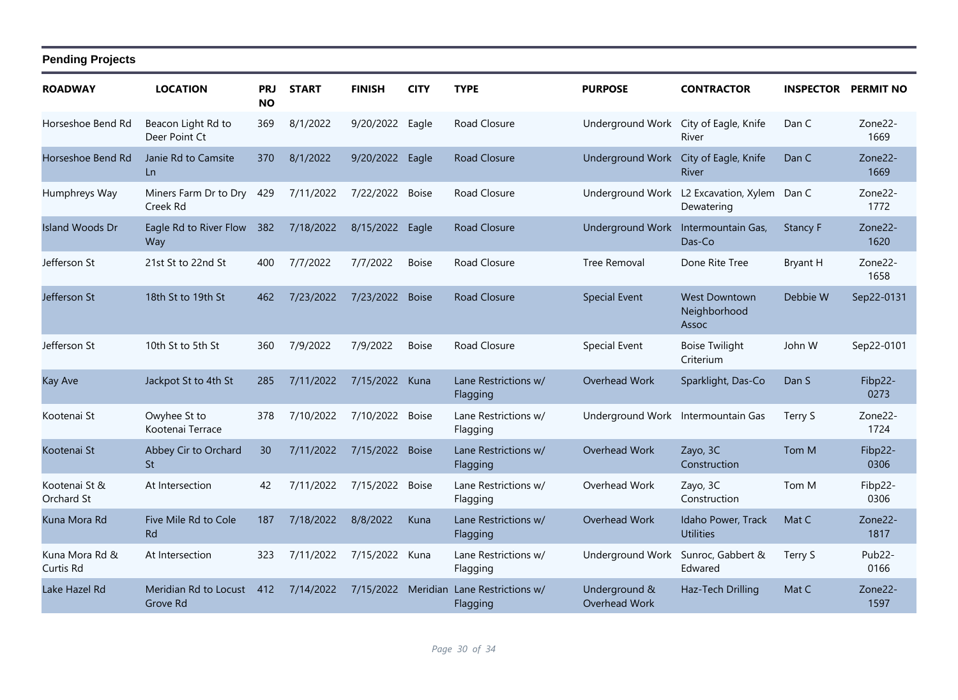| <b>ROADWAY</b>              | <b>LOCATION</b>                     | <b>PRJ</b><br><b>NO</b> | <b>START</b> | <b>FINISH</b>      | <b>CITY</b>  | <b>TYPE</b>                      | <b>PURPOSE</b>                        | <b>CONTRACTOR</b>                             | <b>INSPECTOR</b> | <b>PERMIT NO</b>             |
|-----------------------------|-------------------------------------|-------------------------|--------------|--------------------|--------------|----------------------------------|---------------------------------------|-----------------------------------------------|------------------|------------------------------|
| Horseshoe Bend Rd           | Beacon Light Rd to<br>Deer Point Ct | 369                     | 8/1/2022     | 9/20/2022          | Eagle        | Road Closure                     | Underground Work City of Eagle, Knife | River                                         | Dan C            | Zone <sub>22</sub> -<br>1669 |
| Horseshoe Bend Rd           | Janie Rd to Camsite<br>Ln           | 370                     | 8/1/2022     | 9/20/2022 Eagle    |              | Road Closure                     | <b>Underground Work</b>               | City of Eagle, Knife<br><b>River</b>          | Dan C            | Zone22-<br>1669              |
| Humphreys Way               | Miners Farm Dr to Dry<br>Creek Rd   | 429                     | 7/11/2022    | 7/22/2022          | Boise        | Road Closure                     | Underground Work                      | L2 Excavation, Xylem Dan C<br>Dewatering      |                  | Zone22-<br>1772              |
| <b>Island Woods Dr</b>      | Eagle Rd to River Flow<br>Way       | 382                     | 7/18/2022    | 8/15/2022          | Eagle        | Road Closure                     | Underground Work                      | Intermountain Gas,<br>Das-Co                  | <b>Stancy F</b>  | Zone22-<br>1620              |
| Jefferson St                | 21st St to 22nd St                  | 400                     | 7/7/2022     | 7/7/2022           | <b>Boise</b> | Road Closure                     | Tree Removal                          | Done Rite Tree                                | <b>Bryant H</b>  | Zone22-<br>1658              |
| Jefferson St                | 18th St to 19th St                  | 462                     | 7/23/2022    | 7/23/2022 Boise    |              | <b>Road Closure</b>              | <b>Special Event</b>                  | <b>West Downtown</b><br>Neighborhood<br>Assoc | Debbie W         | Sep22-0131                   |
| Jefferson St                | 10th St to 5th St                   | 360                     | 7/9/2022     | 7/9/2022           | <b>Boise</b> | Road Closure                     | Special Event                         | <b>Boise Twilight</b><br>Criterium            | John W           | Sep22-0101                   |
| <b>Kay Ave</b>              | Jackpot St to 4th St                | 285                     | 7/11/2022    | 7/15/2022 Kuna     |              | Lane Restrictions w/<br>Flagging | Overhead Work                         | Sparklight, Das-Co                            | Dan S            | Fibp22-<br>0273              |
| Kootenai St                 | Owyhee St to<br>Kootenai Terrace    | 378                     | 7/10/2022    | 7/10/2022 Boise    |              | Lane Restrictions w/<br>Flagging | Underground Work Intermountain Gas    |                                               | Terry S          | Zone22-<br>1724              |
| Kootenai St                 | Abbey Cir to Orchard<br>St          | 30                      | 7/11/2022    | 7/15/2022          | <b>Boise</b> | Lane Restrictions w/<br>Flagging | Overhead Work                         | Zayo, 3C<br>Construction                      | Tom M            | Fibp22-<br>0306              |
| Kootenai St &<br>Orchard St | At Intersection                     | 42                      | 7/11/2022    | 7/15/2022 Boise    |              | Lane Restrictions w/<br>Flagging | Overhead Work                         | Zayo, 3C<br>Construction                      | Tom M            | Fibp22-<br>0306              |
| Kuna Mora Rd                | Five Mile Rd to Cole<br><b>Rd</b>   | 187                     | 7/18/2022    | 8/8/2022           | Kuna         | Lane Restrictions w/<br>Flagging | Overhead Work                         | Idaho Power, Track<br><b>Utilities</b>        | Mat C            | Zone22-<br>1817              |
| Kuna Mora Rd &<br>Curtis Rd | At Intersection                     | 323                     | 7/11/2022    | 7/15/2022          | Kuna         | Lane Restrictions w/<br>Flagging | <b>Underground Work</b>               | Sunroc, Gabbert &<br>Edwared                  | Terry S          | Pub <sub>22</sub> -<br>0166  |
| Lake Hazel Rd               | Meridian Rd to Locust<br>Grove Rd   | 412                     | 7/14/2022    | 7/15/2022 Meridian |              | Lane Restrictions w/<br>Flagging | Underground &<br>Overhead Work        | Haz-Tech Drilling                             | Mat C            | Zone22-<br>1597              |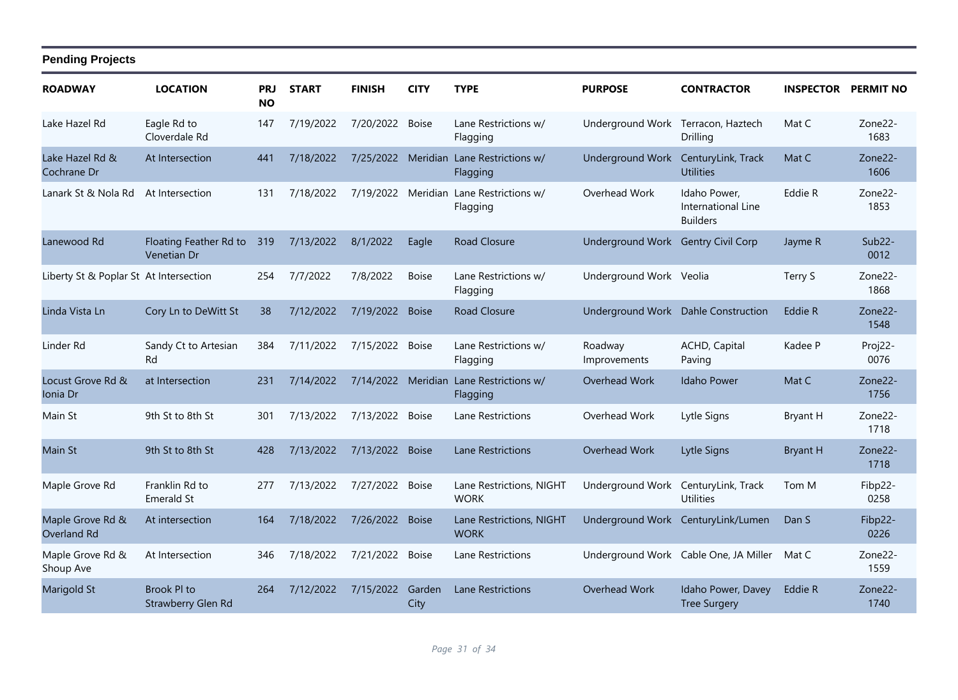| <b>ROADWAY</b>                         | <b>LOCATION</b>                       | <b>PRJ</b><br><b>NO</b> | <b>START</b> | <b>FINISH</b>      | <b>CITY</b>    | <b>TYPE</b>                             | <b>PURPOSE</b>                      | <b>CONTRACTOR</b>                                     | <b>INSPECTOR</b> | <b>PERMIT NO</b>             |
|----------------------------------------|---------------------------------------|-------------------------|--------------|--------------------|----------------|-----------------------------------------|-------------------------------------|-------------------------------------------------------|------------------|------------------------------|
| Lake Hazel Rd                          | Eagle Rd to<br>Cloverdale Rd          | 147                     | 7/19/2022    | 7/20/2022          | <b>Boise</b>   | Lane Restrictions w/<br>Flagging        | Underground Work                    | Terracon, Haztech<br>Drilling                         | Mat C            | Zone <sub>22</sub> -<br>1683 |
| Lake Hazel Rd &<br>Cochrane Dr         | At Intersection                       | 441                     | 7/18/2022    | 7/25/2022 Meridian |                | Lane Restrictions w/<br>Flagging        | <b>Underground Work</b>             | CenturyLink, Track<br><b>Utilities</b>                | Mat C            | Zone22-<br>1606              |
| Lanark St & Nola Rd                    | At Intersection                       | 131                     | 7/18/2022    | 7/19/2022 Meridian |                | Lane Restrictions w/<br>Flagging        | Overhead Work                       | Idaho Power,<br>International Line<br><b>Builders</b> | Eddie R          | Zone22-<br>1853              |
| Lanewood Rd                            | Floating Feather Rd to<br>Venetian Dr | 319                     | 7/13/2022    | 8/1/2022           | Eagle          | <b>Road Closure</b>                     | Underground Work Gentry Civil Corp  |                                                       | Jayme R          | Sub22-<br>0012               |
| Liberty St & Poplar St At Intersection |                                       | 254                     | 7/7/2022     | 7/8/2022           | <b>Boise</b>   | Lane Restrictions w/<br>Flagging        | Underground Work Veolia             |                                                       | Terry S          | Zone22-<br>1868              |
| Linda Vista Ln                         | Cory Ln to DeWitt St                  | 38                      | 7/12/2022    | 7/19/2022          | <b>Boise</b>   | <b>Road Closure</b>                     | Underground Work Dahle Construction |                                                       | Eddie R          | Zone22-<br>1548              |
| Linder Rd                              | Sandy Ct to Artesian<br>Rd            | 384                     | 7/11/2022    | 7/15/2022          | <b>Boise</b>   | Lane Restrictions w/<br>Flagging        | Roadway<br>Improvements             | ACHD, Capital<br>Paving                               | Kadee P          | Proj22-<br>0076              |
| Locust Grove Rd &<br>Ionia Dr          | at Intersection                       | 231                     | 7/14/2022    | 7/14/2022 Meridian |                | Lane Restrictions w/<br>Flagging        | Overhead Work                       | <b>Idaho Power</b>                                    | Mat C            | Zone22-<br>1756              |
| Main St                                | 9th St to 8th St                      | 301                     | 7/13/2022    | 7/13/2022 Boise    |                | Lane Restrictions                       | Overhead Work                       | Lytle Signs                                           | <b>Bryant H</b>  | Zone22-<br>1718              |
| Main St                                | 9th St to 8th St                      | 428                     | 7/13/2022    | 7/13/2022          | <b>Boise</b>   | <b>Lane Restrictions</b>                | Overhead Work                       | Lytle Signs                                           | <b>Bryant H</b>  | Zone22-<br>1718              |
| Maple Grove Rd                         | Franklin Rd to<br><b>Emerald St</b>   | 277                     | 7/13/2022    | 7/27/2022 Boise    |                | Lane Restrictions, NIGHT<br><b>WORK</b> | Underground Work                    | CenturyLink, Track<br><b>Utilities</b>                | Tom M            | Fibp22-<br>0258              |
| Maple Grove Rd &<br>Overland Rd        | At intersection                       | 164                     | 7/18/2022    | 7/26/2022          | <b>Boise</b>   | Lane Restrictions, NIGHT<br><b>WORK</b> |                                     | Underground Work CenturyLink/Lumen                    | Dan S            | Fibp22-<br>0226              |
| Maple Grove Rd &<br>Shoup Ave          | At Intersection                       | 346                     | 7/18/2022    | 7/21/2022          | <b>Boise</b>   | Lane Restrictions                       |                                     | Underground Work Cable One, JA Miller                 | Mat C            | Zone22-<br>1559              |
| <b>Marigold St</b>                     | Brook PI to<br>Strawberry Glen Rd     | 264                     | 7/12/2022    | 7/15/2022          | Garden<br>City | <b>Lane Restrictions</b>                | Overhead Work                       | Idaho Power, Davey<br><b>Tree Surgery</b>             | Eddie R          | Zone22-<br>1740              |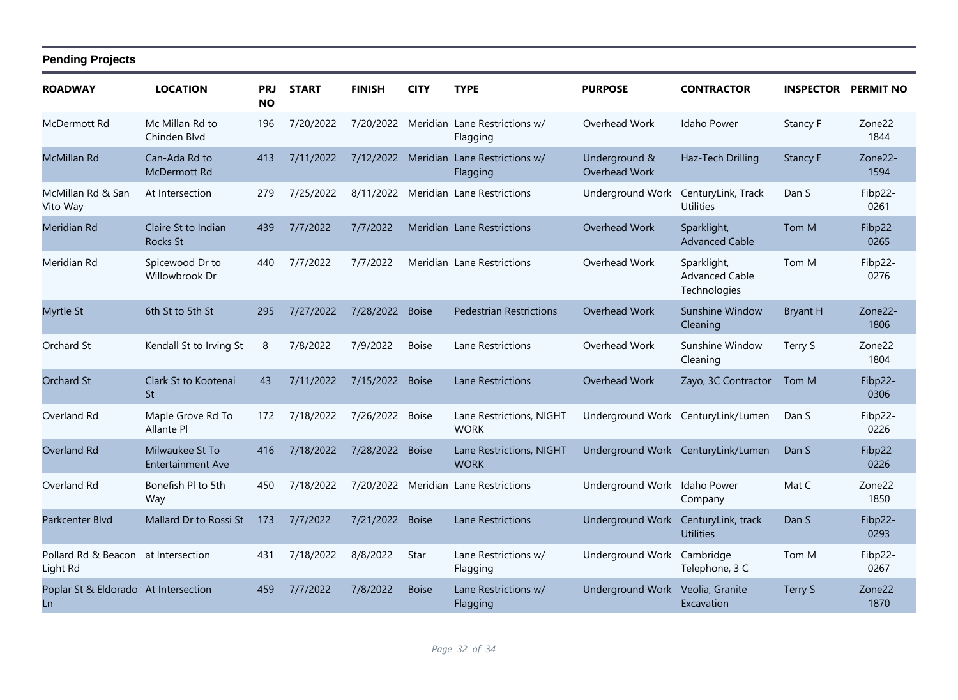#### **ROADWAY LOCATION PRJ NO START FINISH CITY TYPE PURPOSE CONTRACTOR INSPECTOR PERMIT NO Pending Projects** McDermott Rd 7/20/2022 7/20/2022 Meridian Lane Restrictions w/ Mc Millan Rd to Overhead Work Idaho Power Stancy F 196 Zone22- Flagging Chinden Blvd 1844 McMillan Rd Can-Ada Rd to 1413 7/11/2022 7/12/2022 Meridian Lane Restrictions w/ Underground & Haz-Tech Drilling Stancy F Zone22-Flagging Underground & Overhead Work McDermott Rd 1594 McMillan Rd & San Vito Way 7/25/2022 8/11/2022 Meridian Lane Restrictions Underground Work CenturyLink, Track At Intersection 279 Dan S Fibp22- Utilities 0261 Meridian Rd 7/7/2022 7/7/2022 Meridian Lane Restrictions Overhead Work Sparklight, Claire St to Indian Tom M 439 Fibp22- Advanced Cable Rocks St 0265 Meridian Rd Spicewood Dr to 440 7/7/2022 7/7/2022 Meridian Lane Restrictions Overhead Work Sparklight, Tom M Fibp22-Advanced Cable **Technologies** Willowbrook Dr 0276 Myrtle St 7/27/2022 7/28/2022 Boise Pedestrian Restrictions Overhead Work Sunshine Window 6th St to 5th St 295 Bryant H Zone22- Cleaning 1806 Orchard St 7/8/2022 7/9/2022 Boise Lane Restrictions Overhead Work Sunshine Window Kendall St to Irving St 8 Terry S Zone22- Cleaning 1804 Orchard St Clark St to Kootenai 43 7/11/2022 7/15/2022 Boise Lane Restrictions Coverhead Work Zayo, 3C Contractor Tom M Fibp22-St 0306 Overland Rd Maple Grove Rd To 172 7/18/2022 7/26/2022 Boise Lane Restrictions, NIGHT **WORK** Maple Grove Rd To 172 7/18/2022 7/26/2022 Boise Lane Restrictions, NIGHT Underground Work CenturyLink/Lumen Dan S Fibp22-Allante Pl 0226 Overland Rd Milwaukee St To 416 7/18/2022 7/28/2022 Boise Lane Restrictions, NIGHT **WORK** Milwaukee St To 416 7/18/2022 7/28/2022 Boise Lane Restrictions, NIGHT Underground Work CenturyLink/Lumen Dan S Fibp22-Entertainment Ave 0226 Overland Rd Bonefish Pl to 5th 450 7/18/2022 7/20/2022 Meridian Lane Restrictions Underground Work Idaho Power Mat C Zone22-Company **Wav** 1850 Parkcenter Blvd Mallard Dr to Rossi St 173 7/7/2022 7/21/2022 Boise Lane Restrictions Underground Work CenturyLink, track Dan S Fibp22-**Utilities** 0293 Pollard Rd & Beacon at Intersection Light Rd 7/18/2022 8/8/2022 Star Lane Restrictions w/ Flagging at Intersection 431 7/18/2022 8/8/2022 Star Lane Restrictions w/ Underground Work Cambridge Tom M Fibp22-Telephone, 3 C 0267 Poplar St & Eldorado At Intersection Ln 7/7/2022 7/8/2022 Boise Lane Restrictions w/ Flagging At Intersection and the My 17/2022 7/8/2022 Boise Lane Restrictions w/ Underground Work Veolia, Granite and Terry S 20ne22-**Excavation** 1870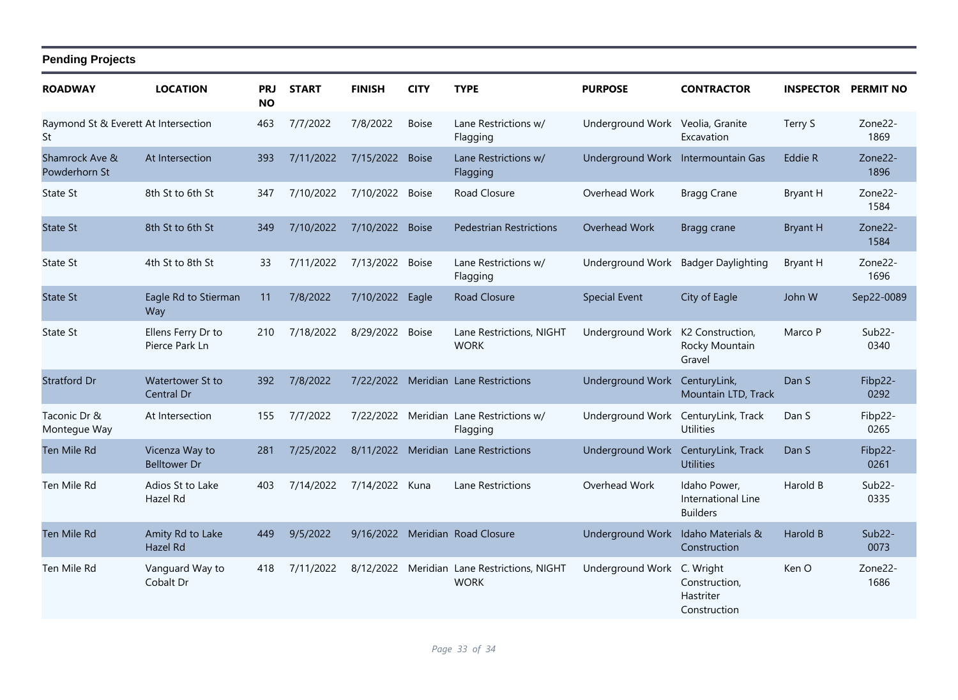| <b>ROADWAY</b>                             | <b>LOCATION</b>                       | PRJ<br><b>NO</b> | <b>START</b> | <b>FINISH</b>   | <b>CITY</b>  | <b>TYPE</b>                                                | <b>PURPOSE</b>                     | <b>CONTRACTOR</b>                                       | <b>INSPECTOR</b> | <b>PERMIT NO</b>             |
|--------------------------------------------|---------------------------------------|------------------|--------------|-----------------|--------------|------------------------------------------------------------|------------------------------------|---------------------------------------------------------|------------------|------------------------------|
| Raymond St & Everett At Intersection<br>St |                                       | 463              | 7/7/2022     | 7/8/2022        | <b>Boise</b> | Lane Restrictions w/<br>Flagging                           | Underground Work Veolia, Granite   | Excavation                                              | Terry S          | Zone22-<br>1869              |
| Shamrock Ave &<br>Powderhorn St            | At Intersection                       | 393              | 7/11/2022    | 7/15/2022 Boise |              | Lane Restrictions w/<br>Flagging                           | Underground Work Intermountain Gas |                                                         | Eddie R          | Zone <sub>22</sub> -<br>1896 |
| State St                                   | 8th St to 6th St                      | 347              | 7/10/2022    | 7/10/2022       | <b>Boise</b> | Road Closure                                               | Overhead Work                      | <b>Bragg Crane</b>                                      | Bryant H         | Zone22-<br>1584              |
| <b>State St</b>                            | 8th St to 6th St                      | 349              | 7/10/2022    | 7/10/2022 Boise |              | <b>Pedestrian Restrictions</b>                             | Overhead Work                      | Bragg crane                                             | <b>Bryant H</b>  | Zone22-<br>1584              |
| State St                                   | 4th St to 8th St                      | 33               | 7/11/2022    | 7/13/2022       | <b>Boise</b> | Lane Restrictions w/<br>Flagging                           | <b>Underground Work</b>            | <b>Badger Daylighting</b>                               | Bryant H         | Zone22-<br>1696              |
| <b>State St</b>                            | Eagle Rd to Stierman<br>Way           | 11               | 7/8/2022     | 7/10/2022 Eagle |              | <b>Road Closure</b>                                        | <b>Special Event</b>               | City of Eagle                                           | John W           | Sep22-0089                   |
| State St                                   | Ellens Ferry Dr to<br>Pierce Park Ln  | 210              | 7/18/2022    | 8/29/2022       | <b>Boise</b> | Lane Restrictions, NIGHT<br><b>WORK</b>                    | Underground Work                   | K2 Construction,<br>Rocky Mountain<br>Gravel            | Marco P          | $Sub22-$<br>0340             |
| <b>Stratford Dr</b>                        | Watertower St to<br>Central Dr        | 392              | 7/8/2022     | 7/22/2022       |              | Meridian Lane Restrictions                                 | Underground Work                   | CenturyLink,<br>Mountain LTD, Track                     | Dan S            | Fibp22-<br>0292              |
| Taconic Dr &<br>Montegue Way               | At Intersection                       | 155              | 7/7/2022     |                 |              | 7/22/2022 Meridian Lane Restrictions w/<br>Flagging        | <b>Underground Work</b>            | CenturyLink, Track<br><b>Utilities</b>                  | Dan S            | Fibp22-<br>0265              |
| Ten Mile Rd                                | Vicenza Way to<br><b>Belltower Dr</b> | 281              | 7/25/2022    | 8/11/2022       |              | Meridian Lane Restrictions                                 | Underground Work                   | CenturyLink, Track<br><b>Utilities</b>                  | Dan S            | Fibp22-<br>0261              |
| Ten Mile Rd                                | Adios St to Lake<br>Hazel Rd          | 403              | 7/14/2022    | 7/14/2022 Kuna  |              | Lane Restrictions                                          | Overhead Work                      | Idaho Power,<br>International Line<br><b>Builders</b>   | Harold B         | Sub <sub>22</sub> -<br>0335  |
| <b>Ten Mile Rd</b>                         | Amity Rd to Lake<br>Hazel Rd          | 449              | 9/5/2022     |                 |              | 9/16/2022 Meridian Road Closure                            | <b>Underground Work</b>            | Idaho Materials &<br>Construction                       | Harold B         | $Sub22-$<br>0073             |
| Ten Mile Rd                                | Vanguard Way to<br>Cobalt Dr          | 418              | 7/11/2022    |                 |              | 8/12/2022 Meridian Lane Restrictions, NIGHT<br><b>WORK</b> | Underground Work                   | C. Wright<br>Construction,<br>Hastriter<br>Construction | Ken O            | Zone22-<br>1686              |